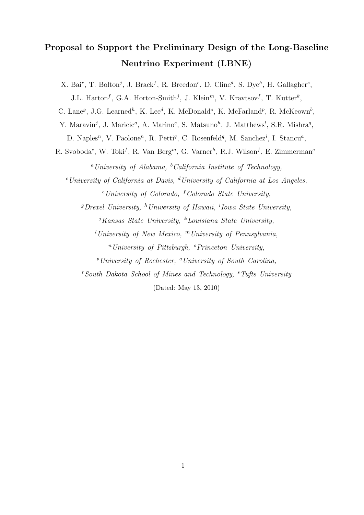# Proposal to Support the Preliminary Design of the Long-Baseline Neutrino Experiment (LBNE)

X. Bai<sup>r</sup>, T. Bolton<sup>j</sup>, J. Brack<sup>f</sup>, R. Breedon<sup>c</sup>, D. Cline<sup>d</sup>, S. Dye<sup>h</sup>, H. Gallagher<sup>s</sup>, J.L. Harton<sup>f</sup>, G.A. Horton-Smith<sup>j</sup>, J. Klein<sup>m</sup>, V. Kravtsov<sup>f</sup>, T. Kutter<sup>k</sup>,

C. Lane<sup>g</sup>, J.G. Learned<sup>h</sup>, K. Lee<sup>d</sup>, K. McDonald<sup>o</sup>, K. McFarland<sup>p</sup>, R. McKeown<sup>b</sup>,

Y. Maravin<sup>j</sup>, J. Maricic<sup>9</sup>, A. Marino<sup>e</sup>, S. Matsuno<sup>h</sup>, J. Matthews<sup>l</sup>, S.R. Mishra<sup>q</sup>,

D. Naples<sup>n</sup>, V. Paolone<sup>n</sup>, R. Petti<sup>q</sup>, C. Rosenfeld<sup>q</sup>, M. Sanchez<sup>i</sup>, I. Stancu<sup>a</sup>,

R. Svoboda<sup>c</sup>, W. Toki<sup>f</sup>, R. Van Berg<sup>m</sup>, G. Varner<sup>h</sup>, R.J. Wilson<sup>f</sup>, E. Zimmerman<sup>e</sup> <sup>a</sup>University of Alabama,  ${}^b\text{California Institute of Technology}$ .

 $c$ University of California at Davis,  $d$ University of California at Los Angeles,

 $e$ University of Colorado, <sup>f</sup>Colorado State University,

<sup>g</sup> Drexel University, <sup>h</sup>University of Hawaii, <sup>i</sup> Iowa State University,

 $i$ Kansas State University, <sup>k</sup>Louisiana State University,

<sup>l</sup>University of New Mexico, <sup>m</sup>University of Pennsylvania,

 $n$  University of Pittsburgh,  $^{\circ}$  Princeton University,

<sup>p</sup>University of Rochester, <sup>q</sup>University of South Carolina,

 $r$ South Dakota School of Mines and Technology,  $r$ Tufts University

(Dated: May 13, 2010)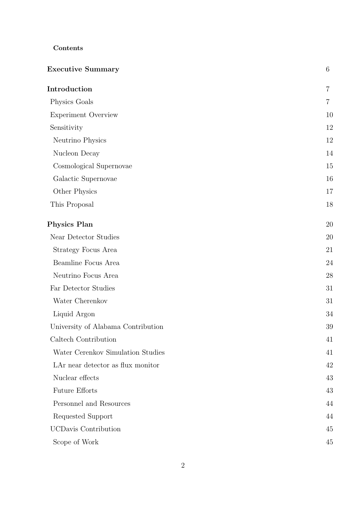# Contents

| <b>Executive Summary</b>           |                |
|------------------------------------|----------------|
| Introduction                       | $\overline{7}$ |
| Physics Goals                      | $\overline{7}$ |
| <b>Experiment Overview</b>         | 10             |
| Sensitivity                        | 12             |
| Neutrino Physics                   | 12             |
| Nucleon Decay                      | 14             |
| Cosmological Supernovae            | 15             |
| Galactic Supernovae                | 16             |
| Other Physics                      | 17             |
| This Proposal                      | 18             |
| <b>Physics Plan</b>                | 20             |
| Near Detector Studies              | 20             |
| Strategy Focus Area                | 21             |
| Beamline Focus Area                | 24             |
| Neutrino Focus Area                | 28             |
| Far Detector Studies               | 31             |
| Water Cherenkov                    | 31             |
| Liquid Argon                       | 34             |
| University of Alabama Contribution | 39             |
| Caltech Contribution               | 41             |
| Water Cerenkov Simulation Studies  | 41             |
| LAr near detector as flux monitor  | 42             |
| Nuclear effects                    | 43             |
| <b>Future Efforts</b>              | 43             |
| Personnel and Resources            | 44             |
| Requested Support                  | 44             |
| <b>UCDavis Contribution</b>        | 45             |
| Scope of Work                      | 45             |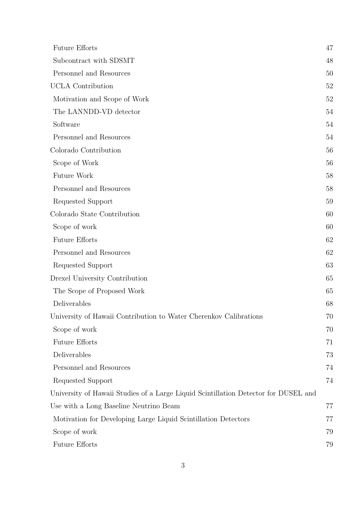| <b>Future Efforts</b>                                                               | 47 |
|-------------------------------------------------------------------------------------|----|
| Subcontract with SDSMT                                                              | 48 |
| Personnel and Resources                                                             | 50 |
| <b>UCLA</b> Contribution                                                            | 52 |
| Motivation and Scope of Work                                                        | 52 |
| The LANNDD-VD detector                                                              | 54 |
| Software                                                                            | 54 |
| Personnel and Resources                                                             | 54 |
| Colorado Contribution                                                               | 56 |
| Scope of Work                                                                       | 56 |
| Future Work                                                                         | 58 |
| Personnel and Resources                                                             | 58 |
| Requested Support                                                                   | 59 |
| Colorado State Contribution                                                         | 60 |
| Scope of work                                                                       | 60 |
| <b>Future Efforts</b>                                                               | 62 |
| Personnel and Resources                                                             | 62 |
| Requested Support                                                                   | 63 |
| Drexel University Contribution                                                      | 65 |
| The Scope of Proposed Work                                                          | 65 |
| Deliverables                                                                        | 68 |
| University of Hawaii Contribution to Water Cherenkov Calibrations                   | 70 |
| Scope of work                                                                       | 70 |
| <b>Future Efforts</b>                                                               | 71 |
| Deliverables                                                                        | 73 |
| Personnel and Resources                                                             | 74 |
| Requested Support                                                                   | 74 |
| University of Hawaii Studies of a Large Liquid Scintillation Detector for DUSEL and |    |
| Use with a Long Baseline Neutrino Beam                                              | 77 |
| Motivation for Developing Large Liquid Scintillation Detectors                      | 77 |
| Scope of work                                                                       | 79 |
| <b>Future Efforts</b>                                                               | 79 |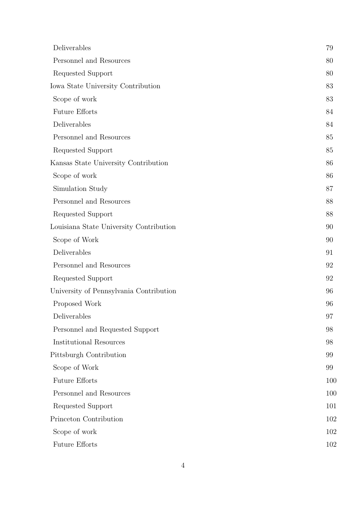| Deliverables                            | 79  |
|-----------------------------------------|-----|
| Personnel and Resources                 | 80  |
| Requested Support                       | 80  |
| Iowa State University Contribution      | 83  |
| Scope of work                           | 83  |
| <b>Future Efforts</b>                   | 84  |
| Deliverables                            | 84  |
| Personnel and Resources                 | 85  |
| Requested Support                       | 85  |
| Kansas State University Contribution    | 86  |
| Scope of work                           | 86  |
| Simulation Study                        | 87  |
| Personnel and Resources                 | 88  |
| Requested Support                       | 88  |
| Louisiana State University Contribution | 90  |
| Scope of Work                           | 90  |
| Deliverables                            | 91  |
| Personnel and Resources                 | 92  |
| Requested Support                       | 92  |
| University of Pennsylvania Contribution | 96  |
| Proposed Work                           | 96  |
| Deliverables                            | 97  |
| Personnel and Requested Support         | 98  |
| <b>Institutional Resources</b>          | 98  |
| Pittsburgh Contribution                 | 99  |
| Scope of Work                           | 99  |
| <b>Future Efforts</b>                   | 100 |
| Personnel and Resources                 | 100 |
| Requested Support                       | 101 |
| Princeton Contribution                  | 102 |
| Scope of work                           | 102 |
| <b>Future Efforts</b>                   | 102 |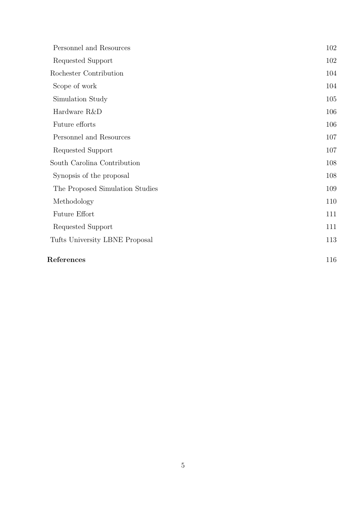| Personnel and Resources         | 102 |
|---------------------------------|-----|
| Requested Support               | 102 |
| Rochester Contribution          | 104 |
| Scope of work                   | 104 |
| Simulation Study                | 105 |
| Hardware R&D                    | 106 |
| Future efforts                  | 106 |
| Personnel and Resources         | 107 |
| Requested Support               | 107 |
| South Carolina Contribution     | 108 |
| Synopsis of the proposal        | 108 |
| The Proposed Simulation Studies | 109 |
| Methodology                     | 110 |
| <b>Future Effort</b>            | 111 |
| Requested Support               | 111 |
| Tufts University LBNE Proposal  | 113 |
| References                      | 116 |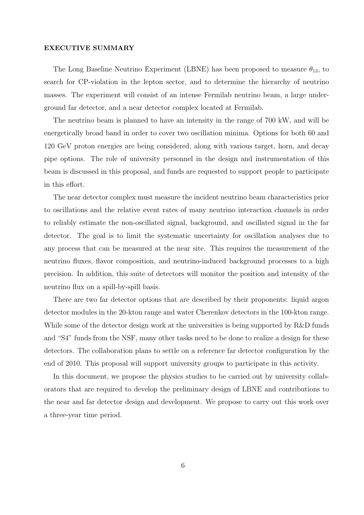## EXECUTIVE SUMMARY

The Long Baseline Neutrino Experiment (LBNE) has been proposed to measure  $\theta_{13}$ , to search for CP-violation in the lepton sector, and to determine the hierarchy of neutrino masses. The experiment will consist of an intense Fermilab neutrino beam, a large underground far detector, and a near detector complex located at Fermilab.

The neutrino beam is planned to have an intensity in the range of 700 kW, and will be energetically broad band in order to cover two oscillation minima. Options for both 60 and 120 GeV proton energies are being considered, along with various target, horn, and decay pipe options. The role of university personnel in the design and instrumentation of this beam is discussed in this proposal, and funds are requested to support people to participate in this effort.

The near detector complex must measure the incident neutrino beam characteristics prior to oscillations and the relative event rates of many neutrino interaction channels in order to reliably estimate the non-oscillated signal, background, and oscillated signal in the far detector. The goal is to limit the systematic uncertainty for oscillation analyses due to any process that can be measured at the near site. This requires the measurement of the neutrino fluxes, flavor composition, and neutrino-induced background processes to a high precision. In addition, this suite of detectors will monitor the position and intensity of the neutrino flux on a spill-by-spill basis.

There are two far detector options that are described by their proponents: liquid argon detector modules in the 20-kton range and water Cherenkov detectors in the 100-kton range. While some of the detector design work at the universities is being supported by R&D funds and "S4" funds from the NSF, many other tasks need to be done to realize a design for these detectors. The collaboration plans to settle on a reference far detector configuration by the end of 2010. This proposal will support university groups to participate in this activity.

In this document, we propose the physics studies to be carried out by university collaborators that are required to develop the preliminary design of LBNE and contributions to the near and far detector design and development. We propose to carry out this work over a three-year time period.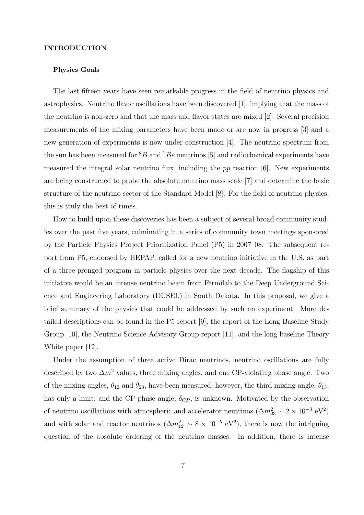## INTRODUCTION

## Physics Goals

The last fifteen years have seen remarkable progress in the field of neutrino physics and astrophysics. Neutrino flavor oscillations have been discovered [1], implying that the mass of the neutrino is non-zero and that the mass and flavor states are mixed [2]. Several precision measurements of the mixing parameters have been made or are now in progress [3] and a new generation of experiments is now under construction [4]. The neutrino spectrum from the sun has been measured for  ${}^{8}B$  and  ${}^{7}Be$  neutrinos [5] and radiochemical experiments have measured the integral solar neutrino flux, including the  $pp$  reaction  $[6]$ . New experiments are being constructed to probe the absolute neutrino mass scale [7] and determine the basic structure of the neutrino sector of the Standard Model [8]. For the field of neutrino physics, this is truly the best of times.

How to build upon these discoveries has been a subject of several broad community studies over the past five years, culminating in a series of community town meetings sponsored by the Particle Physics Project Prioritization Panel (P5) in 2007–08. The subsequent report from P5, endorsed by HEPAP, called for a new neutrino initiative in the U.S. as part of a three-pronged program in particle physics over the next decade. The flagship of this initiative would be an intense neutrino beam from Fermilab to the Deep Underground Science and Engineering Laboratory (DUSEL) in South Dakota. In this proposal, we give a brief summary of the physics that could be addressed by such an experiment. More detailed descriptions can be found in the P5 report [9], the report of the Long Baseline Study Group [10], the Neutrino Science Advisory Group report [11], and the long baseline Theory White paper [12].

Under the assumption of three active Dirac neutrinos, neutrino oscillations are fully described by two  $\Delta m^2$  values, three mixing angles, and one CP-violating phase angle. Two of the mixing angles,  $\theta_{12}$  and  $\theta_{23}$ , have been measured; however, the third mixing angle,  $\theta_{13}$ , has only a limit, and the CP phase angle,  $\delta_{CP}$ , is unknown. Motivated by the observation of neutrino oscillations with atmospheric and accelerator neutrinos  $(\Delta m_{23}^2 \sim 2 \times 10^{-3} \text{ eV}^2)$ and with solar and reactor neutrinos  $(\Delta m_{12}^2 \sim 8 \times 10^{-5} \text{ eV}^2)$ , there is now the intriguing question of the absolute ordering of the neutrino masses. In addition, there is intense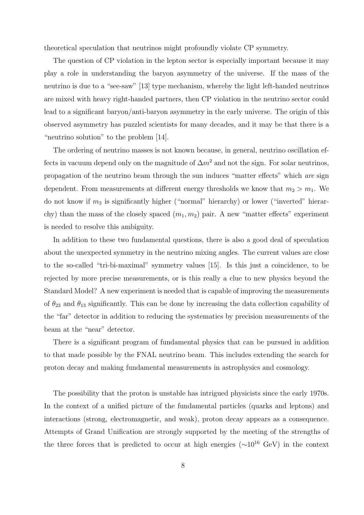theoretical speculation that neutrinos might profoundly violate CP symmetry.

The question of CP violation in the lepton sector is especially important because it may play a role in understanding the baryon asymmetry of the universe. If the mass of the neutrino is due to a "see-saw" [13] type mechanism, whereby the light left-handed neutrinos are mixed with heavy right-handed partners, then CP violation in the neutrino sector could lead to a significant baryon/anti-baryon asymmetry in the early universe. The origin of this observed asymmetry has puzzled scientists for many decades, and it may be that there is a "neutrino solution" to the problem [14].

The ordering of neutrino masses is not known because, in general, neutrino oscillation effects in vacuum depend only on the magnitude of  $\Delta m^2$  and not the sign. For solar neutrinos, propagation of the neutrino beam through the sun induces "matter effects" which are sign dependent. From measurements at different energy thresholds we know that  $m_2 > m_1$ . We do not know if  $m_3$  is significantly higher ("normal" hierarchy) or lower ("inverted" hierarchy) than the mass of the closely spaced  $(m_1, m_2)$  pair. A new "matter effects" experiment is needed to resolve this ambiguity.

In addition to these two fundamental questions, there is also a good deal of speculation about the unexpected symmetry in the neutrino mixing angles. The current values are close to the so-called "tri-bi-maximal" symmetry values [15]. Is this just a coincidence, to be rejected by more precise measurements, or is this really a clue to new physics beyond the Standard Model? A new experiment is needed that is capable of improving the measurements of  $\theta_{23}$  and  $\theta_{13}$  significantly. This can be done by increasing the data collection capability of the "far" detector in addition to reducing the systematics by precision measurements of the beam at the "near" detector.

There is a significant program of fundamental physics that can be pursued in addition to that made possible by the FNAL neutrino beam. This includes extending the search for proton decay and making fundamental measurements in astrophysics and cosmology.

The possibility that the proton is unstable has intrigued physicists since the early 1970s. In the context of a unified picture of the fundamental particles (quarks and leptons) and interactions (strong, electromagnetic, and weak), proton decay appears as a consequence. Attempts of Grand Unification are strongly supported by the meeting of the strengths of the three forces that is predicted to occur at high energies ( $\sim 10^{16}$  GeV) in the context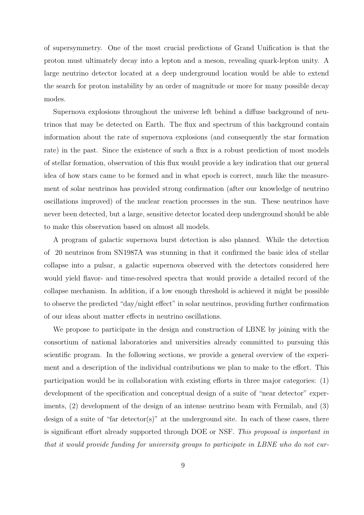of supersymmetry. One of the most crucial predictions of Grand Unification is that the proton must ultimately decay into a lepton and a meson, revealing quark-lepton unity. A large neutrino detector located at a deep underground location would be able to extend the search for proton instability by an order of magnitude or more for many possible decay modes.

Supernova explosions throughout the universe left behind a diffuse background of neutrinos that may be detected on Earth. The flux and spectrum of this background contain information about the rate of supernova explosions (and consequently the star formation rate) in the past. Since the existence of such a flux is a robust prediction of most models of stellar formation, observation of this flux would provide a key indication that our general idea of how stars came to be formed and in what epoch is correct, much like the measurement of solar neutrinos has provided strong confirmation (after our knowledge of neutrino oscillations improved) of the nuclear reaction processes in the sun. These neutrinos have never been detected, but a large, sensitive detector located deep underground should be able to make this observation based on almost all models.

A program of galactic supernova burst detection is also planned. While the detection of 20 neutrinos from SN1987A was stunning in that it confirmed the basic idea of stellar collapse into a pulsar, a galactic supernova observed with the detectors considered here would yield flavor- and time-resolved spectra that would provide a detailed record of the collapse mechanism. In addition, if a low enough threshold is achieved it might be possible to observe the predicted "day/night effect" in solar neutrinos, providing further confirmation of our ideas about matter effects in neutrino oscillations.

We propose to participate in the design and construction of LBNE by joining with the consortium of national laboratories and universities already committed to pursuing this scientific program. In the following sections, we provide a general overview of the experiment and a description of the individual contributions we plan to make to the effort. This participation would be in collaboration with existing efforts in three major categories: (1) development of the specification and conceptual design of a suite of "near detector" experiments, (2) development of the design of an intense neutrino beam with Fermilab, and (3) design of a suite of "far detector(s)" at the underground site. In each of these cases, there is significant effort already supported through DOE or NSF. This proposal is important in that it would provide funding for university groups to participate in LBNE who do not cur-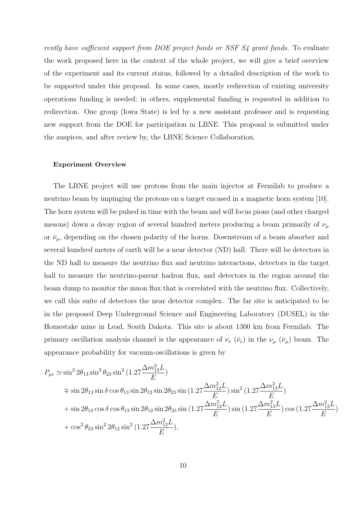rently have sufficient support from DOE project funds or NSF S4 grant funds. To evaluate the work proposed here in the context of the whole project, we will give a brief overview of the experiment and its current status, followed by a detailed description of the work to be supported under this proposal. In some cases, mostly redirection of existing university operations funding is needed; in others, supplemental funding is requested in addition to redirection. One group (Iowa State) is led by a new assistant professor and is requesting new support from the DOE for participation in LBNE. This proposal is submitted under the auspices, and after review by, the LBNE Science Collaboration.

## Experiment Overview

The LBNE project will use protons from the main injector at Fermilab to produce a neutrino beam by impinging the protons on a target encased in a magnetic horn system [10]. The horn system will be pulsed in time with the beam and will focus pions (and other charged mesons) down a decay region of several hundred meters producing a beam primarily of  $\nu_{\mu}$ or  $\bar{\nu}_{\mu}$ , depending on the chosen polarity of the horns. Downstream of a beam absorber and several hundred meters of earth will be a near detector (ND) hall. There will be detectors in the ND hall to measure the neutrino flux and neutrino interactions, detectors in the target hall to measure the neutrino-parent hadron flux, and detectors in the region around the beam dump to monitor the muon flux that is correlated with the neutrino flux. Collectively, we call this suite of detectors the near detector complex. The far site is anticipated to be in the proposed Deep Underground Science and Engineering Laboratory (DUSEL) in the Homestake mine in Lead, South Dakota. This site is about 1300 km from Fermilab. The primary oscillation analysis channel is the appearance of  $\nu_e$  ( $\bar{\nu}_e$ ) in the  $\nu_\mu$  ( $\bar{\nu}_\mu$ ) beam. The appearance probability for vacuum-oscillations is given by

$$
\begin{split} P_{\mu e} &\simeq \sin^22\theta_{13}\sin^2\theta_{23}\sin^2\left(1.27\frac{\Delta m^2_{13}L}{E}\right) \\ &\qquad \mp \sin2\theta_{13}\sin\delta\cos\theta_{13}\sin2\theta_{12}\sin2\theta_{23}\sin\left(1.27\frac{\Delta m^2_{12}L}{E}\right)\sin^2\left(1.27\frac{\Delta m^2_{13}L}{E}\right) \\ &+ \sin2\theta_{13}\cos\delta\cos\theta_{13}\sin2\theta_{12}\sin2\theta_{23}\sin\left(1.27\frac{\Delta m^2_{12}L}{E}\right)\sin\left(1.27\frac{\Delta m^2_{13}L}{E}\right)\cos\left(1.27\frac{\Delta m^2_{13}L}{E}\right) \\ &+ \cos^2\theta_{23}\sin^22\theta_{12}\sin^2\left(1.27\frac{\Delta m^2_{12}L}{E}\right), \end{split}
$$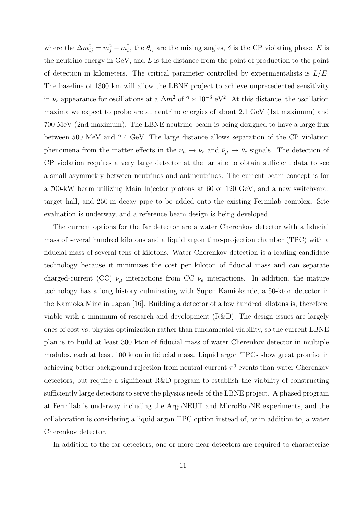where the  $\Delta m_{ij}^2 = m_j^2 - m_i^2$ , the  $\theta_{ij}$  are the mixing angles,  $\delta$  is the CP violating phase, E is the neutrino energy in  $GeV$ , and  $L$  is the distance from the point of production to the point of detection in kilometers. The critical parameter controlled by experimentalists is  $L/E$ . The baseline of 1300 km will allow the LBNE project to achieve unprecedented sensitivity in  $\nu_e$  appearance for oscillations at a  $\Delta m^2$  of  $2 \times 10^{-3}$  eV<sup>2</sup>. At this distance, the oscillation maxima we expect to probe are at neutrino energies of about 2.1 GeV (1st maximum) and 700 MeV (2nd maximum). The LBNE neutrino beam is being designed to have a large flux between 500 MeV and 2.4 GeV. The large distance allows separation of the CP violation phenomena from the matter effects in the  $\nu_{\mu} \rightarrow \nu_{e}$  and  $\bar{\nu}_{\mu} \rightarrow \bar{\nu}_{e}$  signals. The detection of CP violation requires a very large detector at the far site to obtain sufficient data to see a small asymmetry between neutrinos and antineutrinos. The current beam concept is for a 700-kW beam utilizing Main Injector protons at 60 or 120 GeV, and a new switchyard, target hall, and 250-m decay pipe to be added onto the existing Fermilab complex. Site evaluation is underway, and a reference beam design is being developed.

The current options for the far detector are a water Cherenkov detector with a fiducial mass of several hundred kilotons and a liquid argon time-projection chamber (TPC) with a fiducial mass of several tens of kilotons. Water Cherenkov detection is a leading candidate technology because it minimizes the cost per kiloton of fiducial mass and can separate charged-current (CC)  $\nu_{\mu}$  interactions from CC  $\nu_{e}$  interactions. In addition, the mature technology has a long history culminating with Super–Kamiokande, a 50-kton detector in the Kamioka Mine in Japan [16]. Building a detector of a few hundred kilotons is, therefore, viable with a minimum of research and development (R&D). The design issues are largely ones of cost vs. physics optimization rather than fundamental viability, so the current LBNE plan is to build at least 300 kton of fiducial mass of water Cherenkov detector in multiple modules, each at least 100 kton in fiducial mass. Liquid argon TPCs show great promise in achieving better background rejection from neutral current  $\pi^0$  events than water Cherenkov detectors, but require a significant R&D program to establish the viability of constructing sufficiently large detectors to serve the physics needs of the LBNE project. A phased program at Fermilab is underway including the ArgoNEUT and MicroBooNE experiments, and the collaboration is considering a liquid argon TPC option instead of, or in addition to, a water Cherenkov detector.

In addition to the far detectors, one or more near detectors are required to characterize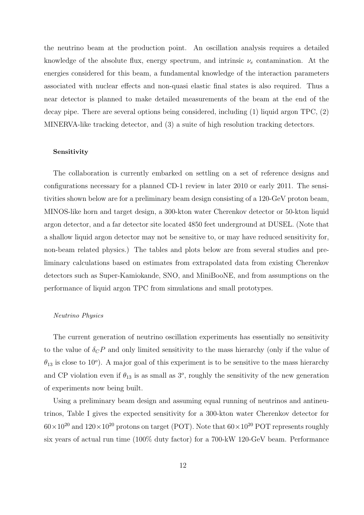the neutrino beam at the production point. An oscillation analysis requires a detailed knowledge of the absolute flux, energy spectrum, and intrinsic  $\nu_e$  contamination. At the energies considered for this beam, a fundamental knowledge of the interaction parameters associated with nuclear effects and non-quasi elastic final states is also required. Thus a near detector is planned to make detailed measurements of the beam at the end of the decay pipe. There are several options being considered, including  $(1)$  liquid argon TPC,  $(2)$ MINERVA-like tracking detector, and (3) a suite of high resolution tracking detectors.

## Sensitivity

The collaboration is currently embarked on settling on a set of reference designs and configurations necessary for a planned CD-1 review in later 2010 or early 2011. The sensitivities shown below are for a preliminary beam design consisting of a 120-GeV proton beam, MINOS-like horn and target design, a 300-kton water Cherenkov detector or 50-kton liquid argon detector, and a far detector site located 4850 feet underground at DUSEL. (Note that a shallow liquid argon detector may not be sensitive to, or may have reduced sensitivity for, non-beam related physics.) The tables and plots below are from several studies and preliminary calculations based on estimates from extrapolated data from existing Cherenkov detectors such as Super-Kamiokande, SNO, and MiniBooNE, and from assumptions on the performance of liquid argon TPC from simulations and small prototypes.

#### Neutrino Physics

The current generation of neutrino oscillation experiments has essentially no sensitivity to the value of  $\delta_C P$  and only limited sensitivity to the mass hierarchy (only if the value of  $\theta_{13}$  is close to 10<sup>o</sup>). A major goal of this experiment is to be sensitive to the mass hierarchy and CP violation even if  $\theta_{13}$  is as small as 3<sup>o</sup>, roughly the sensitivity of the new generation of experiments now being built.

Using a preliminary beam design and assuming equal running of neutrinos and antineutrinos, Table I gives the expected sensitivity for a 300-kton water Cherenkov detector for  $60\times10^{20}$  and  $120\times10^{20}$  protons on target (POT). Note that  $60\times10^{20}$  POT represents roughly six years of actual run time (100% duty factor) for a 700-kW 120-GeV beam. Performance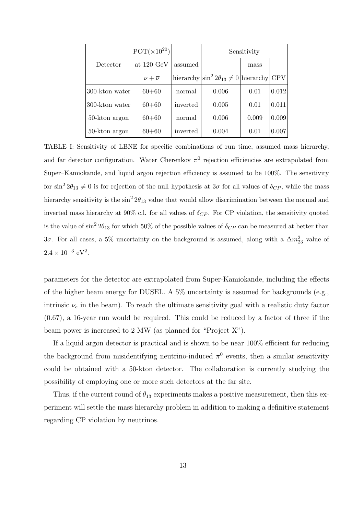|                | $POT(\times 10^{20})$  |          | Sensitivity                                                   |       |            |
|----------------|------------------------|----------|---------------------------------------------------------------|-------|------------|
| Detector       | at $120 \text{ GeV}$   | assumed  |                                                               | mass  |            |
|                | $\nu + \overline{\nu}$ |          | hierarchy $\left \sin^2 2\theta_{13} \neq 0\right $ hierarchy |       | <b>CPV</b> |
| 300-kton water | $60 + 60$              | normal   | 0.006                                                         | 0.01  | 0.012      |
| 300-kton water | $60 + 60$              | inverted | 0.005                                                         | 0.01  | 0.011      |
| 50-kton argon  | $60 + 60$              | normal   | 0.006                                                         | 0.009 | 0.009      |
| 50-kton argon  | $60 + 60$              | inverted | 0.004                                                         | 0.01  | 0.007      |

TABLE I: Sensitivity of LBNE for specific combinations of run time, assumed mass hierarchy, and far detector configuration. Water Cherenkov  $\pi^0$  rejection efficiencies are extrapolated from Super–Kamiokande, and liquid argon rejection efficiency is assumed to be 100%. The sensitivity for  $\sin^2 2\theta_{13} \neq 0$  is for rejection of the null hypothesis at  $3\sigma$  for all values of  $\delta_{CP}$ , while the mass hierarchy sensitivity is the  $\sin^2 2\theta_{13}$  value that would allow discrimination between the normal and inverted mass hierarchy at 90% c.l. for all values of  $\delta_{CP}$ . For CP violation, the sensitivity quoted is the value of  $\sin^2 2\theta_{13}$  for which 50% of the possible values of  $\delta_{CP}$  can be measured at better than 3 $\sigma$ . For all cases, a 5% uncertainty on the background is assumed, along with a  $\Delta m^2_{23}$  value of  $2.4 \times 10^{-3} \text{ eV}^2$ .

parameters for the detector are extrapolated from Super-Kamiokande, including the effects of the higher beam energy for DUSEL. A 5% uncertainty is assumed for backgrounds (e.g., intrinsic  $\nu_e$  in the beam). To reach the ultimate sensitivity goal with a realistic duty factor (0.67), a 16-year run would be required. This could be reduced by a factor of three if the beam power is increased to 2 MW (as planned for "Project X").

If a liquid argon detector is practical and is shown to be near 100% efficient for reducing the background from misidentifying neutrino-induced  $\pi^0$  events, then a similar sensitivity could be obtained with a 50-kton detector. The collaboration is currently studying the possibility of employing one or more such detectors at the far site.

Thus, if the current round of  $\theta_{13}$  experiments makes a positive measurement, then this experiment will settle the mass hierarchy problem in addition to making a definitive statement regarding CP violation by neutrinos.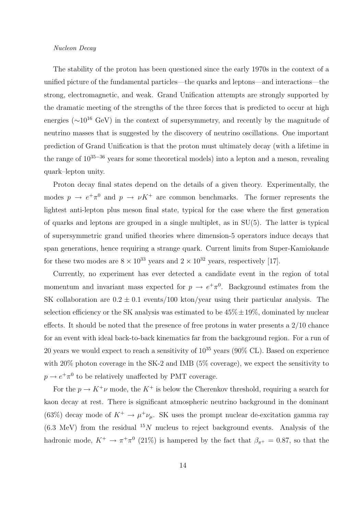### Nucleon Decay

The stability of the proton has been questioned since the early 1970s in the context of a unified picture of the fundamental particles—the quarks and leptons—and interactions—the strong, electromagnetic, and weak. Grand Unification attempts are strongly supported by the dramatic meeting of the strengths of the three forces that is predicted to occur at high energies ( $\sim$ 10<sup>16</sup> GeV) in the context of supersymmetry, and recently by the magnitude of neutrino masses that is suggested by the discovery of neutrino oscillations. One important prediction of Grand Unification is that the proton must ultimately decay (with a lifetime in the range of  $10^{35-36}$  years for some theoretical models) into a lepton and a meson, revealing quark–lepton unity.

Proton decay final states depend on the details of a given theory. Experimentally, the modes  $p \to e^+ \pi^0$  and  $p \to \nu K^+$  are common benchmarks. The former represents the lightest anti-lepton plus meson final state, typical for the case where the first generation of quarks and leptons are grouped in a single multiplet, as in SU(5). The latter is typical of supersymmetric grand unified theories where dimension-5 operators induce decays that span generations, hence requiring a strange quark. Current limits from Super-Kamiokande for these two modes are  $8 \times 10^{33}$  years and  $2 \times 10^{32}$  years, respectively [17].

Currently, no experiment has ever detected a candidate event in the region of total momentum and invariant mass expected for  $p \to e^+ \pi^0$ . Background estimates from the SK collaboration are  $0.2 \pm 0.1$  events/100 kton/year using their particular analysis. The selection efficiency or the SK analysis was estimated to be  $45\% \pm 19\%$ , dominated by nuclear effects. It should be noted that the presence of free protons in water presents a 2/10 chance for an event with ideal back-to-back kinematics far from the background region. For a run of 20 years we would expect to reach a sensitivity of  $10^{35}$  years (90% CL). Based on experience with 20% photon coverage in the SK-2 and IMB (5% coverage), we expect the sensitivity to  $p \rightarrow e^+ \pi^0$  to be relatively unaffected by PMT coverage.

For the  $p \to K^+\nu$  mode, the  $K^+$  is below the Cherenkov threshold, requiring a search for kaon decay at rest. There is significant atmospheric neutrino background in the dominant (63%) decay mode of  $K^+ \to \mu^+ \nu_\mu$ . SK uses the prompt nuclear de-excitation gamma ray  $(6.3 \text{ MeV})$  from the residual  $^{15}N$  nucleus to reject background events. Analysis of the hadronic mode,  $K^+ \to \pi^+\pi^0$  (21%) is hampered by the fact that  $\beta_{\pi^+} = 0.87$ , so that the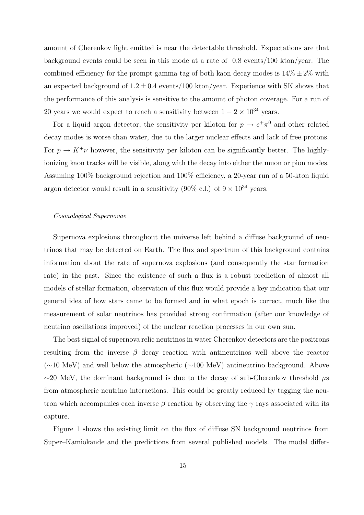amount of Cherenkov light emitted is near the detectable threshold. Expectations are that background events could be seen in this mode at a rate of 0.8 events/100 kton/year. The combined efficiency for the prompt gamma tag of both kaon decay modes is  $14\% \pm 2\%$  with an expected background of  $1.2 \pm 0.4$  events/100 kton/year. Experience with SK shows that the performance of this analysis is sensitive to the amount of photon coverage. For a run of 20 years we would expect to reach a sensitivity between  $1 - 2 \times 10^{34}$  years.

For a liquid argon detector, the sensitivity per kiloton for  $p \to e^+ \pi^0$  and other related decay modes is worse than water, due to the larger nuclear effects and lack of free protons. For  $p \to K^+\nu$  however, the sensitivity per kiloton can be significantly better. The highlyionizing kaon tracks will be visible, along with the decay into either the muon or pion modes. Assuming 100% background rejection and 100% efficiency, a 20-year run of a 50-kton liquid argon detector would result in a sensitivity (90% c.l.) of  $9 \times 10^{34}$  years.

#### Cosmological Supernovae

Supernova explosions throughout the universe left behind a diffuse background of neutrinos that may be detected on Earth. The flux and spectrum of this background contains information about the rate of supernova explosions (and consequently the star formation rate) in the past. Since the existence of such a flux is a robust prediction of almost all models of stellar formation, observation of this flux would provide a key indication that our general idea of how stars came to be formed and in what epoch is correct, much like the measurement of solar neutrinos has provided strong confirmation (after our knowledge of neutrino oscillations improved) of the nuclear reaction processes in our own sun.

The best signal of supernova relic neutrinos in water Cherenkov detectors are the positrons resulting from the inverse  $\beta$  decay reaction with antineutrinos well above the reactor (∼10 MeV) and well below the atmospheric (∼100 MeV) antineutrino background. Above  $\sim$ 20 MeV, the dominant background is due to the decay of sub-Cherenkov threshold  $\mu$ s from atmospheric neutrino interactions. This could be greatly reduced by tagging the neutron which accompanies each inverse  $\beta$  reaction by observing the  $\gamma$  rays associated with its capture.

Figure 1 shows the existing limit on the flux of diffuse SN background neutrinos from Super–Kamiokande and the predictions from several published models. The model differ-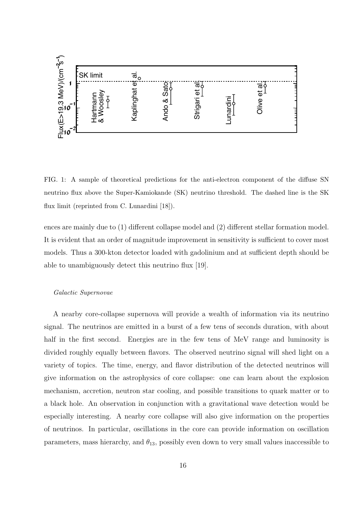

FIG. 1: A sample of theoretical predictions for the anti-electron component of the diffuse SN neutrino flux above the Super-Kamiokande (SK) neutrino threshold. The dashed line is the SK flux limit (reprinted from C. Lunardini [18]).

ences are mainly due to (1) different collapse model and (2) different stellar formation model. It is evident that an order of magnitude improvement in sensitivity is sufficient to cover most models. Thus a 300-kton detector loaded with gadolinium and at sufficient depth should be able to unambiguously detect this neutrino flux [19].

## Galactic Supernovae

A nearby core-collapse supernova will provide a wealth of information via its neutrino signal. The neutrinos are emitted in a burst of a few tens of seconds duration, with about half in the first second. Energies are in the few tens of MeV range and luminosity is divided roughly equally between flavors. The observed neutrino signal will shed light on a variety of topics. The time, energy, and flavor distribution of the detected neutrinos will give information on the astrophysics of core collapse: one can learn about the explosion mechanism, accretion, neutron star cooling, and possible transitions to quark matter or to a black hole. An observation in conjunction with a gravitational wave detection would be especially interesting. A nearby core collapse will also give information on the properties of neutrinos. In particular, oscillations in the core can provide information on oscillation parameters, mass hierarchy, and  $\theta_{13}$ , possibly even down to very small values inaccessible to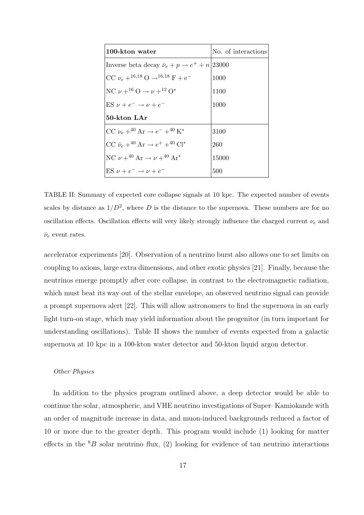| 100-kton water                                                    | No. of interactions |
|-------------------------------------------------------------------|---------------------|
| Inverse beta decay $\bar{\nu}_e + p \rightarrow e^+ + n/23000$    |                     |
| CC $\nu_e + ^{16,18}$ O $\rightarrow ^{16,18}$ F + e <sup>-</sup> | 1000                |
| NC $\nu + ^{16}O \rightarrow \nu + ^{12}O^*$                      | 1100                |
| ES $\nu + e^- \rightarrow \nu + e^-$                              | 1000                |
| 50-kton LAr                                                       |                     |
| CC $\nu_e + ^{40}$ Ar $\rightarrow e^- + ^{40}$ K <sup>*</sup>    | 3100                |
| $CC \bar{\nu}_e + ^{40}Ar \rightarrow e^+ + ^{40}Cl^*$            | 260                 |
| NC $\nu + ^{40}$ Ar $\rightarrow \nu + ^{40}$ Ar <sup>*</sup>     | 15000               |
| $ES \nu + e^- \rightarrow \nu + e^-$                              | 500                 |

TABLE II: Summary of expected core collapse signals at 10 kpc. The expected number of events scales by distance as  $1/D^2$ , where D is the distance to the supernova. These numbers are for no oscillation effects. Oscillation effects will very likely strongly influence the charged current  $\nu_e$  and  $\bar{\nu}_e$  event rates.

accelerator experiments [20]. Observation of a neutrino burst also allows one to set limits on coupling to axions, large extra dimensions, and other exotic physics [21]. Finally, because the neutrinos emerge promptly after core collapse, in contrast to the electromagnetic radiation, which must beat its way out of the stellar envelope, an observed neutrino signal can provide a prompt supernova alert [22]. This will allow astronomers to find the supernova in an early light turn-on stage, which may yield information about the progenitor (in turn important for understanding oscillations). Table II shows the number of events expected from a galactic supernova at 10 kpc in a 100-kton water detector and 50-kton liquid argon detector.

## Other Physics

In addition to the physics program outlined above, a deep detector would be able to continue the solar, atmospheric, and VHE neutrino investigations of Super–Kamiokande with an order of magnitude increase in data, and muon-induced backgrounds reduced a factor of 10 or more due to the greater depth. This program would include (1) looking for matter effects in the  ${}^{8}B$  solar neutrino flux, (2) looking for evidence of tau neutrino interactions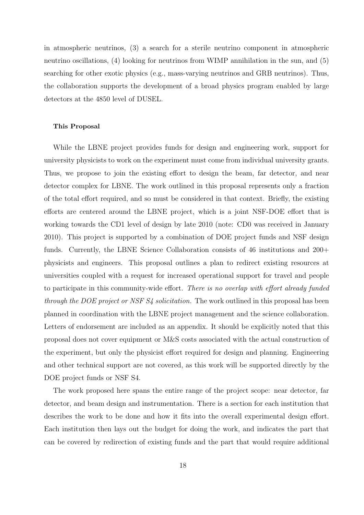in atmospheric neutrinos, (3) a search for a sterile neutrino component in atmospheric neutrino oscillations, (4) looking for neutrinos from WIMP annihilation in the sun, and (5) searching for other exotic physics (e.g., mass-varying neutrinos and GRB neutrinos). Thus, the collaboration supports the development of a broad physics program enabled by large detectors at the 4850 level of DUSEL.

## This Proposal

While the LBNE project provides funds for design and engineering work, support for university physicists to work on the experiment must come from individual university grants. Thus, we propose to join the existing effort to design the beam, far detector, and near detector complex for LBNE. The work outlined in this proposal represents only a fraction of the total effort required, and so must be considered in that context. Briefly, the existing efforts are centered around the LBNE project, which is a joint NSF-DOE effort that is working towards the CD1 level of design by late 2010 (note: CD0 was received in January 2010). This project is supported by a combination of DOE project funds and NSF design funds. Currently, the LBNE Science Collaboration consists of 46 institutions and 200+ physicists and engineers. This proposal outlines a plan to redirect existing resources at universities coupled with a request for increased operational support for travel and people to participate in this community-wide effort. There is no overlap with effort already funded through the DOE project or NSF S4 solicitation. The work outlined in this proposal has been planned in coordination with the LBNE project management and the science collaboration. Letters of endorsement are included as an appendix. It should be explicitly noted that this proposal does not cover equipment or M&S costs associated with the actual construction of the experiment, but only the physicist effort required for design and planning. Engineering and other technical support are not covered, as this work will be supported directly by the DOE project funds or NSF S4.

The work proposed here spans the entire range of the project scope: near detector, far detector, and beam design and instrumentation. There is a section for each institution that describes the work to be done and how it fits into the overall experimental design effort. Each institution then lays out the budget for doing the work, and indicates the part that can be covered by redirection of existing funds and the part that would require additional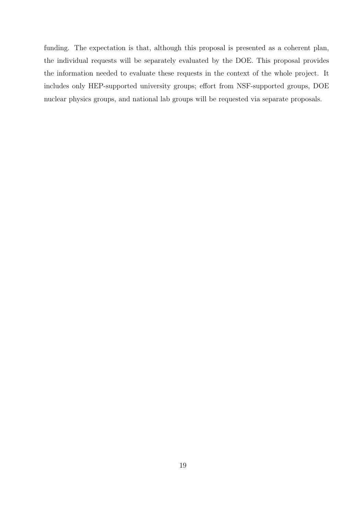funding. The expectation is that, although this proposal is presented as a coherent plan, the individual requests will be separately evaluated by the DOE. This proposal provides the information needed to evaluate these requests in the context of the whole project. It includes only HEP-supported university groups; effort from NSF-supported groups, DOE nuclear physics groups, and national lab groups will be requested via separate proposals.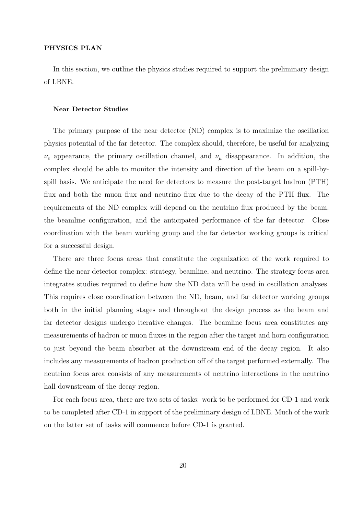## PHYSICS PLAN

In this section, we outline the physics studies required to support the preliminary design of LBNE.

#### Near Detector Studies

The primary purpose of the near detector (ND) complex is to maximize the oscillation physics potential of the far detector. The complex should, therefore, be useful for analyzing  $\nu_e$  appearance, the primary oscillation channel, and  $\nu_\mu$  disappearance. In addition, the complex should be able to monitor the intensity and direction of the beam on a spill-byspill basis. We anticipate the need for detectors to measure the post-target hadron (PTH) flux and both the muon flux and neutrino flux due to the decay of the PTH flux. The requirements of the ND complex will depend on the neutrino flux produced by the beam, the beamline configuration, and the anticipated performance of the far detector. Close coordination with the beam working group and the far detector working groups is critical for a successful design.

There are three focus areas that constitute the organization of the work required to define the near detector complex: strategy, beamline, and neutrino. The strategy focus area integrates studies required to define how the ND data will be used in oscillation analyses. This requires close coordination between the ND, beam, and far detector working groups both in the initial planning stages and throughout the design process as the beam and far detector designs undergo iterative changes. The beamline focus area constitutes any measurements of hadron or muon fluxes in the region after the target and horn configuration to just beyond the beam absorber at the downstream end of the decay region. It also includes any measurements of hadron production off of the target performed externally. The neutrino focus area consists of any measurements of neutrino interactions in the neutrino hall downstream of the decay region.

For each focus area, there are two sets of tasks: work to be performed for CD-1 and work to be completed after CD-1 in support of the preliminary design of LBNE. Much of the work on the latter set of tasks will commence before CD-1 is granted.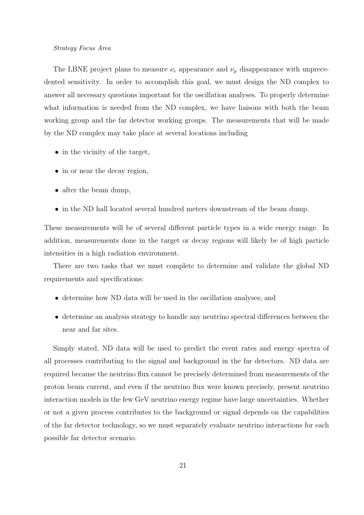### Strategy Focus Area

The LBNE project plans to measure  $\nu_e$  appearance and  $\nu_\mu$  disappearance with unprecedented sensitivity. In order to accomplish this goal, we must design the ND complex to answer all necessary questions important for the oscillation analyses. To properly determine what information is needed from the ND complex, we have liaisons with both the beam working group and the far detector working groups. The measurements that will be made by the ND complex may take place at several locations including

- in the vicinity of the target,
- in or near the decay region,
- after the beam dump,
- in the ND hall located several hundred meters downstream of the beam dump.

These measurements will be of several different particle types in a wide energy range. In addition, measurements done in the target or decay regions will likely be of high particle intensities in a high radiation environment.

There are two tasks that we must complete to determine and validate the global ND requirements and specifications:

- determine how ND data will be used in the oscillation analyses; and
- determine an analysis strategy to handle any neutrino spectral differences between the near and far sites.

Simply stated, ND data will be used to predict the event rates and energy spectra of all processes contributing to the signal and background in the far detectors. ND data are required because the neutrino flux cannot be precisely determined from measurements of the proton beam current, and even if the neutrino flux were known precisely, present neutrino interaction models in the few GeV neutrino energy regime have large uncertainties. Whether or not a given process contributes to the background or signal depends on the capabilities of the far detector technology, so we must separately evaluate neutrino interactions for each possible far detector scenario.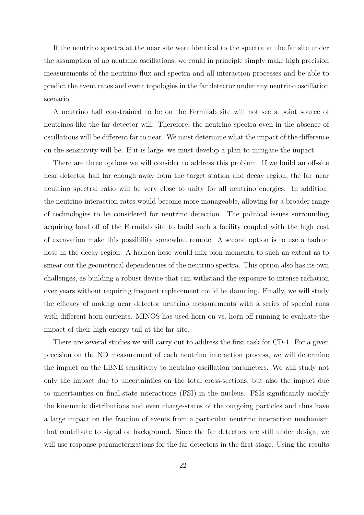If the neutrino spectra at the near site were identical to the spectra at the far site under the assumption of no neutrino oscillations, we could in principle simply make high precision measurements of the neutrino flux and spectra and all interaction processes and be able to predict the event rates and event topologies in the far detector under any neutrino oscillation scenario.

A neutrino hall constrained to be on the Fermilab site will not see a point source of neutrinos like the far detector will. Therefore, the neutrino spectra even in the absence of oscillations will be different far to near. We must determine what the impact of the difference on the sensitivity will be. If it is large, we must develop a plan to mitigate the impact.

There are three options we will consider to address this problem. If we build an off-site near detector hall far enough away from the target station and decay region, the far–near neutrino spectral ratio will be very close to unity for all neutrino energies. In addition, the neutrino interaction rates would become more manageable, allowing for a broader range of technologies to be considered for neutrino detection. The political issues surrounding acquiring land off of the Fermilab site to build such a facility coupled with the high cost of excavation make this possibility somewhat remote. A second option is to use a hadron hose in the decay region. A hadron hose would mix pion momenta to such an extent as to smear out the geometrical dependencies of the neutrino spectra. This option also has its own challenges, as building a robust device that can withstand the exposure to intense radiation over years without requiring frequent replacement could be daunting. Finally, we will study the efficacy of making near detector neutrino measurements with a series of special runs with different horn currents. MINOS has used horn-on vs. horn-off running to evaluate the impact of their high-energy tail at the far site.

There are several studies we will carry out to address the first task for CD-1. For a given precision on the ND measurement of each neutrino interaction process, we will determine the impact on the LBNE sensitivity to neutrino oscillation parameters. We will study not only the impact due to uncertainties on the total cross-sections, but also the impact due to uncertainties on final-state interactions (FSI) in the nucleus. FSIs significantly modify the kinematic distributions and even charge-states of the outgoing particles and thus have a large impact on the fraction of events from a particular neutrino interaction mechanism that contribute to signal or background. Since the far detectors are still under design, we will use response parameterizations for the far detectors in the first stage. Using the results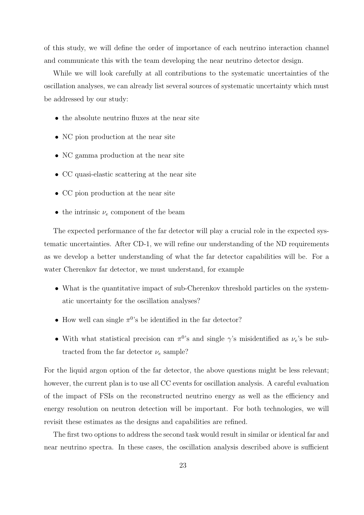of this study, we will define the order of importance of each neutrino interaction channel and communicate this with the team developing the near neutrino detector design.

While we will look carefully at all contributions to the systematic uncertainties of the oscillation analyses, we can already list several sources of systematic uncertainty which must be addressed by our study:

- the absolute neutrino fluxes at the near site
- NC pion production at the near site
- NC gamma production at the near site
- CC quasi-elastic scattering at the near site
- CC pion production at the near site
- the intrinsic  $\nu_e$  component of the beam

The expected performance of the far detector will play a crucial role in the expected systematic uncertainties. After CD-1, we will refine our understanding of the ND requirements as we develop a better understanding of what the far detector capabilities will be. For a water Cherenkov far detector, we must understand, for example

- What is the quantitative impact of sub-Cherenkov threshold particles on the systematic uncertainty for the oscillation analyses?
- How well can single  $\pi^{0}$ 's be identified in the far detector?
- With what statistical precision can  $\pi^0$ 's and single  $\gamma$ 's misidentified as  $\nu_e$ 's be subtracted from the far detector  $\nu_e$  sample?

For the liquid argon option of the far detector, the above questions might be less relevant; however, the current plan is to use all CC events for oscillation analysis. A careful evaluation of the impact of FSIs on the reconstructed neutrino energy as well as the efficiency and energy resolution on neutron detection will be important. For both technologies, we will revisit these estimates as the designs and capabilities are refined.

The first two options to address the second task would result in similar or identical far and near neutrino spectra. In these cases, the oscillation analysis described above is sufficient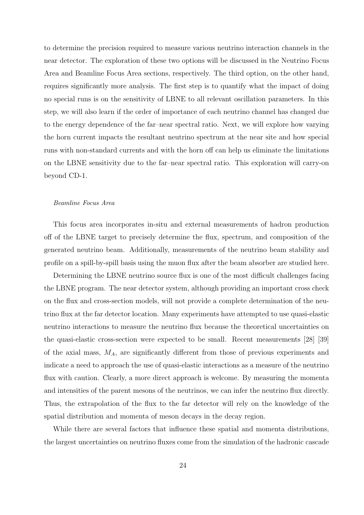to determine the precision required to measure various neutrino interaction channels in the near detector. The exploration of these two options will be discussed in the Neutrino Focus Area and Beamline Focus Area sections, respectively. The third option, on the other hand, requires significantly more analysis. The first step is to quantify what the impact of doing no special runs is on the sensitivity of LBNE to all relevant oscillation parameters. In this step, we will also learn if the order of importance of each neutrino channel has changed due to the energy dependence of the far–near spectral ratio. Next, we will explore how varying the horn current impacts the resultant neutrino spectrum at the near site and how special runs with non-standard currents and with the horn off can help us eliminate the limitations on the LBNE sensitivity due to the far–near spectral ratio. This exploration will carry-on beyond CD-1.

## Beamline Focus Area

This focus area incorporates in-situ and external measurements of hadron production off of the LBNE target to precisely determine the flux, spectrum, and composition of the generated neutrino beam. Additionally, measurements of the neutrino beam stability and profile on a spill-by-spill basis using the muon flux after the beam absorber are studied here.

Determining the LBNE neutrino source flux is one of the most difficult challenges facing the LBNE program. The near detector system, although providing an important cross check on the flux and cross-section models, will not provide a complete determination of the neutrino flux at the far detector location. Many experiments have attempted to use quasi-elastic neutrino interactions to measure the neutrino flux because the theoretical uncertainties on the quasi-elastic cross-section were expected to be small. Recent measurements [28] [39] of the axial mass,  $M_A$ , are significantly different from those of previous experiments and indicate a need to approach the use of quasi-elastic interactions as a measure of the neutrino flux with caution. Clearly, a more direct approach is welcome. By measuring the momenta and intensities of the parent mesons of the neutrinos, we can infer the neutrino flux directly. Thus, the extrapolation of the flux to the far detector will rely on the knowledge of the spatial distribution and momenta of meson decays in the decay region.

While there are several factors that influence these spatial and momenta distributions, the largest uncertainties on neutrino fluxes come from the simulation of the hadronic cascade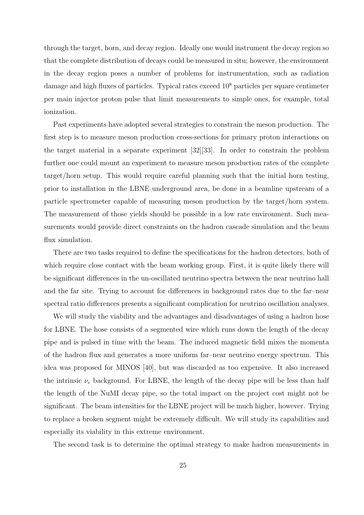through the target, horn, and decay region. Ideally one would instrument the decay region so that the complete distribution of decays could be measured in situ; however, the environment in the decay region poses a number of problems for instrumentation, such as radiation damage and high fluxes of particles. Typical rates exceed 10<sup>8</sup> particles per square centimeter per main injector proton pulse that limit measurements to simple ones, for example, total ionization.

Past experiments have adopted several strategies to constrain the meson production. The first step is to measure meson production cross-sections for primary proton interactions on the target material in a separate experiment [32][33]. In order to constrain the problem further one could mount an experiment to measure meson production rates of the complete target/horn setup. This would require careful planning such that the initial horn testing, prior to installation in the LBNE underground area, be done in a beamline upstream of a particle spectrometer capable of measuring meson production by the target/horn system. The measurement of those yields should be possible in a low rate environment. Such measurements would provide direct constraints on the hadron cascade simulation and the beam flux simulation.

There are two tasks required to define the specifications for the hadron detectors, both of which require close contact with the beam working group. First, it is quite likely there will be significant differences in the un-oscillated neutrino spectra between the near neutrino hall and the far site. Trying to account for differences in background rates due to the far–near spectral ratio differences presents a significant complication for neutrino oscillation analyses.

We will study the viability and the advantages and disadvantages of using a hadron hose for LBNE. The hose consists of a segmented wire which runs down the length of the decay pipe and is pulsed in time with the beam. The induced magnetic field mixes the momenta of the hadron flux and generates a more uniform far–near neutrino energy spectrum. This idea was proposed for MINOS [40], but was discarded as too expensive. It also increased the intrinsic  $\nu_e$  background. For LBNE, the length of the decay pipe will be less than half the length of the NuMI decay pipe, so the total impact on the project cost might not be significant. The beam intensities for the LBNE project will be much higher, however. Trying to replace a broken segment might be extremely difficult. We will study its capabilities and especially its viability in this extreme environment.

The second task is to determine the optimal strategy to make hadron measurements in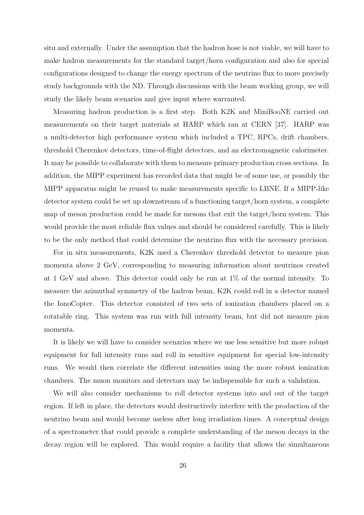situ and externally. Under the assumption that the hadron hose is not viable, we will have to make hadron measurements for the standard target/horn configuration and also for special configurations designed to change the energy spectrum of the neutrino flux to more precisely study backgrounds with the ND. Through discussions with the beam working group, we will study the likely beam scenarios and give input where warranted.

Measuring hadron production is a first step. Both K2K and MiniBooNE carried out measurements on their target materials at HARP which ran at CERN [37]. HARP was a multi-detector high performance system which included a TPC, RPCs, drift chambers, threshold Cherenkov detectors, time-of-flight detectors, and an electromagnetic calorimeter. It may be possible to collaborate with them to measure primary production cross sections. In addition, the MIPP experiment has recorded data that might be of some use, or possibly the MIPP apparatus might be reused to make measurements specific to LBNE. If a MIPP-like detector system could be set up downstream of a functioning target/horn system, a complete map of meson production could be made for mesons that exit the target/horn system. This would provide the most reliable flux values and should be considered carefully. This is likely to be the only method that could determine the neutrino flux with the necessary precision.

For in situ measurements, K2K used a Cherenkov threshold detector to measure pion momenta above 2 GeV, corresponding to measuring information about neutrinos created at 1 GeV and above. This detector could only be run at 1% of the normal intensity. To measure the azimuthal symmetry of the hadron beam, K2K could roll in a detector named the IonoCopter. This detector consisted of two sets of ionization chambers placed on a rotatable ring. This system was run with full intensity beam, but did not measure pion momenta.

It is likely we will have to consider scenarios where we use less sensitive but more robust equipment for full intensity runs and roll in sensitive equipment for special low-intensity runs. We would then correlate the different intensities using the more robust ionization chambers. The muon monitors and detectors may be indispensible for such a validation.

We will also consider mechanisms to roll detector systems into and out of the target region. If left in place, the detectors would destructively interfere with the production of the neutrino beam and would become useless after long irradiation times. A conceptual design of a spectrometer that could provide a complete understanding of the meson decays in the decay region will be explored. This would require a facility that allows the simultaneous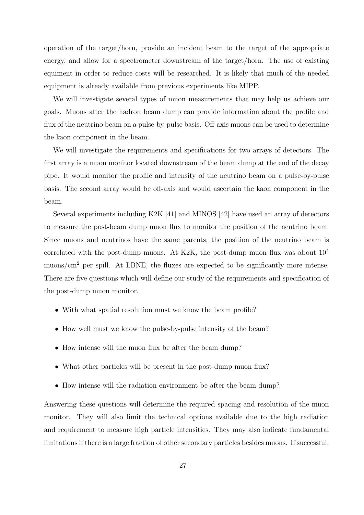operation of the target/horn, provide an incident beam to the target of the appropriate energy, and allow for a spectrometer downstream of the target/horn. The use of existing equiment in order to reduce costs will be researched. It is likely that much of the needed equipment is already available from previous experiments like MIPP.

We will investigate several types of muon measurements that may help us achieve our goals. Muons after the hadron beam dump can provide information about the profile and flux of the neutrino beam on a pulse-by-pulse basis. Off-axis muons can be used to determine the kaon component in the beam.

We will investigate the requirements and specifications for two arrays of detectors. The first array is a muon monitor located downstream of the beam dump at the end of the decay pipe. It would monitor the profile and intensity of the neutrino beam on a pulse-by-pulse basis. The second array would be off-axis and would ascertain the kaon component in the beam.

Several experiments including K2K [41] and MINOS [42] have used an array of detectors to measure the post-beam dump muon flux to monitor the position of the neutrino beam. Since muons and neutrinos have the same parents, the position of the neutrino beam is correlated with the post-dump muons. At K2K, the post-dump muon flux was about  $10^4$ muons/ $\rm cm^2$  per spill. At LBNE, the fluxes are expected to be significantly more intense. There are five questions which will define our study of the requirements and specification of the post-dump muon monitor.

- With what spatial resolution must we know the beam profile?
- How well must we know the pulse-by-pulse intensity of the beam?
- How intense will the muon flux be after the beam dump?
- What other particles will be present in the post-dump muon flux?
- How intense will the radiation environment be after the beam dump?

Answering these questions will determine the required spacing and resolution of the muon monitor. They will also limit the technical options available due to the high radiation and requirement to measure high particle intensities. They may also indicate fundamental limitations if there is a large fraction of other secondary particles besides muons. If successful,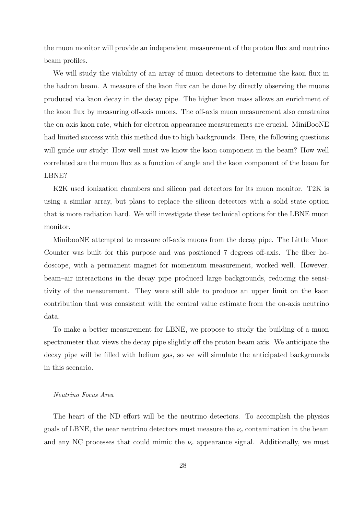the muon monitor will provide an independent measurement of the proton flux and neutrino beam profiles.

We will study the viability of an array of muon detectors to determine the kaon flux in the hadron beam. A measure of the kaon flux can be done by directly observing the muons produced via kaon decay in the decay pipe. The higher kaon mass allows an enrichment of the kaon flux by measuring off-axis muons. The off-axis muon measurement also constrains the on-axis kaon rate, which for electron appearance measurements are crucial. MiniBooNE had limited success with this method due to high backgrounds. Here, the following questions will guide our study: How well must we know the kaon component in the beam? How well correlated are the muon flux as a function of angle and the kaon component of the beam for LBNE?

K2K used ionization chambers and silicon pad detectors for its muon monitor. T2K is using a similar array, but plans to replace the silicon detectors with a solid state option that is more radiation hard. We will investigate these technical options for the LBNE muon monitor.

MinibooNE attempted to measure off-axis muons from the decay pipe. The Little Muon Counter was built for this purpose and was positioned 7 degrees off-axis. The fiber hodoscope, with a permanent magnet for momentum measurement, worked well. However, beam–air interactions in the decay pipe produced large backgrounds, reducing the sensitivity of the measurement. They were still able to produce an upper limit on the kaon contribution that was consistent with the central value estimate from the on-axis neutrino data.

To make a better measurement for LBNE, we propose to study the building of a muon spectrometer that views the decay pipe slightly off the proton beam axis. We anticipate the decay pipe will be filled with helium gas, so we will simulate the anticipated backgrounds in this scenario.

## Neutrino Focus Area

The heart of the ND effort will be the neutrino detectors. To accomplish the physics goals of LBNE, the near neutrino detectors must measure the  $\nu_e$  contamination in the beam and any NC processes that could mimic the  $\nu_e$  appearance signal. Additionally, we must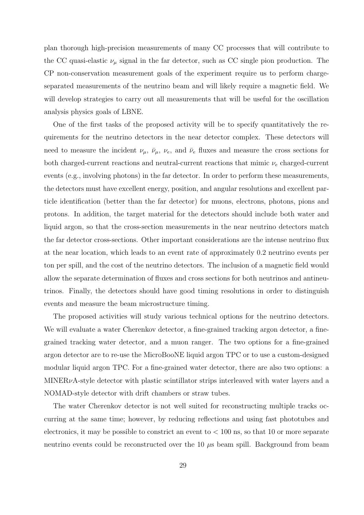plan thorough high-precision measurements of many CC processes that will contribute to the CC quasi-elastic  $\nu_{\mu}$  signal in the far detector, such as CC single pion production. The CP non-conservation measurement goals of the experiment require us to perform chargeseparated measurements of the neutrino beam and will likely require a magnetic field. We will develop strategies to carry out all measurements that will be useful for the oscillation analysis physics goals of LBNE.

One of the first tasks of the proposed activity will be to specify quantitatively the requirements for the neutrino detectors in the near detector complex. These detectors will need to measure the incident  $\nu_{\mu}$ ,  $\bar{\nu}_{\mu}$ ,  $\nu_{e}$ , and  $\bar{\nu}_{e}$  fluxes and measure the cross sections for both charged-current reactions and neutral-current reactions that mimic  $\nu_e$  charged-current events (e.g., involving photons) in the far detector. In order to perform these measurements, the detectors must have excellent energy, position, and angular resolutions and excellent particle identification (better than the far detector) for muons, electrons, photons, pions and protons. In addition, the target material for the detectors should include both water and liquid argon, so that the cross-section measurements in the near neutrino detectors match the far detector cross-sections. Other important considerations are the intense neutrino flux at the near location, which leads to an event rate of approximately 0.2 neutrino events per ton per spill, and the cost of the neutrino detectors. The inclusion of a magnetic field would allow the separate determination of fluxes and cross sections for both neutrinos and antineutrinos. Finally, the detectors should have good timing resolutions in order to distinguish events and measure the beam microstructure timing.

The proposed activities will study various technical options for the neutrino detectors. We will evaluate a water Cherenkov detector, a fine-grained tracking argon detector, a finegrained tracking water detector, and a muon ranger. The two options for a fine-grained argon detector are to re-use the MicroBooNE liquid argon TPC or to use a custom-designed modular liquid argon TPC. For a fine-grained water detector, there are also two options: a  $MINER\nu A$ -style detector with plastic scintillator strips interleaved with water layers and a NOMAD-style detector with drift chambers or straw tubes.

The water Cherenkov detector is not well suited for reconstructing multiple tracks occurring at the same time; however, by reducing reflections and using fast phototubes and electronics, it may be possible to constrict an event to  $< 100$  ns, so that 10 or more separate neutrino events could be reconstructed over the  $10 \mu s$  beam spill. Background from beam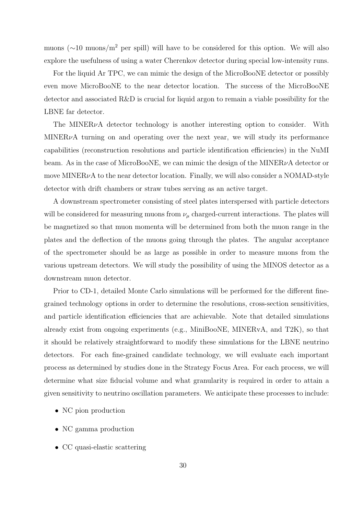muons ( $\sim$ 10 muons/m<sup>2</sup> per spill) will have to be considered for this option. We will also explore the usefulness of using a water Cherenkov detector during special low-intensity runs.

For the liquid Ar TPC, we can mimic the design of the MicroBooNE detector or possibly even move MicroBooNE to the near detector location. The success of the MicroBooNE detector and associated  $R\&D$  is crucial for liquid argon to remain a viable possibility for the LBNE far detector.

The MINER $\nu$ A detector technology is another interesting option to consider. With MINER<sub> $\nu$ </sub>A turning on and operating over the next year, we will study its performance capabilities (reconstruction resolutions and particle identification efficiencies) in the NuMI beam. As in the case of MicroBooNE, we can mimic the design of the MINER $\nu$ A detector or move MINER $\nu$ A to the near detector location. Finally, we will also consider a NOMAD-style detector with drift chambers or straw tubes serving as an active target.

A downstream spectrometer consisting of steel plates interspersed with particle detectors will be considered for measuring muons from  $\nu_{\mu}$  charged-current interactions. The plates will be magnetized so that muon momenta will be determined from both the muon range in the plates and the deflection of the muons going through the plates. The angular acceptance of the spectrometer should be as large as possible in order to measure muons from the various upstream detectors. We will study the possibility of using the MINOS detector as a downstream muon detector.

Prior to CD-1, detailed Monte Carlo simulations will be performed for the different finegrained technology options in order to determine the resolutions, cross-section sensitivities, and particle identification efficiencies that are achievable. Note that detailed simulations already exist from ongoing experiments (e.g., MiniBooNE, MINERvA, and T2K), so that it should be relatively straightforward to modify these simulations for the LBNE neutrino detectors. For each fine-grained candidate technology, we will evaluate each important process as determined by studies done in the Strategy Focus Area. For each process, we will determine what size fiducial volume and what granularity is required in order to attain a given sensitivity to neutrino oscillation parameters. We anticipate these processes to include:

- NC pion production
- NC gamma production
- CC quasi-elastic scattering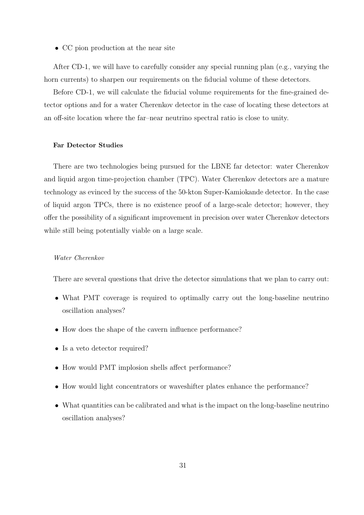• CC pion production at the near site

After CD-1, we will have to carefully consider any special running plan (e.g., varying the horn currents) to sharpen our requirements on the fiducial volume of these detectors.

Before CD-1, we will calculate the fiducial volume requirements for the fine-grained detector options and for a water Cherenkov detector in the case of locating these detectors at an off-site location where the far–near neutrino spectral ratio is close to unity.

# Far Detector Studies

There are two technologies being pursued for the LBNE far detector: water Cherenkov and liquid argon time-projection chamber (TPC). Water Cherenkov detectors are a mature technology as evinced by the success of the 50-kton Super-Kamiokande detector. In the case of liquid argon TPCs, there is no existence proof of a large-scale detector; however, they offer the possibility of a significant improvement in precision over water Cherenkov detectors while still being potentially viable on a large scale.

# Water Cherenkov

There are several questions that drive the detector simulations that we plan to carry out:

- What PMT coverage is required to optimally carry out the long-baseline neutrino oscillation analyses?
- How does the shape of the cavern influence performance?
- Is a veto detector required?
- How would PMT implosion shells affect performance?
- How would light concentrators or waveshifter plates enhance the performance?
- What quantities can be calibrated and what is the impact on the long-baseline neutrino oscillation analyses?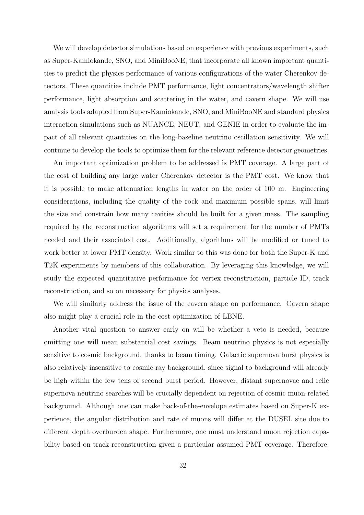We will develop detector simulations based on experience with previous experiments, such as Super-Kamiokande, SNO, and MiniBooNE, that incorporate all known important quantities to predict the physics performance of various configurations of the water Cherenkov detectors. These quantities include PMT performance, light concentrators/wavelength shifter performance, light absorption and scattering in the water, and cavern shape. We will use analysis tools adapted from Super-Kamiokande, SNO, and MiniBooNE and standard physics interaction simulations such as NUANCE, NEUT, and GENIE in order to evaluate the impact of all relevant quantities on the long-baseline neutrino oscillation sensitivity. We will continue to develop the tools to optimize them for the relevant reference detector geometries.

An important optimization problem to be addressed is PMT coverage. A large part of the cost of building any large water Cherenkov detector is the PMT cost. We know that it is possible to make attenuation lengths in water on the order of 100 m. Engineering considerations, including the quality of the rock and maximum possible spans, will limit the size and constrain how many cavities should be built for a given mass. The sampling required by the reconstruction algorithms will set a requirement for the number of PMTs needed and their associated cost. Additionally, algorithms will be modified or tuned to work better at lower PMT density. Work similar to this was done for both the Super-K and T2K experiments by members of this collaboration. By leveraging this knowledge, we will study the expected quantitative performance for vertex reconstruction, particle ID, track reconstruction, and so on necessary for physics analyses.

We will similarly address the issue of the cavern shape on performance. Cavern shape also might play a crucial role in the cost-optimization of LBNE.

Another vital question to answer early on will be whether a veto is needed, because omitting one will mean substantial cost savings. Beam neutrino physics is not especially sensitive to cosmic background, thanks to beam timing. Galactic supernova burst physics is also relatively insensitive to cosmic ray background, since signal to background will already be high within the few tens of second burst period. However, distant supernovae and relic supernova neutrino searches will be crucially dependent on rejection of cosmic muon-related background. Although one can make back-of-the-envelope estimates based on Super-K experience, the angular distribution and rate of muons will differ at the DUSEL site due to different depth overburden shape. Furthermore, one must understand muon rejection capability based on track reconstruction given a particular assumed PMT coverage. Therefore,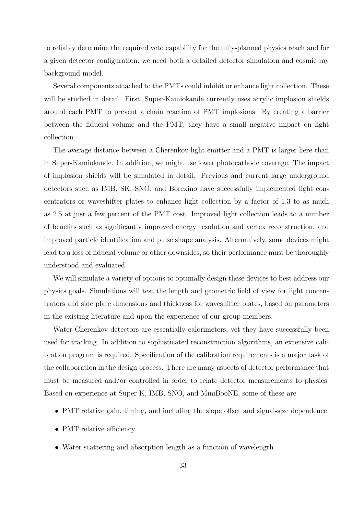to reliably determine the required veto capability for the fully-planned physics reach and for a given detector configuration, we need both a detailed detector simulation and cosmic ray background model.

Several components attached to the PMTs could inhibit or enhance light collection. These will be studied in detail. First, Super-Kamiokande currently uses acrylic implosion shields around each PMT to prevent a chain reaction of PMT implosions. By creating a barrier between the fiducial volume and the PMT, they have a small negative impact on light collection.

The average distance between a Cherenkov-light emitter and a PMT is larger here than in Super-Kamiokande. In addition, we might use lower photocathode coverage. The impact of implosion shields will be simulated in detail. Previous and current large underground detectors such as IMB, SK, SNO, and Borexino have successfully implemented light concentrators or waveshifter plates to enhance light collection by a factor of 1.3 to as much as 2.5 at just a few percent of the PMT cost. Improved light collection leads to a number of benefits such as significantly improved energy resolution and vertex reconstruction, and improved particle identification and pulse shape analysis. Alternatively, some devices might lead to a loss of fiducial volume or other downsides, so their performance must be thoroughly understood and evaluated.

We will simulate a variety of options to optimally design these devices to best address our physics goals. Simulations will test the length and geometric field of view for light concentrators and side plate dimensions and thickness for waveshifter plates, based on parameters in the existing literature and upon the experience of our group members.

Water Cherenkov detectors are essentially calorimeters, yet they have successfully been used for tracking. In addition to sophisticated reconstruction algorithms, an extensive calibration program is required. Specification of the calibration requirements is a major task of the collaboration in the design process. There are many aspects of detector performance that must be measured and/or controlled in order to relate detector measurements to physics. Based on experience at Super-K, IMB, SNO, and MiniBooNE, some of these are

- PMT relative gain, timing, and including the slope offset and signal-size dependence
- PMT relative efficiency
- Water scattering and absorption length as a function of wavelength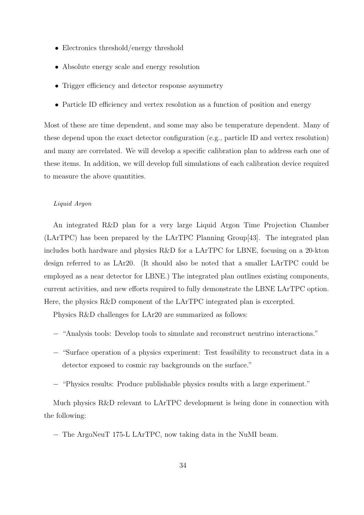- Electronics threshold/energy threshold
- Absolute energy scale and energy resolution
- Trigger efficiency and detector response asymmetry
- Particle ID efficiency and vertex resolution as a function of position and energy

Most of these are time dependent, and some may also be temperature dependent. Many of these depend upon the exact detector configuration (e.g., particle ID and vertex resolution) and many are correlated. We will develop a specific calibration plan to address each one of these items. In addition, we will develop full simulations of each calibration device required to measure the above quantities.

## Liquid Argon

An integrated R&D plan for a very large Liquid Argon Time Projection Chamber (LArTPC) has been prepared by the LArTPC Planning Group[43]. The integrated plan includes both hardware and physics R&D for a LArTPC for LBNE, focusing on a 20-kton design referred to as LAr20. (It should also be noted that a smaller LArTPC could be employed as a near detector for LBNE.) The integrated plan outlines existing components, current activities, and new efforts required to fully demonstrate the LBNE LArTPC option. Here, the physics R&D component of the LArTPC integrated plan is excerpted.

Physics R&D challenges for LAr20 are summarized as follows:

- − "Analysis tools: Develop tools to simulate and reconstruct neutrino interactions."
- − "Surface operation of a physics experiment: Test feasibility to reconstruct data in a detector exposed to cosmic ray backgrounds on the surface."
- − "Physics results: Produce publishable physics results with a large experiment."

Much physics R&D relevant to LArTPC development is being done in connection with the following:

− The ArgoNeuT 175-L LArTPC, now taking data in the NuMI beam.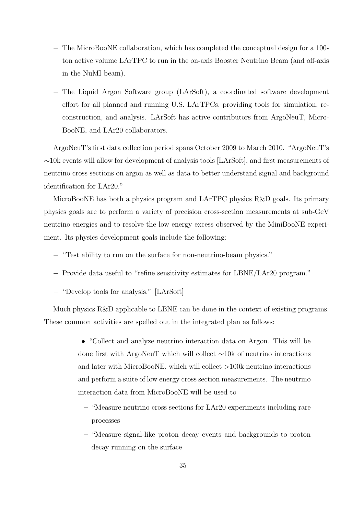- − The MicroBooNE collaboration, which has completed the conceptual design for a 100 ton active volume LArTPC to run in the on-axis Booster Neutrino Beam (and off-axis in the NuMI beam).
- − The Liquid Argon Software group (LArSoft), a coordinated software development effort for all planned and running U.S. LArTPCs, providing tools for simulation, reconstruction, and analysis. LArSoft has active contributors from ArgoNeuT, Micro-BooNE, and LAr20 collaborators.

ArgoNeuT's first data collection period spans October 2009 to March 2010. "ArgoNeuT's ∼10k events will allow for development of analysis tools [LArSoft], and first measurements of neutrino cross sections on argon as well as data to better understand signal and background identification for LAr20."

MicroBooNE has both a physics program and LArTPC physics R&D goals. Its primary physics goals are to perform a variety of precision cross-section measurements at sub-GeV neutrino energies and to resolve the low energy excess observed by the MiniBooNE experiment. Its physics development goals include the following:

- − "Test ability to run on the surface for non-neutrino-beam physics."
- − Provide data useful to "refine sensitivity estimates for LBNE/LAr20 program."
- − "Develop tools for analysis." [LArSoft]

Much physics R&D applicable to LBNE can be done in the context of existing programs. These common activities are spelled out in the integrated plan as follows:

> • "Collect and analyze neutrino interaction data on Argon. This will be done first with ArgoNeuT which will collect ∼10k of neutrino interactions and later with MicroBooNE, which will collect >100k neutrino interactions and perform a suite of low energy cross section measurements. The neutrino interaction data from MicroBooNE will be used to

- "Measure neutrino cross sections for LAr20 experiments including rare processes
- "Measure signal-like proton decay events and backgrounds to proton decay running on the surface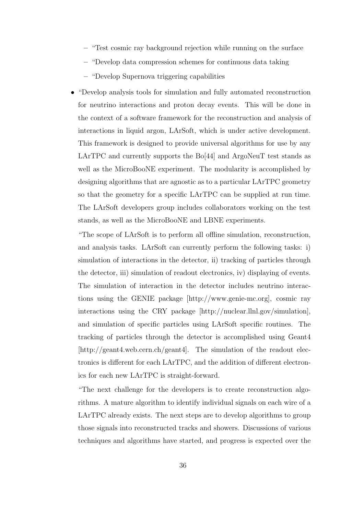- "Test cosmic ray background rejection while running on the surface
- "Develop data compression schemes for continuous data taking
- "Develop Supernova triggering capabilities
- "Develop analysis tools for simulation and fully automated reconstruction for neutrino interactions and proton decay events. This will be done in the context of a software framework for the reconstruction and analysis of interactions in liquid argon, LArSoft, which is under active development. This framework is designed to provide universal algorithms for use by any LArTPC and currently supports the  $Bo[44]$  and ArgoNeuT test stands as well as the MicroBooNE experiment. The modularity is accomplished by designing algorithms that are agnostic as to a particular LArTPC geometry so that the geometry for a specific LArTPC can be supplied at run time. The LArSoft developers group includes collaborators working on the test stands, as well as the MicroBooNE and LBNE experiments.

"The scope of LArSoft is to perform all offline simulation, reconstruction, and analysis tasks. LArSoft can currently perform the following tasks: i) simulation of interactions in the detector, ii) tracking of particles through the detector, iii) simulation of readout electronics, iv) displaying of events. The simulation of interaction in the detector includes neutrino interactions using the GENIE package [http://www.genie-mc.org], cosmic ray interactions using the CRY package [http://nuclear.llnl.gov/simulation], and simulation of specific particles using LArSoft specific routines. The tracking of particles through the detector is accomplished using Geant4 [http://geant4.web.cern.ch/geant4]. The simulation of the readout electronics is different for each LArTPC, and the addition of different electronics for each new LArTPC is straight-forward.

"The next challenge for the developers is to create reconstruction algorithms. A mature algorithm to identify individual signals on each wire of a LArTPC already exists. The next steps are to develop algorithms to group those signals into reconstructed tracks and showers. Discussions of various techniques and algorithms have started, and progress is expected over the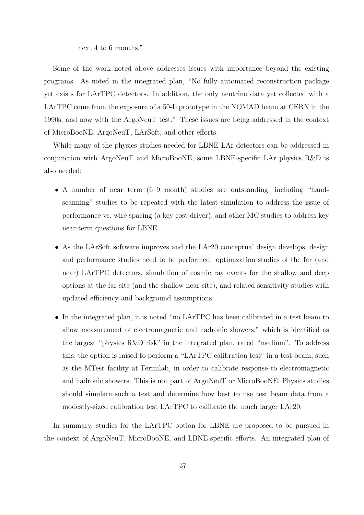next 4 to 6 months."

Some of the work noted above addresses issues with importance beyond the existing programs. As noted in the integrated plan, "No fully automated reconstruction package yet exists for LArTPC detectors. In addition, the only neutrino data yet collected with a LArTPC come from the exposure of a 50-L prototype in the NOMAD beam at CERN in the 1990s, and now with the ArgoNeuT test." These issues are being addressed in the context of MicroBooNE, ArgoNeuT, LArSoft, and other efforts.

While many of the physics studies needed for LBNE LAr detectors can be addressed in conjunction with ArgoNeuT and MicroBooNE, some LBNE-specific LAr physics R&D is also needed:

- A number of near term (6–9 month) studies are outstanding, including "handscanning" studies to be repeated with the latest simulation to address the issue of performance vs. wire spacing (a key cost driver), and other MC studies to address key near-term questions for LBNE.
- As the LArSoft software improves and the LAr20 conceptual design develops, design and performance studies need to be performed: optimization studies of the far (and near) LArTPC detectors, simulation of cosmic ray events for the shallow and deep options at the far site (and the shallow near site), and related sensitivity studies with updated efficiency and background assumptions.
- In the integrated plan, it is noted "no LArTPC has been calibrated in a test beam to allow measurement of electromagnetic and hadronic showers," which is identified as the largest "physics R&D risk" in the integrated plan, rated "medium". To address this, the option is raised to perform a "LArTPC calibration test" in a test beam, such as the MTest facility at Fermilab, in order to calibrate response to electromagnetic and hadronic showers. This is not part of ArgoNeuT or MicroBooNE. Physics studies should simulate such a test and determine how best to use test beam data from a modestly-sized calibration test LArTPC to calibrate the much larger LAr20.

In summary, studies for the LArTPC option for LBNE are proposed to be pursued in the context of ArgoNeuT, MicroBooNE, and LBNE-specific efforts. An integrated plan of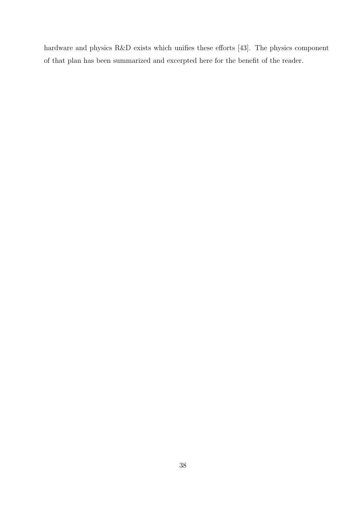hardware and physics R&D exists which unifies these efforts [43]. The physics component of that plan has been summarized and excerpted here for the benefit of the reader.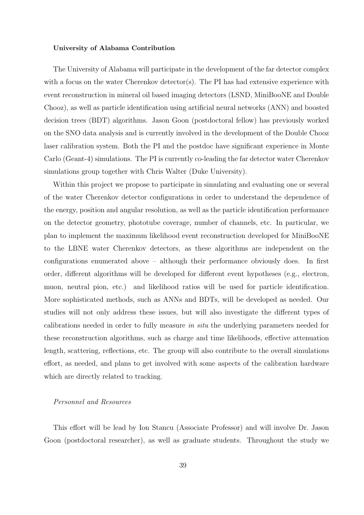#### University of Alabama Contribution

The University of Alabama will participate in the development of the far detector complex with a focus on the water Cherenkov detector(s). The PI has had extensive experience with event reconstruction in mineral oil based imaging detectors (LSND, MiniBooNE and Double Chooz), as well as particle identification using artificial neural networks (ANN) and boosted decision trees (BDT) algorithms. Jason Goon (postdoctoral fellow) has previously worked on the SNO data analysis and is currently involved in the development of the Double Chooz laser calibration system. Both the PI and the postdoc have significant experience in Monte Carlo (Geant-4) simulations. The PI is currently co-leading the far detector water Cherenkov simulations group together with Chris Walter (Duke University).

Within this project we propose to participate in simulating and evaluating one or several of the water Cherenkov detector configurations in order to understand the dependence of the energy, position and angular resolution, as well as the particle identification performance on the detector geometry, phototube coverage, number of channels, etc. In particular, we plan to implement the maximum likelihood event reconstruction developed for MiniBooNE to the LBNE water Cherenkov detectors, as these algorithms are independent on the configurations enumerated above – although their performance obviously does. In first order, different algorithms will be developed for different event hypotheses (e.g., electron, muon, neutral pion, etc.) and likelihood ratios will be used for particle identification. More sophisticated methods, such as ANNs and BDTs, will be developed as needed. Our studies will not only address these issues, but will also investigate the different types of calibrations needed in order to fully measure in situ the underlying parameters needed for these reconstruction algorithms, such as charge and time likelihoods, effective attenuation length, scattering, reflections, etc. The group will also contribute to the overall simulations effort, as needed, and plans to get involved with some aspects of the calibration hardware which are directly related to tracking.

# Personnel and Resources

This effort will be lead by Ion Stancu (Associate Professor) and will involve Dr. Jason Goon (postdoctoral researcher), as well as graduate students. Throughout the study we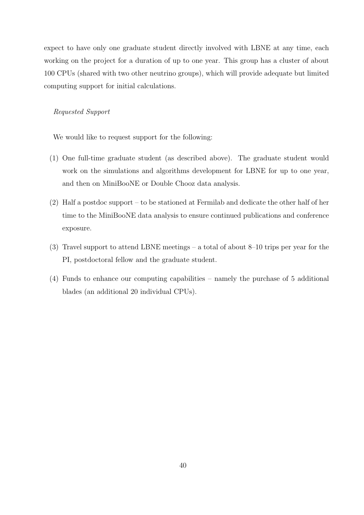expect to have only one graduate student directly involved with LBNE at any time, each working on the project for a duration of up to one year. This group has a cluster of about 100 CPUs (shared with two other neutrino groups), which will provide adequate but limited computing support for initial calculations.

# Requested Support

We would like to request support for the following:

- (1) One full-time graduate student (as described above). The graduate student would work on the simulations and algorithms development for LBNE for up to one year, and then on MiniBooNE or Double Chooz data analysis.
- (2) Half a postdoc support to be stationed at Fermilab and dedicate the other half of her time to the MiniBooNE data analysis to ensure continued publications and conference exposure.
- (3) Travel support to attend LBNE meetings a total of about 8–10 trips per year for the PI, postdoctoral fellow and the graduate student.
- (4) Funds to enhance our computing capabilities namely the purchase of 5 additional blades (an additional 20 individual CPUs).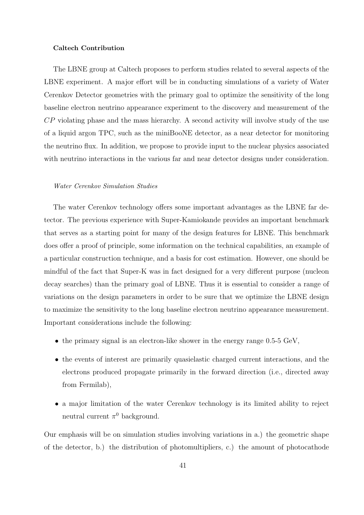#### Caltech Contribution

The LBNE group at Caltech proposes to perform studies related to several aspects of the LBNE experiment. A major effort will be in conducting simulations of a variety of Water Cerenkov Detector geometries with the primary goal to optimize the sensitivity of the long baseline electron neutrino appearance experiment to the discovery and measurement of the CP violating phase and the mass hierarchy. A second activity will involve study of the use of a liquid argon TPC, such as the miniBooNE detector, as a near detector for monitoring the neutrino flux. In addition, we propose to provide input to the nuclear physics associated with neutrino interactions in the various far and near detector designs under consideration.

# Water Cerenkov Simulation Studies

The water Cerenkov technology offers some important advantages as the LBNE far detector. The previous experience with Super-Kamiokande provides an important benchmark that serves as a starting point for many of the design features for LBNE. This benchmark does offer a proof of principle, some information on the technical capabilities, an example of a particular construction technique, and a basis for cost estimation. However, one should be mindful of the fact that Super-K was in fact designed for a very different purpose (nucleon decay searches) than the primary goal of LBNE. Thus it is essential to consider a range of variations on the design parameters in order to be sure that we optimize the LBNE design to maximize the sensitivity to the long baseline electron neutrino appearance measurement. Important considerations include the following:

- the primary signal is an electron-like shower in the energy range  $0.5-5$  GeV,
- the events of interest are primarily quasielastic charged current interactions, and the electrons produced propagate primarily in the forward direction (i.e., directed away from Fermilab),
- a major limitation of the water Cerenkov technology is its limited ability to reject neutral current  $\pi^0$  background.

Our emphasis will be on simulation studies involving variations in a.) the geometric shape of the detector, b.) the distribution of photomultipliers, c.) the amount of photocathode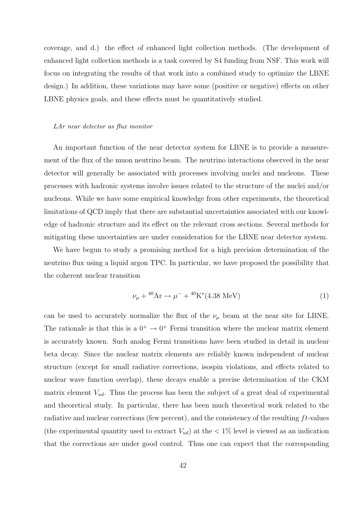coverage, and d.) the effect of enhanced light collection methods. (The development of enhanced light collection methods is a task covered by S4 funding from NSF. This work will focus on integrating the results of that work into a combined study to optimize the LBNE design.) In addition, these variations may have some (positive or negative) effects on other LBNE physics goals, and these effects must be quantitatively studied.

#### LAr near detector as flux monitor

An important function of the near detector system for LBNE is to provide a measurement of the flux of the muon neutrino beam. The neutrino interactions observed in the near detector will generally be associated with processes involving nuclei and nucleons. These processes with hadronic systems involve issues related to the structure of the nuclei and/or nucleons. While we have some empirical knowledge from other experiments, the theoretical limitations of QCD imply that there are substantial uncertainties associated with our knowledge of hadronic structure and its effect on the relevant cross sections. Several methods for mitigating these uncertainties are under consideration for the LBNE near detector system.

We have begun to study a promising method for a high precision determination of the neutrino flux using a liquid argon TPC. In particular, we have proposed the possibility that the coherent nuclear transition

$$
\nu_{\mu} + {}^{40}\text{Ar} \rightarrow \mu^{-} + {}^{40}\text{K}^{*}(4.38 \text{ MeV})
$$
 (1)

can be used to accurately normalize the flux of the  $\nu_{\mu}$  beam at the near site for LBNE. The rationale is that this is a  $0^+ \rightarrow 0^+$  Fermi transition where the nuclear matrix element is accurately known. Such analog Fermi transitions have been studied in detail in nuclear beta decay. Since the nuclear matrix elements are reliably known independent of nuclear structure (except for small radiative corrections, isospin violations, and effects related to nuclear wave function overlap), these decays enable a precise determination of the CKM matrix element  $V_{ud}$ . Thus the process has been the subject of a great deal of experimental and theoretical study. In particular, there has been much theoretical work related to the radiative and nuclear corrections (few percent), and the consistency of the resulting  $ft$ -values (the experimental quantity used to extract  $V_{ud}$ ) at the  $\lt 1\%$  level is viewed as an indication that the corrections are under good control. Thus one can expect that the corresponding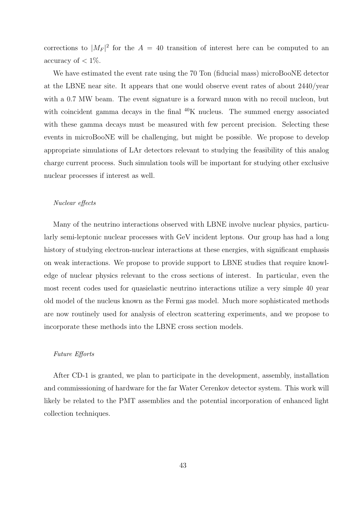corrections to  $|M_F|^2$  for the  $A = 40$  transition of interest here can be computed to an accuracy of  $< 1\%$ .

We have estimated the event rate using the 70 Ton (fiducial mass) microBooNE detector at the LBNE near site. It appears that one would observe event rates of about 2440/year with a 0.7 MW beam. The event signature is a forward muon with no recoil nucleon, but with coincident gamma decays in the final  ${}^{40}K$  nucleus. The summed energy associated with these gamma decays must be measured with few percent precision. Selecting these events in microBooNE will be challenging, but might be possible. We propose to develop appropriate simulations of LAr detectors relevant to studying the feasibility of this analog charge current process. Such simulation tools will be important for studying other exclusive nuclear processes if interest as well.

#### Nuclear effects

Many of the neutrino interactions observed with LBNE involve nuclear physics, particularly semi-leptonic nuclear processes with GeV incident leptons. Our group has had a long history of studying electron-nuclear interactions at these energies, with significant emphasis on weak interactions. We propose to provide support to LBNE studies that require knowledge of nuclear physics relevant to the cross sections of interest. In particular, even the most recent codes used for quasielastic neutrino interactions utilize a very simple 40 year old model of the nucleus known as the Fermi gas model. Much more sophisticated methods are now routinely used for analysis of electron scattering experiments, and we propose to incorporate these methods into the LBNE cross section models.

## Future Efforts

After CD-1 is granted, we plan to participate in the development, assembly, installation and commisssioning of hardware for the far Water Cerenkov detector system. This work will likely be related to the PMT assemblies and the potential incorporation of enhanced light collection techniques.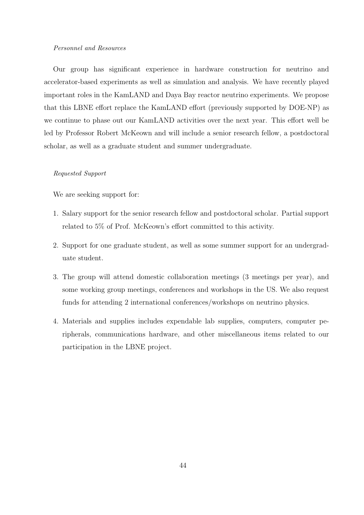## Personnel and Resources

Our group has significant experience in hardware construction for neutrino and accelerator-based experiments as well as simulation and analysis. We have recently played important roles in the KamLAND and Daya Bay reactor neutrino experiments. We propose that this LBNE effort replace the KamLAND effort (previously supported by DOE-NP) as we continue to phase out our KamLAND activities over the next year. This effort well be led by Professor Robert McKeown and will include a senior research fellow, a postdoctoral scholar, as well as a graduate student and summer undergraduate.

## Requested Support

We are seeking support for:

- 1. Salary support for the senior research fellow and postdoctoral scholar. Partial support related to 5% of Prof. McKeown's effort committed to this activity.
- 2. Support for one graduate student, as well as some summer support for an undergraduate student.
- 3. The group will attend domestic collaboration meetings (3 meetings per year), and some working group meetings, conferences and workshops in the US. We also request funds for attending 2 international conferences/workshops on neutrino physics.
- 4. Materials and supplies includes expendable lab supplies, computers, computer peripherals, communications hardware, and other miscellaneous items related to our participation in the LBNE project.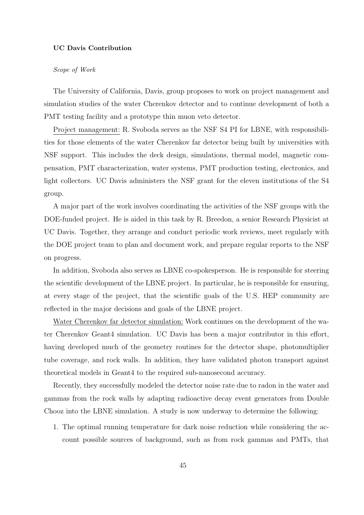#### UC Davis Contribution

### Scope of Work

The University of California, Davis, group proposes to work on project management and simulation studies of the water Cherenkov detector and to continue development of both a PMT testing facility and a prototype thin muon veto detector.

Project management: R. Svoboda serves as the NSF S4 PI for LBNE, with responsibilities for those elements of the water Cherenkov far detector being built by universities with NSF support. This includes the deck design, simulations, thermal model, magnetic compensation, PMT characterization, water systems, PMT production testing, electronics, and light collectors. UC Davis administers the NSF grant for the eleven institutions of the S4 group.

A major part of the work involves coordinating the activities of the NSF groups with the DOE-funded project. He is aided in this task by R. Breedon, a senior Research Physicist at UC Davis. Together, they arrange and conduct periodic work reviews, meet regularly with the DOE project team to plan and document work, and prepare regular reports to the NSF on progress.

In addition, Svoboda also serves as LBNE co-spokesperson. He is responsible for steering the scientific development of the LBNE project. In particular, he is responsible for ensuring, at every stage of the project, that the scientific goals of the U.S. HEP community are reflected in the major decisions and goals of the LBNE project.

Water Cherenkov far detector simulation: Work continues on the development of the water Cherenkov Geant4 simulation. UC Davis has been a major contributor in this effort, having developed much of the geometry routines for the detector shape, photomultiplier tube coverage, and rock walls. In addition, they have validated photon transport against theoretical models in Geant4 to the required sub-nanosecond accuracy.

Recently, they successfully modeled the detector noise rate due to radon in the water and gammas from the rock walls by adapting radioactive decay event generators from Double Chooz into the LBNE simulation. A study is now underway to determine the following:

1. The optimal running temperature for dark noise reduction while considering the account possible sources of background, such as from rock gammas and PMTs, that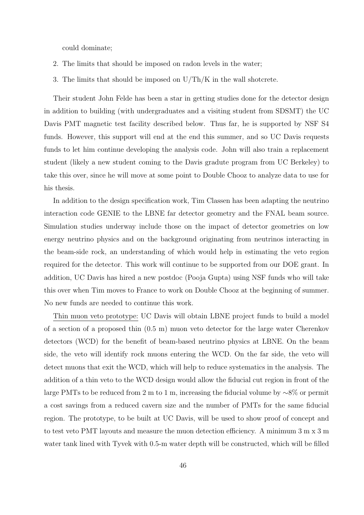could dominate;

- 2. The limits that should be imposed on radon levels in the water;
- 3. The limits that should be imposed on U/Th/K in the wall shotcrete.

Their student John Felde has been a star in getting studies done for the detector design in addition to building (with undergraduates and a visiting student from SDSMT) the UC Davis PMT magnetic test facility described below. Thus far, he is supported by NSF S4 funds. However, this support will end at the end this summer, and so UC Davis requests funds to let him continue developing the analysis code. John will also train a replacement student (likely a new student coming to the Davis gradute program from UC Berkeley) to take this over, since he will move at some point to Double Chooz to analyze data to use for his thesis.

In addition to the design specification work, Tim Classen has been adapting the neutrino interaction code GENIE to the LBNE far detector geometry and the FNAL beam source. Simulation studies underway include those on the impact of detector geometries on low energy neutrino physics and on the background originating from neutrinos interacting in the beam-side rock, an understanding of which would help in estimating the veto region required for the detector. This work will continue to be supported from our DOE grant. In addition, UC Davis has hired a new postdoc (Pooja Gupta) using NSF funds who will take this over when Tim moves to France to work on Double Chooz at the beginning of summer. No new funds are needed to continue this work.

Thin muon veto prototype: UC Davis will obtain LBNE project funds to build a model of a section of a proposed thin (0.5 m) muon veto detector for the large water Cherenkov detectors (WCD) for the benefit of beam-based neutrino physics at LBNE. On the beam side, the veto will identify rock muons entering the WCD. On the far side, the veto will detect muons that exit the WCD, which will help to reduce systematics in the analysis. The addition of a thin veto to the WCD design would allow the fiducial cut region in front of the large PMTs to be reduced from 2 m to 1 m, increasing the fiducial volume by ∼8% or permit a cost savings from a reduced cavern size and the number of PMTs for the same fiducial region. The prototype, to be built at UC Davis, will be used to show proof of concept and to test veto PMT layouts and measure the muon detection efficiency. A minimum 3 m x 3 m water tank lined with Tyvek with 0.5-m water depth will be constructed, which will be filled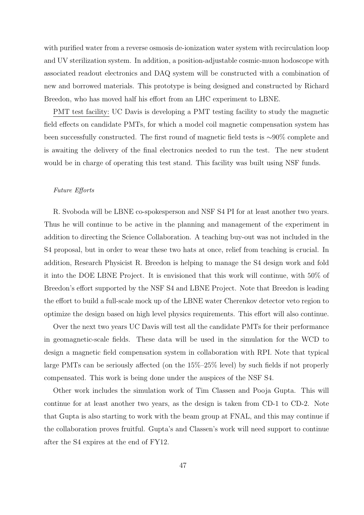with purified water from a reverse osmosis de-ionization water system with recirculation loop and UV sterilization system. In addition, a position-adjustable cosmic-muon hodoscope with associated readout electronics and DAQ system will be constructed with a combination of new and borrowed materials. This prototype is being designed and constructed by Richard Breedon, who has moved half his effort from an LHC experiment to LBNE.

PMT test facility: UC Davis is developing a PMT testing facility to study the magnetic field effects on candidate PMTs, for which a model coil magnetic compensation system has been successfully constructed. The first round of magnetic field tests is ∼90% complete and is awaiting the delivery of the final electronics needed to run the test. The new student would be in charge of operating this test stand. This facility was built using NSF funds.

#### Future Efforts

R. Svoboda will be LBNE co-spokesperson and NSF S4 PI for at least another two years. Thus he will continue to be active in the planning and management of the experiment in addition to directing the Science Collaboration. A teaching buy-out was not included in the S4 proposal, but in order to wear these two hats at once, relief from teaching is crucial. In addition, Research Physicist R. Breedon is helping to manage the S4 design work and fold it into the DOE LBNE Project. It is envisioned that this work will continue, with 50% of Breedon's effort supported by the NSF S4 and LBNE Project. Note that Breedon is leading the effort to build a full-scale mock up of the LBNE water Cherenkov detector veto region to optimize the design based on high level physics requirements. This effort will also continue.

Over the next two years UC Davis will test all the candidate PMTs for their performance in geomagnetic-scale fields. These data will be used in the simulation for the WCD to design a magnetic field compensation system in collaboration with RPI. Note that typical large PMTs can be seriously affected (on the 15%–25% level) by such fields if not properly compensated. This work is being done under the auspices of the NSF S4.

Other work includes the simulation work of Tim Classen and Pooja Gupta. This will continue for at least another two years, as the design is taken from CD-1 to CD-2. Note that Gupta is also starting to work with the beam group at FNAL, and this may continue if the collaboration proves fruitful. Gupta's and Classen's work will need support to continue after the S4 expires at the end of FY12.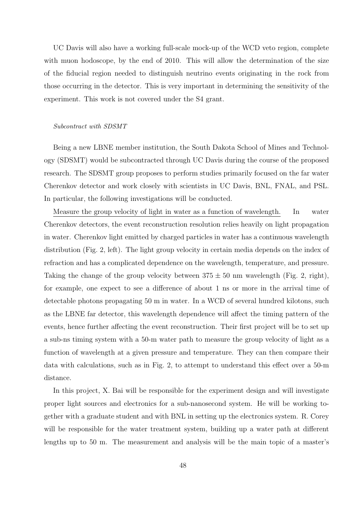UC Davis will also have a working full-scale mock-up of the WCD veto region, complete with muon hodoscope, by the end of 2010. This will allow the determination of the size of the fiducial region needed to distinguish neutrino events originating in the rock from those occurring in the detector. This is very important in determining the sensitivity of the experiment. This work is not covered under the S4 grant.

#### Subcontract with SDSMT

Being a new LBNE member institution, the South Dakota School of Mines and Technology (SDSMT) would be subcontracted through UC Davis during the course of the proposed research. The SDSMT group proposes to perform studies primarily focused on the far water Cherenkov detector and work closely with scientists in UC Davis, BNL, FNAL, and PSL. In particular, the following investigations will be conducted.

Measure the group velocity of light in water as a function of wavelength. In water Cherenkov detectors, the event reconstruction resolution relies heavily on light propagation in water. Cherenkov light emitted by charged particles in water has a continuous wavelength distribution (Fig. 2, left). The light group velocity in certain media depends on the index of refraction and has a complicated dependence on the wavelength, temperature, and pressure. Taking the change of the group velocity between  $375 \pm 50$  nm wavelength (Fig. 2, right), for example, one expect to see a difference of about 1 ns or more in the arrival time of detectable photons propagating 50 m in water. In a WCD of several hundred kilotons, such as the LBNE far detector, this wavelength dependence will affect the timing pattern of the events, hence further affecting the event reconstruction. Their first project will be to set up a sub-ns timing system with a 50-m water path to measure the group velocity of light as a function of wavelength at a given pressure and temperature. They can then compare their data with calculations, such as in Fig. 2, to attempt to understand this effect over a 50-m distance.

In this project, X. Bai will be responsible for the experiment design and will investigate proper light sources and electronics for a sub-nanosecond system. He will be working together with a graduate student and with BNL in setting up the electronics system. R. Corey will be responsible for the water treatment system, building up a water path at different lengths up to 50 m. The measurement and analysis will be the main topic of a master's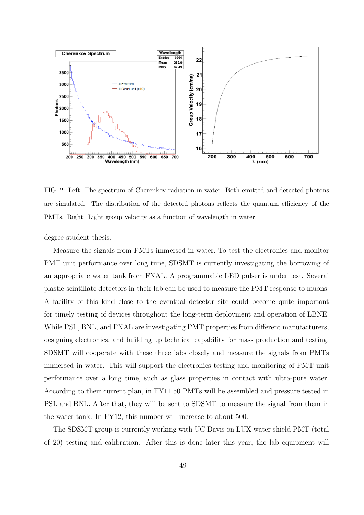

FIG. 2: Left: The spectrum of Cherenkov radiation in water. Both emitted and detected photons are simulated. The distribution of the detected photons reflects the quantum efficiency of the PMTs. Right: Light group velocity as a function of wavelength in water.

degree student thesis.

Measure the signals from PMTs immersed in water. To test the electronics and monitor PMT unit performance over long time, SDSMT is currently investigating the borrowing of an appropriate water tank from FNAL. A programmable LED pulser is under test. Several plastic scintillate detectors in their lab can be used to measure the PMT response to muons. A facility of this kind close to the eventual detector site could become quite important for timely testing of devices throughout the long-term deployment and operation of LBNE. While PSL, BNL, and FNAL are investigating PMT properties from different manufacturers, designing electronics, and building up technical capability for mass production and testing, SDSMT will cooperate with these three labs closely and measure the signals from PMTs immersed in water. This will support the electronics testing and monitoring of PMT unit performance over a long time, such as glass properties in contact with ultra-pure water. According to their current plan, in FY11 50 PMTs will be assembled and pressure tested in PSL and BNL. After that, they will be sent to SDSMT to measure the signal from them in the water tank. In FY12, this number will increase to about 500.

The SDSMT group is currently working with UC Davis on LUX water shield PMT (total of 20) testing and calibration. After this is done later this year, the lab equipment will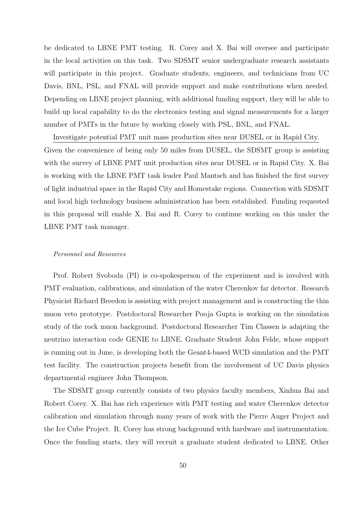be dedicated to LBNE PMT testing. R. Corey and X. Bai will oversee and participate in the local activities on this task. Two SDSMT senior undergraduate research assistants will participate in this project. Graduate students, engineers, and technicians from UC Davis, BNL, PSL, and FNAL will provide support and make contributions when needed. Depending on LBNE project planning, with additional funding support, they will be able to build up local capability to do the electronics testing and signal measurements for a larger number of PMTs in the future by working closely with PSL, BNL, and FNAL.

Investigate potential PMT unit mass production sites near DUSEL or in Rapid City. Given the convenience of being only 50 miles from DUSEL, the SDSMT group is assisting with the survey of LBNE PMT unit production sites near DUSEL or in Rapid City. X. Bai is working with the LBNE PMT task leader Paul Mantsch and has finished the first survey of light industrial space in the Rapid City and Homestake regions. Connection with SDSMT and local high technology business administration has been established. Funding requested in this proposal will enable X. Bai and R. Corey to continue working on this under the LBNE PMT task manager.

#### Personnel and Resources

Prof. Robert Svoboda (PI) is co-spokesperson of the experiment and is involved with PMT evaluation, calibrations, and simulation of the water Cherenkov far detector. Research Physicist Richard Breedon is assisting with project management and is constructing the thin muon veto prototype. Postdoctoral Researcher Pooja Gupta is working on the simulation study of the rock muon background. Postdoctoral Researcher Tim Classen is adapting the neutrino interaction code GENIE to LBNE. Graduate Student John Felde, whose support is running out in June, is developing both the Geant4-based WCD simulation and the PMT test facility. The construction projects benefit from the involvement of UC Davis physics departmental engineer John Thompson.

The SDSMT group currently consists of two physics faculty members, Xinhua Bai and Robert Corey. X. Bai has rich experience with PMT testing and water Cherenkov detector calibration and simulation through many years of work with the Pierre Auger Project and the Ice Cube Project. R. Corey has strong background with hardware and instrumentation. Once the funding starts, they will recruit a graduate student dedicated to LBNE. Other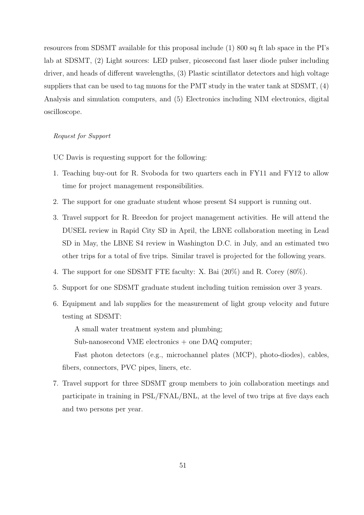resources from SDSMT available for this proposal include (1) 800 sq ft lab space in the PI's lab at SDSMT, (2) Light sources: LED pulser, picosecond fast laser diode pulser including driver, and heads of different wavelengths, (3) Plastic scintillator detectors and high voltage suppliers that can be used to tag muons for the PMT study in the water tank at SDSMT, (4) Analysis and simulation computers, and (5) Electronics including NIM electronics, digital oscilloscope.

## Request for Support

UC Davis is requesting support for the following:

- 1. Teaching buy-out for R. Svoboda for two quarters each in FY11 and FY12 to allow time for project management responsibilities.
- 2. The support for one graduate student whose present S4 support is running out.
- 3. Travel support for R. Breedon for project management activities. He will attend the DUSEL review in Rapid City SD in April, the LBNE collaboration meeting in Lead SD in May, the LBNE S4 review in Washington D.C. in July, and an estimated two other trips for a total of five trips. Similar travel is projected for the following years.
- 4. The support for one SDSMT FTE faculty: X. Bai (20%) and R. Corey (80%).
- 5. Support for one SDSMT graduate student including tuition remission over 3 years.
- 6. Equipment and lab supplies for the measurement of light group velocity and future testing at SDSMT:

A small water treatment system and plumbing;

Sub-nanosecond VME electronics + one DAQ computer;

Fast photon detectors (e.g., microchannel plates (MCP), photo-diodes), cables, fibers, connectors, PVC pipes, liners, etc.

7. Travel support for three SDSMT group members to join collaboration meetings and participate in training in PSL/FNAL/BNL, at the level of two trips at five days each and two persons per year.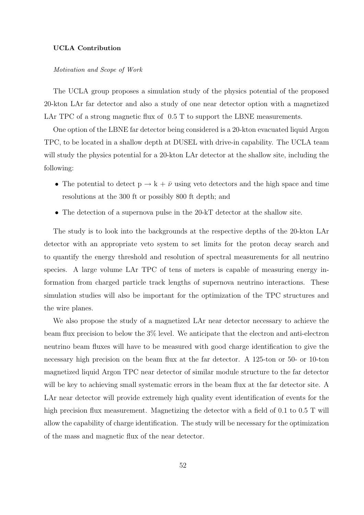#### UCLA Contribution

## Motivation and Scope of Work

The UCLA group proposes a simulation study of the physics potential of the proposed 20-kton LAr far detector and also a study of one near detector option with a magnetized LAr TPC of a strong magnetic flux of  $0.5$  T to support the LBNE measurements.

One option of the LBNE far detector being considered is a 20-kton evacuated liquid Argon TPC, to be located in a shallow depth at DUSEL with drive-in capability. The UCLA team will study the physics potential for a 20-kton LAr detector at the shallow site, including the following:

- The potential to detect  $p \rightarrow k + \bar{\nu}$  using veto detectors and the high space and time resolutions at the 300 ft or possibly 800 ft depth; and
- The detection of a supernova pulse in the 20-kT detector at the shallow site.

The study is to look into the backgrounds at the respective depths of the 20-kton LAr detector with an appropriate veto system to set limits for the proton decay search and to quantify the energy threshold and resolution of spectral measurements for all neutrino species. A large volume LAr TPC of tens of meters is capable of measuring energy information from charged particle track lengths of supernova neutrino interactions. These simulation studies will also be important for the optimization of the TPC structures and the wire planes.

We also propose the study of a magnetized LAr near detector necessary to achieve the beam flux precision to below the 3% level. We anticipate that the electron and anti-electron neutrino beam fluxes will have to be measured with good charge identification to give the necessary high precision on the beam flux at the far detector. A 125-ton or 50- or 10-ton magnetized liquid Argon TPC near detector of similar module structure to the far detector will be key to achieving small systematic errors in the beam flux at the far detector site. A LAr near detector will provide extremely high quality event identification of events for the high precision flux measurement. Magnetizing the detector with a field of 0.1 to 0.5 T will allow the capability of charge identification. The study will be necessary for the optimization of the mass and magnetic flux of the near detector.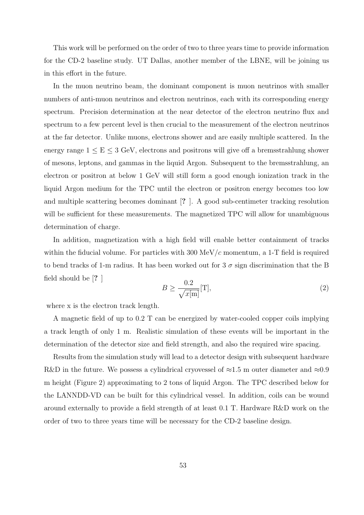This work will be performed on the order of two to three years time to provide information for the CD-2 baseline study. UT Dallas, another member of the LBNE, will be joining us in this effort in the future.

In the muon neutrino beam, the dominant component is muon neutrinos with smaller numbers of anti-muon neutrinos and electron neutrinos, each with its corresponding energy spectrum. Precision determination at the near detector of the electron neutrino flux and spectrum to a few percent level is then crucial to the measurement of the electron neutrinos at the far detector. Unlike muons, electrons shower and are easily multiple scattered. In the energy range  $1 \le E \le 3$  GeV, electrons and positrons will give off a bremsstrahlung shower of mesons, leptons, and gammas in the liquid Argon. Subsequent to the bremsstrahlung, an electron or positron at below 1 GeV will still form a good enough ionization track in the liquid Argon medium for the TPC until the electron or positron energy becomes too low and multiple scattering becomes dominant [? ]. A good sub-centimeter tracking resolution will be sufficient for these measurements. The magnetized TPC will allow for unambiguous determination of charge.

In addition, magnetization with a high field will enable better containment of tracks within the fiducial volume. For particles with 300 MeV/ $c$  momentum, a 1-T field is required to bend tracks of 1-m radius. It has been worked out for 3  $\sigma$  sign discrimination that the B field should be [? ]

$$
B \ge \frac{0.2}{\sqrt{x[m]}} [\text{T}], \tag{2}
$$

where x is the electron track length.

A magnetic field of up to 0.2 T can be energized by water-cooled copper coils implying a track length of only 1 m. Realistic simulation of these events will be important in the determination of the detector size and field strength, and also the required wire spacing.

Results from the simulation study will lead to a detector design with subsequent hardware R&D in the future. We possess a cylindrical cryovessel of  $\approx 1.5$  m outer diameter and  $\approx 0.9$ m height (Figure 2) approximating to 2 tons of liquid Argon. The TPC described below for the LANNDD-VD can be built for this cylindrical vessel. In addition, coils can be wound around externally to provide a field strength of at least 0.1 T. Hardware R&D work on the order of two to three years time will be necessary for the CD-2 baseline design.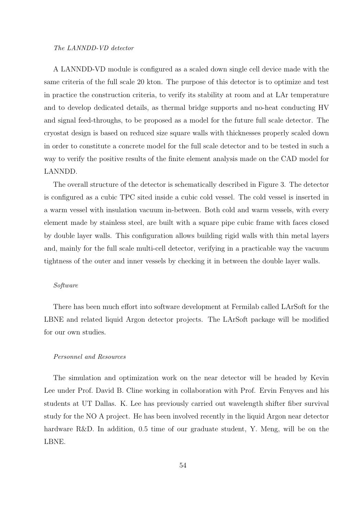#### The LANNDD-VD detector

A LANNDD-VD module is configured as a scaled down single cell device made with the same criteria of the full scale 20 kton. The purpose of this detector is to optimize and test in practice the construction criteria, to verify its stability at room and at LAr temperature and to develop dedicated details, as thermal bridge supports and no-heat conducting HV and signal feed-throughs, to be proposed as a model for the future full scale detector. The cryostat design is based on reduced size square walls with thicknesses properly scaled down in order to constitute a concrete model for the full scale detector and to be tested in such a way to verify the positive results of the finite element analysis made on the CAD model for LANNDD.

The overall structure of the detector is schematically described in Figure 3. The detector is configured as a cubic TPC sited inside a cubic cold vessel. The cold vessel is inserted in a warm vessel with insulation vacuum in-between. Both cold and warm vessels, with every element made by stainless steel, are built with a square pipe cubic frame with faces closed by double layer walls. This configuration allows building rigid walls with thin metal layers and, mainly for the full scale multi-cell detector, verifying in a practicable way the vacuum tightness of the outer and inner vessels by checking it in between the double layer walls.

## Software

There has been much effort into software development at Fermilab called LArSoft for the LBNE and related liquid Argon detector projects. The LArSoft package will be modified for our own studies.

#### Personnel and Resources

The simulation and optimization work on the near detector will be headed by Kevin Lee under Prof. David B. Cline working in collaboration with Prof. Ervin Fenyves and his students at UT Dallas. K. Lee has previously carried out wavelength shifter fiber survival study for the NO A project. He has been involved recently in the liquid Argon near detector hardware R&D. In addition, 0.5 time of our graduate student, Y. Meng, will be on the LBNE.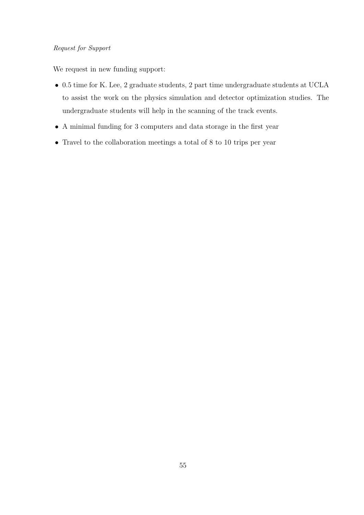# Request for Support

We request in new funding support:

- 0.5 time for K. Lee, 2 graduate students, 2 part time undergraduate students at UCLA to assist the work on the physics simulation and detector optimization studies. The undergraduate students will help in the scanning of the track events.
- A minimal funding for 3 computers and data storage in the first year
- Travel to the collaboration meetings a total of 8 to 10 trips per year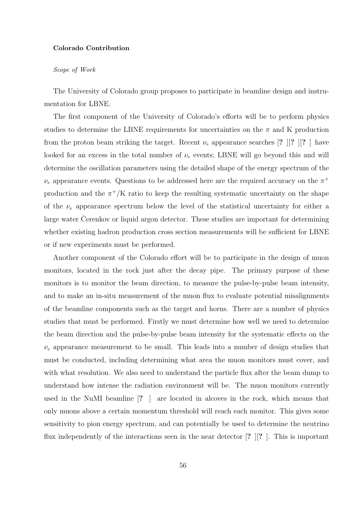#### Colorado Contribution

#### Scope of Work

The University of Colorado group proposes to participate in beamline design and instrumentation for LBNE.

The first component of the University of Colorado's efforts will be to perform physics studies to determine the LBNE requirements for uncertainties on the  $\pi$  and K production from the proton beam striking the target. Recent  $\nu_e$  appearance searches [? ||? ||? | have looked for an excess in the total number of  $\nu_e$  events; LBNE will go beyond this and will determine the oscillation parameters using the detailed shape of the energy spectrum of the  $\nu_e$  appearance events. Questions to be addressed here are the required accuracy on the  $\pi^+$ production and the  $\pi^+/K$  ratio to keep the resulting systematic uncertainty on the shape of the  $\nu_e$  appearance spectrum below the level of the statistical uncertainty for either a large water Cerenkov or liquid argon detector. These studies are important for determining whether existing hadron production cross section measurements will be sufficient for LBNE or if new experiments must be performed.

Another component of the Colorado effort will be to participate in the design of muon monitors, located in the rock just after the decay pipe. The primary purpose of these monitors is to monitor the beam direction, to measure the pulse-by-pulse beam intensity, and to make an in-situ measurement of the muon flux to evaluate potential misalignments of the beamline components such as the target and horns. There are a number of physics studies that must be performed. Firstly we must determine how well we need to determine the beam direction and the pulse-by-pulse beam intensity for the systematic effects on the  $\nu_e$  appearance measurement to be small. This leads into a number of design studies that must be conducted, including determining what area the muon monitors must cover, and with what resolution. We also need to understand the particle flux after the beam dump to understand how intense the radiation environment will be. The muon monitors currently used in the NuMI beamline [? ] are located in alcoves in the rock, which means that only muons above a certain momentum threshold will reach each monitor. This gives some sensitivity to pion energy spectrum, and can potentially be used to determine the neutrino flux independently of the interactions seen in the near detector  $\begin{bmatrix} ? \end{bmatrix}$ ? I. This is important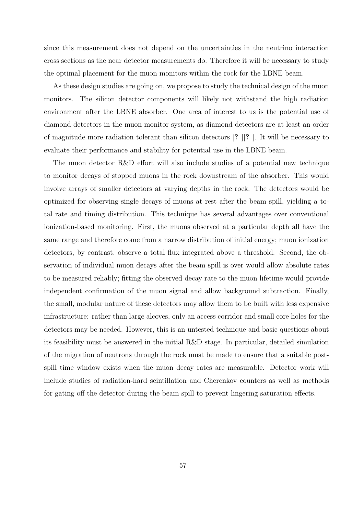since this measurement does not depend on the uncertainties in the neutrino interaction cross sections as the near detector measurements do. Therefore it will be necessary to study the optimal placement for the muon monitors within the rock for the LBNE beam.

As these design studies are going on, we propose to study the technical design of the muon monitors. The silicon detector components will likely not withstand the high radiation environment after the LBNE absorber. One area of interest to us is the potential use of diamond detectors in the muon monitor system, as diamond detectors are at least an order of magnitude more radiation tolerant than silicon detectors [? ][? ]. It will be necessary to evaluate their performance and stability for potential use in the LBNE beam.

The muon detector R&D effort will also include studies of a potential new technique to monitor decays of stopped muons in the rock downstream of the absorber. This would involve arrays of smaller detectors at varying depths in the rock. The detectors would be optimized for observing single decays of muons at rest after the beam spill, yielding a total rate and timing distribution. This technique has several advantages over conventional ionization-based monitoring. First, the muons observed at a particular depth all have the same range and therefore come from a narrow distribution of initial energy; muon ionization detectors, by contrast, observe a total flux integrated above a threshold. Second, the observation of individual muon decays after the beam spill is over would allow absolute rates to be measured reliably; fitting the observed decay rate to the muon lifetime would provide independent confirmation of the muon signal and allow background subtraction. Finally, the small, modular nature of these detectors may allow them to be built with less expensive infrastructure: rather than large alcoves, only an access corridor and small core holes for the detectors may be needed. However, this is an untested technique and basic questions about its feasibility must be answered in the initial R&D stage. In particular, detailed simulation of the migration of neutrons through the rock must be made to ensure that a suitable postspill time window exists when the muon decay rates are measurable. Detector work will include studies of radiation-hard scintillation and Cherenkov counters as well as methods for gating off the detector during the beam spill to prevent lingering saturation effects.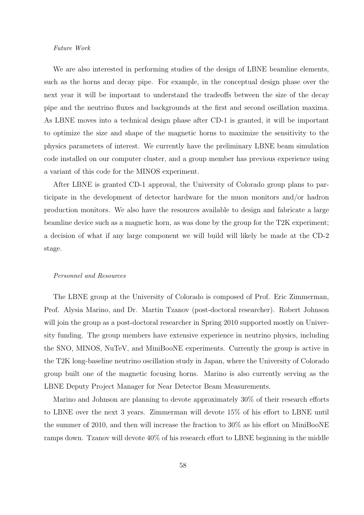#### Future Work

We are also interested in performing studies of the design of LBNE beamline elements, such as the horns and decay pipe. For example, in the conceptual design phase over the next year it will be important to understand the tradeoffs between the size of the decay pipe and the neutrino fluxes and backgrounds at the first and second oscillation maxima. As LBNE moves into a technical design phase after CD-1 is granted, it will be important to optimize the size and shape of the magnetic horns to maximize the sensitivity to the physics parameters of interest. We currently have the preliminary LBNE beam simulation code installed on our computer cluster, and a group member has previous experience using a variant of this code for the MINOS experiment.

After LBNE is granted CD-1 approval, the University of Colorado group plans to participate in the development of detector hardware for the muon monitors and/or hadron production monitors. We also have the resources available to design and fabricate a large beamline device such as a magnetic horn, as was done by the group for the T2K experiment; a decision of what if any large component we will build will likely be made at the CD-2 stage.

#### Personnel and Resources

The LBNE group at the University of Colorado is composed of Prof. Eric Zimmerman, Prof. Alysia Marino, and Dr. Martin Tzanov (post-doctoral researcher). Robert Johnson will join the group as a post-doctoral researcher in Spring 2010 supported mostly on University funding. The group members have extensive experience in neutrino physics, including the SNO, MINOS, NuTeV, and MiniBooNE experiments. Currently the group is active in the T2K long-baseline neutrino oscillation study in Japan, where the University of Colorado group built one of the magnetic focusing horns. Marino is also currently serving as the LBNE Deputy Project Manager for Near Detector Beam Measurements.

Marino and Johnson are planning to devote approximately 30% of their research efforts to LBNE over the next 3 years. Zimmerman will devote 15% of his effort to LBNE until the summer of 2010, and then will increase the fraction to 30% as his effort on MiniBooNE ramps down. Tzanov will devote 40% of his research effort to LBNE beginning in the middle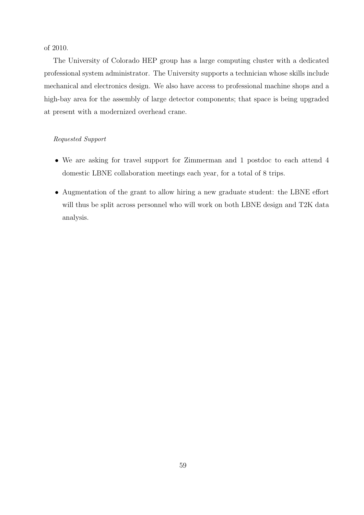of 2010.

The University of Colorado HEP group has a large computing cluster with a dedicated professional system administrator. The University supports a technician whose skills include mechanical and electronics design. We also have access to professional machine shops and a high-bay area for the assembly of large detector components; that space is being upgraded at present with a modernized overhead crane.

## Requested Support

- We are asking for travel support for Zimmerman and 1 postdoc to each attend 4 domestic LBNE collaboration meetings each year, for a total of 8 trips.
- Augmentation of the grant to allow hiring a new graduate student: the LBNE effort will thus be split across personnel who will work on both LBNE design and T2K data analysis.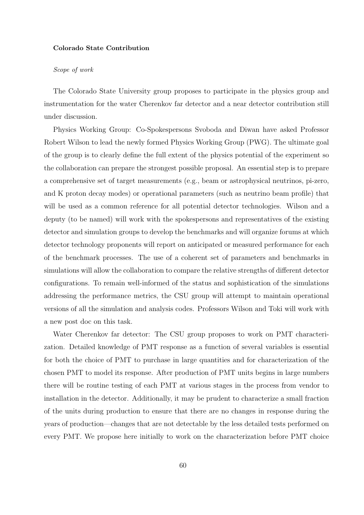#### Colorado State Contribution

### Scope of work

The Colorado State University group proposes to participate in the physics group and instrumentation for the water Cherenkov far detector and a near detector contribution still under discussion.

Physics Working Group: Co-Spokespersons Svoboda and Diwan have asked Professor Robert Wilson to lead the newly formed Physics Working Group (PWG). The ultimate goal of the group is to clearly define the full extent of the physics potential of the experiment so the collaboration can prepare the strongest possible proposal. An essential step is to prepare a comprehensive set of target measurements (e.g., beam or astrophysical neutrinos, pi-zero, and K proton decay modes) or operational parameters (such as neutrino beam profile) that will be used as a common reference for all potential detector technologies. Wilson and a deputy (to be named) will work with the spokespersons and representatives of the existing detector and simulation groups to develop the benchmarks and will organize forums at which detector technology proponents will report on anticipated or measured performance for each of the benchmark processes. The use of a coherent set of parameters and benchmarks in simulations will allow the collaboration to compare the relative strengths of different detector configurations. To remain well-informed of the status and sophistication of the simulations addressing the performance metrics, the CSU group will attempt to maintain operational versions of all the simulation and analysis codes. Professors Wilson and Toki will work with a new post doc on this task.

Water Cherenkov far detector: The CSU group proposes to work on PMT characterization. Detailed knowledge of PMT response as a function of several variables is essential for both the choice of PMT to purchase in large quantities and for characterization of the chosen PMT to model its response. After production of PMT units begins in large numbers there will be routine testing of each PMT at various stages in the process from vendor to installation in the detector. Additionally, it may be prudent to characterize a small fraction of the units during production to ensure that there are no changes in response during the years of production—changes that are not detectable by the less detailed tests performed on every PMT. We propose here initially to work on the characterization before PMT choice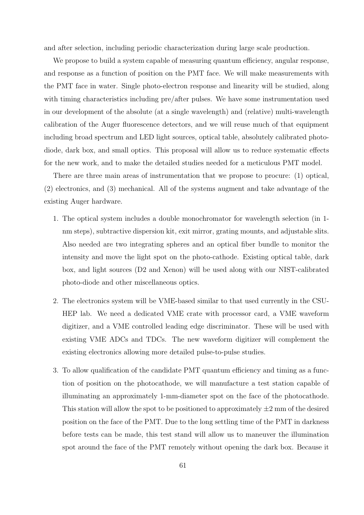and after selection, including periodic characterization during large scale production.

We propose to build a system capable of measuring quantum efficiency, angular response, and response as a function of position on the PMT face. We will make measurements with the PMT face in water. Single photo-electron response and linearity will be studied, along with timing characteristics including pre/after pulses. We have some instrumentation used in our development of the absolute (at a single wavelength) and (relative) multi-wavelength calibration of the Auger fluorescence detectors, and we will reuse much of that equipment including broad spectrum and LED light sources, optical table, absolutely calibrated photodiode, dark box, and small optics. This proposal will allow us to reduce systematic effects for the new work, and to make the detailed studies needed for a meticulous PMT model.

There are three main areas of instrumentation that we propose to procure: (1) optical, (2) electronics, and (3) mechanical. All of the systems augment and take advantage of the existing Auger hardware.

- 1. The optical system includes a double monochromator for wavelength selection (in 1 nm steps), subtractive dispersion kit, exit mirror, grating mounts, and adjustable slits. Also needed are two integrating spheres and an optical fiber bundle to monitor the intensity and move the light spot on the photo-cathode. Existing optical table, dark box, and light sources (D2 and Xenon) will be used along with our NIST-calibrated photo-diode and other miscellaneous optics.
- 2. The electronics system will be VME-based similar to that used currently in the CSU-HEP lab. We need a dedicated VME crate with processor card, a VME waveform digitizer, and a VME controlled leading edge discriminator. These will be used with existing VME ADCs and TDCs. The new waveform digitizer will complement the existing electronics allowing more detailed pulse-to-pulse studies.
- 3. To allow qualification of the candidate PMT quantum efficiency and timing as a function of position on the photocathode, we will manufacture a test station capable of illuminating an approximately 1-mm-diameter spot on the face of the photocathode. This station will allow the spot to be positioned to approximately  $\pm 2$  mm of the desired position on the face of the PMT. Due to the long settling time of the PMT in darkness before tests can be made, this test stand will allow us to maneuver the illumination spot around the face of the PMT remotely without opening the dark box. Because it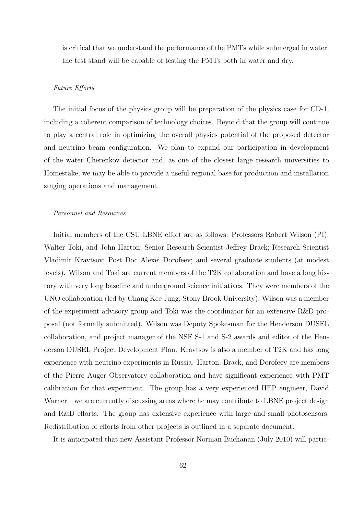is critical that we understand the performance of the PMTs while submerged in water, the test stand will be capable of testing the PMTs both in water and dry.

#### Future Efforts

The initial focus of the physics group will be preparation of the physics case for CD-1, including a coherent comparison of technology choices. Beyond that the group will continue to play a central role in optimizing the overall physics potential of the proposed detector and neutrino beam configuration. We plan to expand our participation in development of the water Cherenkov detector and, as one of the closest large research universities to Homestake, we may be able to provide a useful regional base for production and installation staging operations and management.

## Personnel and Resources

Initial members of the CSU LBNE effort are as follows: Professors Robert Wilson (PI), Walter Toki, and John Harton; Senior Research Scientist Jeffrey Brack; Research Scientist Vladimir Kravtsov; Post Doc Alexei Dorofeev; and several graduate students (at modest levels). Wilson and Toki are current members of the T2K collaboration and have a long history with very long baseline and underground science initiatives. They were members of the UNO collaboration (led by Chang Kee Jung, Stony Brook University); Wilson was a member of the experiment advisory group and Toki was the coordinator for an extensive R&D proposal (not formally submitted). Wilson was Deputy Spokesman for the Henderson DUSEL collaboration, and project manager of the NSF S-1 and S-2 awards and editor of the Henderson DUSEL Project Development Plan. Kravtsov is also a member of T2K and has long experience with neutrino experiments in Russia. Harton, Brack, and Dorofeev are members of the Pierre Auger Observatory collaboration and have significant experience with PMT calibration for that experiment. The group has a very experienced HEP engineer, David Warner—we are currently discussing areas where he may contribute to LBNE project design and R&D efforts. The group has extensive experience with large and small photosensors. Redistribution of efforts from other projects is outlined in a separate document.

It is anticipated that new Assistant Professor Norman Buchanan (July 2010) will partic-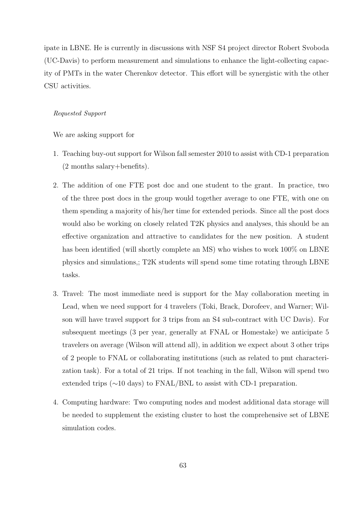ipate in LBNE. He is currently in discussions with NSF S4 project director Robert Svoboda (UC-Davis) to perform measurement and simulations to enhance the light-collecting capacity of PMTs in the water Cherenkov detector. This effort will be synergistic with the other CSU activities.

## Requested Support

We are asking support for

- 1. Teaching buy-out support for Wilson fall semester 2010 to assist with CD-1 preparation (2 months salary+benefits).
- 2. The addition of one FTE post doc and one student to the grant. In practice, two of the three post docs in the group would together average to one FTE, with one on them spending a majority of his/her time for extended periods. Since all the post docs would also be working on closely related T2K physics and analyses, this should be an effective organization and attractive to candidates for the new position. A student has been identified (will shortly complete an MS) who wishes to work  $100\%$  on LBNE physics and simulations,; T2K students will spend some time rotating through LBNE tasks.
- 3. Travel: The most immediate need is support for the May collaboration meeting in Lead, when we need support for 4 travelers (Toki, Brack, Dorofeev, and Warner; Wilson will have travel support for 3 trips from an S4 sub-contract with UC Davis). For subsequent meetings (3 per year, generally at FNAL or Homestake) we anticipate 5 travelers on average (Wilson will attend all), in addition we expect about 3 other trips of 2 people to FNAL or collaborating institutions (such as related to pmt characterization task). For a total of 21 trips. If not teaching in the fall, Wilson will spend two extended trips (∼10 days) to FNAL/BNL to assist with CD-1 preparation.
- 4. Computing hardware: Two computing nodes and modest additional data storage will be needed to supplement the existing cluster to host the comprehensive set of LBNE simulation codes.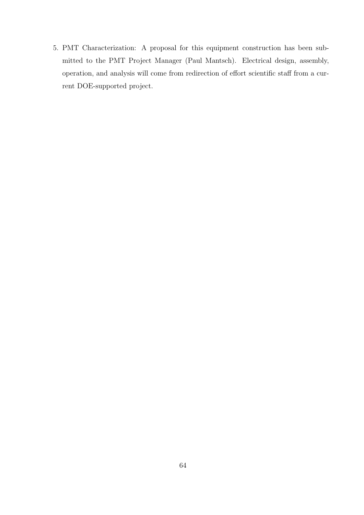5. PMT Characterization: A proposal for this equipment construction has been submitted to the PMT Project Manager (Paul Mantsch). Electrical design, assembly, operation, and analysis will come from redirection of effort scientific staff from a current DOE-supported project.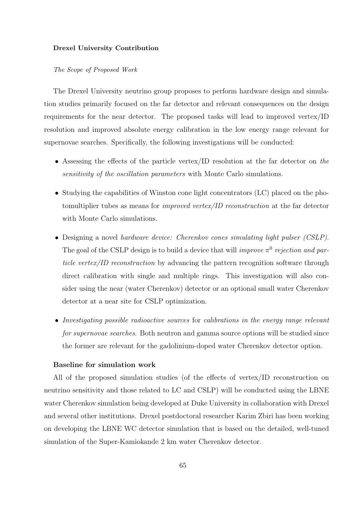#### Drexel University Contribution

#### The Scope of Proposed Work

The Drexel University neutrino group proposes to perform hardware design and simulation studies primarily focused on the far detector and relevant consequences on the design requirements for the near detector. The proposed tasks will lead to improved vertex/ID resolution and improved absolute energy calibration in the low energy range relevant for supernovae searches. Specifically, the following investigations will be conducted:

- Assessing the effects of the particle vertex/ID resolution at the far detector on the sensitivity of the oscillation parameters with Monte Carlo simulations.
- Studying the capabilities of Winston cone light concentrators (LC) placed on the photomultiplier tubes as means for improved vertex/ID reconstruction at the far detector with Monte Carlo simulations.
- Designing a novel hardware device: Cherenkov cones simulating light pulser (CSLP). The goal of the CSLP design is to build a device that will *improve*  $\pi^0$  rejection and particle vertex/ID reconstruction by advancing the pattern recognition software through direct calibration with single and multiple rings. This investigation will also consider using the near (water Cherenkov) detector or an optional small water Cherenkov detector at a near site for CSLP optimization.
- Investigating possible radioactive sources for calibrations in the energy range relevant for supernovae searches. Both neutron and gamma source options will be studied since the former are relevant for the gadolinium-doped water Cherenkov detector option.

## Baseline for simulation work

All of the proposed simulation studies (of the effects of vertex/ID reconstruction on neutrino sensitivity and those related to LC and CSLP) will be conducted using the LBNE water Cherenkov simulation being developed at Duke University in collaboration with Drexel and several other institutions. Drexel postdoctoral researcher Karim Zbiri has been working on developing the LBNE WC detector simulation that is based on the detailed, well-tuned simulation of the Super-Kamiokande 2 km water Cherenkov detector.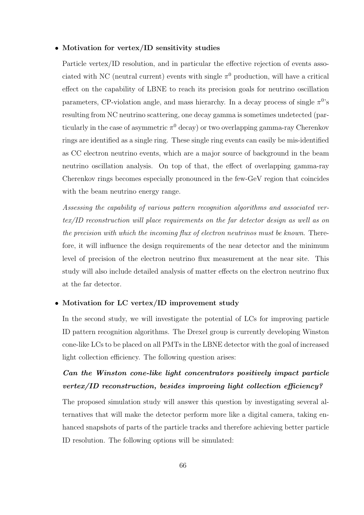## • Motivation for vertex/ID sensitivity studies

Particle vertex/ID resolution, and in particular the effective rejection of events associated with NC (neutral current) events with single  $\pi^0$  production, will have a critical effect on the capability of LBNE to reach its precision goals for neutrino oscillation parameters, CP-violation angle, and mass hierarchy. In a decay process of single  $\pi^0$ 's resulting from NC neutrino scattering, one decay gamma is sometimes undetected (particularly in the case of asymmetric  $\pi^0$  decay) or two overlapping gamma-ray Cherenkov rings are identified as a single ring. These single ring events can easily be mis-identified as CC electron neutrino events, which are a major source of background in the beam neutrino oscillation analysis. On top of that, the effect of overlapping gamma-ray Cherenkov rings becomes especially pronounced in the few-GeV region that coincides with the beam neutrino energy range.

Assessing the capability of various pattern recognition algorithms and associated vertex/ID reconstruction will place requirements on the far detector design as well as on the precision with which the incoming flux of electron neutrinos must be known. Therefore, it will influence the design requirements of the near detector and the minimum level of precision of the electron neutrino flux measurement at the near site. This study will also include detailed analysis of matter effects on the electron neutrino flux at the far detector.

## • Motivation for LC vertex/ID improvement study

In the second study, we will investigate the potential of LCs for improving particle ID pattern recognition algorithms. The Drexel group is currently developing Winston cone-like LCs to be placed on all PMTs in the LBNE detector with the goal of increased light collection efficiency. The following question arises:

# Can the Winston cone-like light concentrators positively impact particle vertex/ID reconstruction, besides improving light collection efficiency?

The proposed simulation study will answer this question by investigating several alternatives that will make the detector perform more like a digital camera, taking enhanced snapshots of parts of the particle tracks and therefore achieving better particle ID resolution. The following options will be simulated: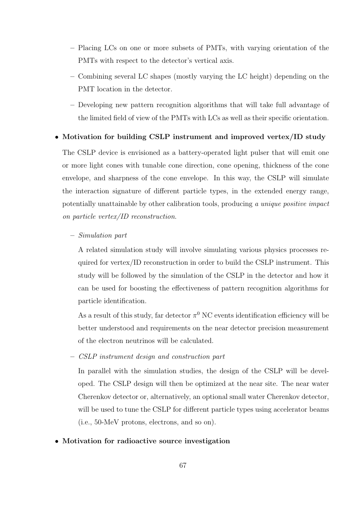- Placing LCs on one or more subsets of PMTs, with varying orientation of the PMTs with respect to the detector's vertical axis.
- Combining several LC shapes (mostly varying the LC height) depending on the PMT location in the detector.
- Developing new pattern recognition algorithms that will take full advantage of the limited field of view of the PMTs with LCs as well as their specific orientation.

# • Motivation for building CSLP instrument and improved vertex/ID study

The CSLP device is envisioned as a battery-operated light pulser that will emit one or more light cones with tunable cone direction, cone opening, thickness of the cone envelope, and sharpness of the cone envelope. In this way, the CSLP will simulate the interaction signature of different particle types, in the extended energy range, potentially unattainable by other calibration tools, producing a unique positive impact on particle vertex/ID reconstruction.

## – Simulation part

A related simulation study will involve simulating various physics processes required for vertex/ID reconstruction in order to build the CSLP instrument. This study will be followed by the simulation of the CSLP in the detector and how it can be used for boosting the effectiveness of pattern recognition algorithms for particle identification.

As a result of this study, far detector  $\pi^0$  NC events identification efficiency will be better understood and requirements on the near detector precision measurement of the electron neutrinos will be calculated.

– CSLP instrument design and construction part

In parallel with the simulation studies, the design of the CSLP will be developed. The CSLP design will then be optimized at the near site. The near water Cherenkov detector or, alternatively, an optional small water Cherenkov detector, will be used to tune the CSLP for different particle types using accelerator beams (i.e., 50-MeV protons, electrons, and so on).

# • Motivation for radioactive source investigation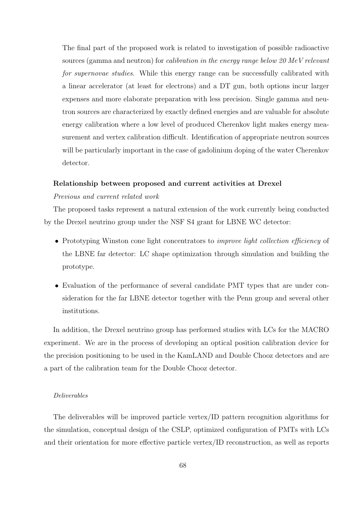The final part of the proposed work is related to investigation of possible radioactive sources (gamma and neutron) for calibration in the energy range below 20 MeV relevant for supernovae studies. While this energy range can be successfully calibrated with a linear accelerator (at least for electrons) and a DT gun, both options incur larger expenses and more elaborate preparation with less precision. Single gamma and neutron sources are characterized by exactly defined energies and are valuable for absolute energy calibration where a low level of produced Cherenkov light makes energy measurement and vertex calibration difficult. Identification of appropriate neutron sources will be particularly important in the case of gadolinium doping of the water Cherenkov detector.

# Relationship between proposed and current activities at Drexel

# Previous and current related work

The proposed tasks represent a natural extension of the work currently being conducted by the Drexel neutrino group under the NSF S4 grant for LBNE WC detector:

- Prototyping Winston cone light concentrators to *improve light collection efficiency* of the LBNE far detector: LC shape optimization through simulation and building the prototype.
- Evaluation of the performance of several candidate PMT types that are under consideration for the far LBNE detector together with the Penn group and several other institutions.

In addition, the Drexel neutrino group has performed studies with LCs for the MACRO experiment. We are in the process of developing an optical position calibration device for the precision positioning to be used in the KamLAND and Double Chooz detectors and are a part of the calibration team for the Double Chooz detector.

## Deliverables

The deliverables will be improved particle vertex/ID pattern recognition algorithms for the simulation, conceptual design of the CSLP, optimized configuration of PMTs with LCs and their orientation for more effective particle vertex/ID reconstruction, as well as reports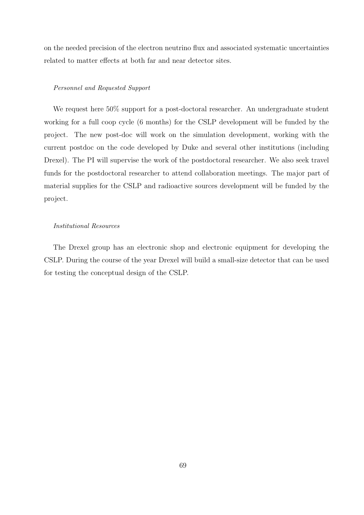on the needed precision of the electron neutrino flux and associated systematic uncertainties related to matter effects at both far and near detector sites.

## Personnel and Requested Support

We request here  $50\%$  support for a post-doctoral researcher. An undergraduate student working for a full coop cycle (6 months) for the CSLP development will be funded by the project. The new post-doc will work on the simulation development, working with the current postdoc on the code developed by Duke and several other institutions (including Drexel). The PI will supervise the work of the postdoctoral researcher. We also seek travel funds for the postdoctoral researcher to attend collaboration meetings. The major part of material supplies for the CSLP and radioactive sources development will be funded by the project.

## Institutional Resources

The Drexel group has an electronic shop and electronic equipment for developing the CSLP. During the course of the year Drexel will build a small-size detector that can be used for testing the conceptual design of the CSLP.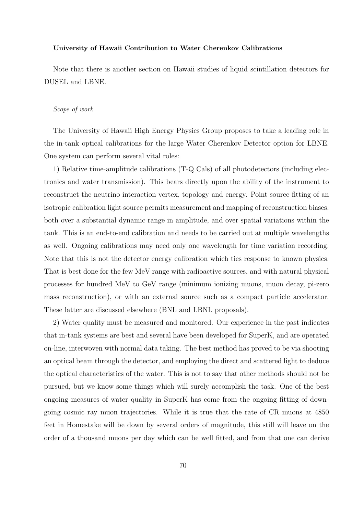#### University of Hawaii Contribution to Water Cherenkov Calibrations

Note that there is another section on Hawaii studies of liquid scintillation detectors for DUSEL and LBNE.

#### Scope of work

The University of Hawaii High Energy Physics Group proposes to take a leading role in the in-tank optical calibrations for the large Water Cherenkov Detector option for LBNE. One system can perform several vital roles:

1) Relative time-amplitude calibrations (T-Q Cals) of all photodetectors (including electronics and water transmission). This bears directly upon the ability of the instrument to reconstruct the neutrino interaction vertex, topology and energy. Point source fitting of an isotropic calibration light source permits measurement and mapping of reconstruction biases, both over a substantial dynamic range in amplitude, and over spatial variations within the tank. This is an end-to-end calibration and needs to be carried out at multiple wavelengths as well. Ongoing calibrations may need only one wavelength for time variation recording. Note that this is not the detector energy calibration which ties response to known physics. That is best done for the few MeV range with radioactive sources, and with natural physical processes for hundred MeV to GeV range (minimum ionizing muons, muon decay, pi-zero mass reconstruction), or with an external source such as a compact particle accelerator. These latter are discussed elsewhere (BNL and LBNL proposals).

2) Water quality must be measured and monitored. Our experience in the past indicates that in-tank systems are best and several have been developed for SuperK, and are operated on-line, interwoven with normal data taking. The best method has proved to be via shooting an optical beam through the detector, and employing the direct and scattered light to deduce the optical characteristics of the water. This is not to say that other methods should not be pursued, but we know some things which will surely accomplish the task. One of the best ongoing measures of water quality in SuperK has come from the ongoing fitting of downgoing cosmic ray muon trajectories. While it is true that the rate of CR muons at 4850 feet in Homestake will be down by several orders of magnitude, this still will leave on the order of a thousand muons per day which can be well fitted, and from that one can derive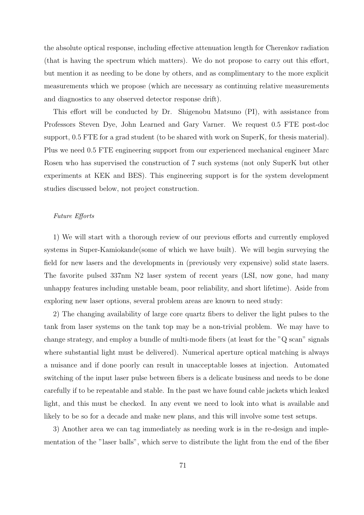the absolute optical response, including effective attenuation length for Cherenkov radiation (that is having the spectrum which matters). We do not propose to carry out this effort, but mention it as needing to be done by others, and as complimentary to the more explicit measurements which we propose (which are necessary as continuing relative measurements and diagnostics to any observed detector response drift).

This effort will be conducted by Dr. Shigenobu Matsuno (PI), with assistance from Professors Steven Dye, John Learned and Gary Varner. We request 0.5 FTE post-doc support, 0.5 FTE for a grad student (to be shared with work on SuperK, for thesis material). Plus we need 0.5 FTE engineering support from our experienced mechanical engineer Marc Rosen who has supervised the construction of 7 such systems (not only SuperK but other experiments at KEK and BES). This engineering support is for the system development studies discussed below, not project construction.

## Future Efforts

1) We will start with a thorough review of our previous efforts and currently employed systems in Super-Kamiokande(some of which we have built). We will begin surveying the field for new lasers and the developments in (previously very expensive) solid state lasers. The favorite pulsed 337nm N2 laser system of recent years (LSI, now gone, had many unhappy features including unstable beam, poor reliability, and short lifetime). Aside from exploring new laser options, several problem areas are known to need study:

2) The changing availability of large core quartz fibers to deliver the light pulses to the tank from laser systems on the tank top may be a non-trivial problem. We may have to change strategy, and employ a bundle of multi-mode fibers (at least for the "Q scan" signals where substantial light must be delivered). Numerical aperture optical matching is always a nuisance and if done poorly can result in unacceptable losses at injection. Automated switching of the input laser pulse between fibers is a delicate business and needs to be done carefully if to be repeatable and stable. In the past we have found cable jackets which leaked light, and this must be checked. In any event we need to look into what is available and likely to be so for a decade and make new plans, and this will involve some test setups.

3) Another area we can tag immediately as needing work is in the re-design and implementation of the "laser balls", which serve to distribute the light from the end of the fiber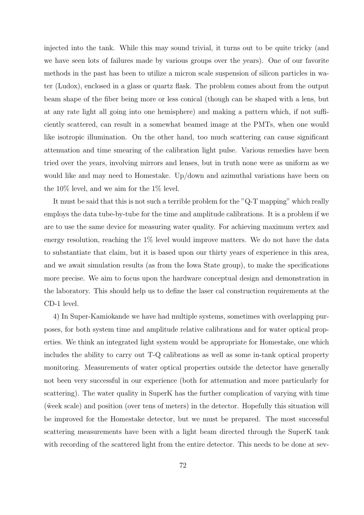injected into the tank. While this may sound trivial, it turns out to be quite tricky (and we have seen lots of failures made by various groups over the years). One of our favorite methods in the past has been to utilize a micron scale suspension of silicon particles in water (Ludox), enclosed in a glass or quartz flask. The problem comes about from the output beam shape of the fiber being more or less conical (though can be shaped with a lens, but at any rate light all going into one hemisphere) and making a pattern which, if not sufficiently scattered, can result in a somewhat beamed image at the PMTs, when one would like isotropic illumination. On the other hand, too much scattering can cause significant attenuation and time smearing of the calibration light pulse. Various remedies have been tried over the years, involving mirrors and lenses, but in truth none were as uniform as we would like and may need to Homestake. Up/down and azimuthal variations have been on the 10% level, and we aim for the 1% level.

It must be said that this is not such a terrible problem for the "Q-T mapping" which really employs the data tube-by-tube for the time and amplitude calibrations. It is a problem if we are to use the same device for measuring water quality. For achieving maximum vertex and energy resolution, reaching the  $1\%$  level would improve matters. We do not have the data to substantiate that claim, but it is based upon our thirty years of experience in this area, and we await simulation results (as from the Iowa State group), to make the specifications more precise. We aim to focus upon the hardware conceptual design and demonstration in the laboratory. This should help us to define the laser cal construction requirements at the CD-1 level.

4) In Super-Kamiokande we have had multiple systems, sometimes with overlapping purposes, for both system time and amplitude relative calibrations and for water optical properties. We think an integrated light system would be appropriate for Homestake, one which includes the ability to carry out T-Q calibrations as well as some in-tank optical property monitoring. Measurements of water optical properties outside the detector have generally not been very successful in our experience (both for attenuation and more particularly for scattering). The water quality in SuperK has the further complication of varying with time (˜week scale) and position (over tens of meters) in the detector. Hopefully this situation will be improved for the Homestake detector, but we must be prepared. The most successful scattering measurements have been with a light beam directed through the SuperK tank with recording of the scattered light from the entire detector. This needs to be done at sev-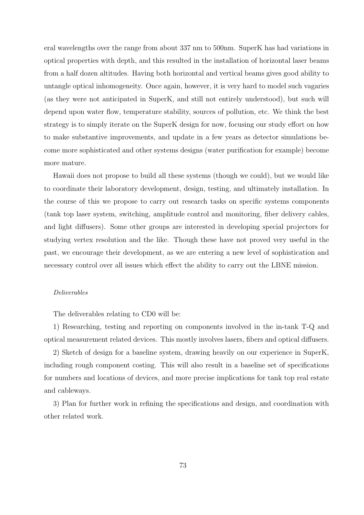eral wavelengths over the range from about 337 nm to 500nm. SuperK has had variations in optical properties with depth, and this resulted in the installation of horizontal laser beams from a half dozen altitudes. Having both horizontal and vertical beams gives good ability to untangle optical inhomogeneity. Once again, however, it is very hard to model such vagaries (as they were not anticipated in SuperK, and still not entirely understood), but such will depend upon water flow, temperature stability, sources of pollution, etc. We think the best strategy is to simply iterate on the SuperK design for now, focusing our study effort on how to make substantive improvements, and update in a few years as detector simulations become more sophisticated and other systems designs (water purification for example) become more mature.

Hawaii does not propose to build all these systems (though we could), but we would like to coordinate their laboratory development, design, testing, and ultimately installation. In the course of this we propose to carry out research tasks on specific systems components (tank top laser system, switching, amplitude control and monitoring, fiber delivery cables, and light diffusers). Some other groups are interested in developing special projectors for studying vertex resolution and the like. Though these have not proved very useful in the past, we encourage their development, as we are entering a new level of sophistication and necessary control over all issues which effect the ability to carry out the LBNE mission.

# Deliverables

The deliverables relating to CD0 will be:

1) Researching, testing and reporting on components involved in the in-tank T-Q and optical measurement related devices. This mostly involves lasers, fibers and optical diffusers.

2) Sketch of design for a baseline system, drawing heavily on our experience in SuperK, including rough component costing. This will also result in a baseline set of specifications for numbers and locations of devices, and more precise implications for tank top real estate and cableways.

3) Plan for further work in refining the specifications and design, and coordination with other related work.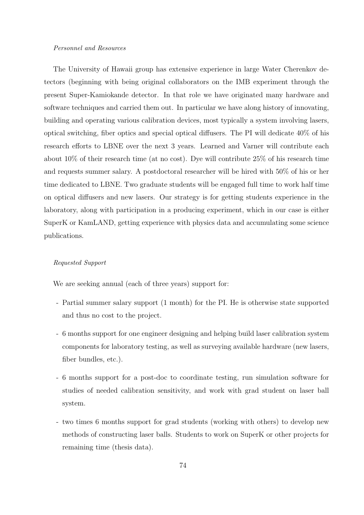#### Personnel and Resources

The University of Hawaii group has extensive experience in large Water Cherenkov detectors (beginning with being original collaborators on the IMB experiment through the present Super-Kamiokande detector. In that role we have originated many hardware and software techniques and carried them out. In particular we have along history of innovating, building and operating various calibration devices, most typically a system involving lasers, optical switching, fiber optics and special optical diffusers. The PI will dedicate 40% of his research efforts to LBNE over the next 3 years. Learned and Varner will contribute each about 10% of their research time (at no cost). Dye will contribute 25% of his research time and requests summer salary. A postdoctoral researcher will be hired with 50% of his or her time dedicated to LBNE. Two graduate students will be engaged full time to work half time on optical diffusers and new lasers. Our strategy is for getting students experience in the laboratory, along with participation in a producing experiment, which in our case is either SuperK or KamLAND, getting experience with physics data and accumulating some science publications.

#### Requested Support

We are seeking annual (each of three years) support for:

- Partial summer salary support (1 month) for the PI. He is otherwise state supported and thus no cost to the project.
- 6 months support for one engineer designing and helping build laser calibration system components for laboratory testing, as well as surveying available hardware (new lasers, fiber bundles, etc.).
- 6 months support for a post-doc to coordinate testing, run simulation software for studies of needed calibration sensitivity, and work with grad student on laser ball system.
- two times 6 months support for grad students (working with others) to develop new methods of constructing laser balls. Students to work on SuperK or other projects for remaining time (thesis data).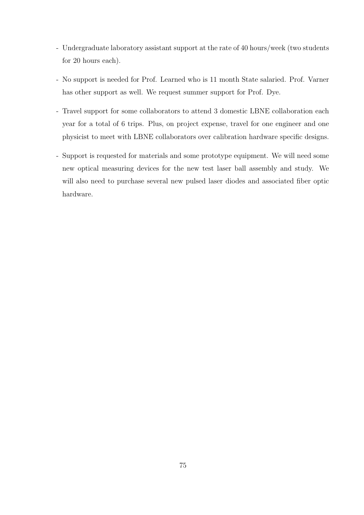- Undergraduate laboratory assistant support at the rate of 40 hours/week (two students for 20 hours each).
- No support is needed for Prof. Learned who is 11 month State salaried. Prof. Varner has other support as well. We request summer support for Prof. Dye.
- Travel support for some collaborators to attend 3 domestic LBNE collaboration each year for a total of 6 trips. Plus, on project expense, travel for one engineer and one physicist to meet with LBNE collaborators over calibration hardware specific designs.
- Support is requested for materials and some prototype equipment. We will need some new optical measuring devices for the new test laser ball assembly and study. We will also need to purchase several new pulsed laser diodes and associated fiber optic hardware.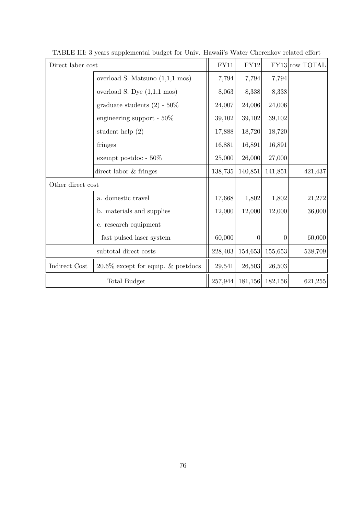| Direct laber cost     |                                           | FY11    | $\rm FY12$ |                | FY13 row TOTAL |
|-----------------------|-------------------------------------------|---------|------------|----------------|----------------|
|                       | overload S. Matsuno $(1,1,1 \text{ mos})$ | 7,794   | 7,794      | 7,794          |                |
|                       | overload S. Dye $(1,1,1 \text{ mos})$     | 8,063   | 8,338      | 8,338          |                |
|                       | graduate students $(2)$ - 50%             | 24,007  | 24,006     | 24,006         |                |
|                       | engineering support - $50\%$              | 39,102  | 39,102     | 39,102         |                |
|                       | student help $(2)$                        | 17,888  | 18,720     | 18,720         |                |
|                       | fringes                                   | 16,881  | 16,891     | 16,891         |                |
|                       | exempt postdoc - $50\%$                   | 25,000  | 26,000     | 27,000         |                |
|                       | direct labor & fringes                    | 138,735 | 140,851    | 141,851        | 421,437        |
| Other direct cost     |                                           |         |            |                |                |
|                       | a. domestic travel                        | 17,668  | 1,802      | 1,802          | 21,272         |
|                       | b. materials and supplies                 | 12,000  | 12,000     | 12,000         | 36,000         |
|                       | c. research equipment                     |         |            |                |                |
|                       | fast pulsed laser system                  | 60,000  | $\theta$   | $\overline{0}$ | 60,000         |
| subtotal direct costs |                                           | 228,403 | 154,653    | 155,653        | 538,709        |
| Indirect Cost         | $20.6\%$ except for equip. & postdocs     | 29,541  | 26,503     | 26,503         |                |
| Total Budget          |                                           | 257,944 | 181,156    | 182,156        | 621,255        |

TABLE III: 3 years supplemental budget for Univ. Hawaii's Water Cherenkov related effort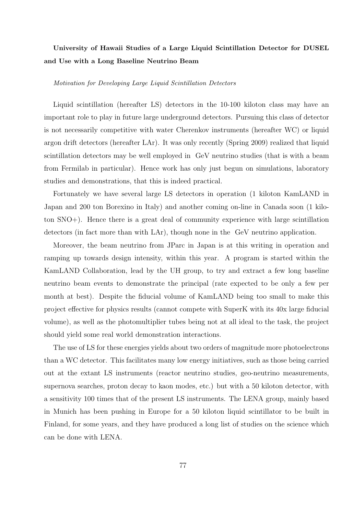# University of Hawaii Studies of a Large Liquid Scintillation Detector for DUSEL and Use with a Long Baseline Neutrino Beam

#### Motivation for Developing Large Liquid Scintillation Detectors

Liquid scintillation (hereafter LS) detectors in the 10-100 kiloton class may have an important role to play in future large underground detectors. Pursuing this class of detector is not necessarily competitive with water Cherenkov instruments (hereafter WC) or liquid argon drift detectors (hereafter LAr). It was only recently (Spring 2009) realized that liquid scintillation detectors may be well employed in GeV neutrino studies (that is with a beam from Fermilab in particular). Hence work has only just begun on simulations, laboratory studies and demonstrations, that this is indeed practical.

Fortunately we have several large LS detectors in operation (1 kiloton KamLAND in Japan and 200 ton Borexino in Italy) and another coming on-line in Canada soon (1 kiloton SNO+). Hence there is a great deal of community experience with large scintillation detectors (in fact more than with LAr), though none in the GeV neutrino application.

Moreover, the beam neutrino from JParc in Japan is at this writing in operation and ramping up towards design intensity, within this year. A program is started within the KamLAND Collaboration, lead by the UH group, to try and extract a few long baseline neutrino beam events to demonstrate the principal (rate expected to be only a few per month at best). Despite the fiducial volume of KamLAND being too small to make this project effective for physics results (cannot compete with SuperK with its 40x large fiducial volume), as well as the photomultiplier tubes being not at all ideal to the task, the project should yield some real world demonstration interactions.

The use of LS for these energies yields about two orders of magnitude more photoelectrons than a WC detector. This facilitates many low energy initiatives, such as those being carried out at the extant LS instruments (reactor neutrino studies, geo-neutrino measurements, supernova searches, proton decay to kaon modes, etc.) but with a 50 kiloton detector, with a sensitivity 100 times that of the present LS instruments. The LENA group, mainly based in Munich has been pushing in Europe for a 50 kiloton liquid scintillator to be built in Finland, for some years, and they have produced a long list of studies on the science which can be done with LENA.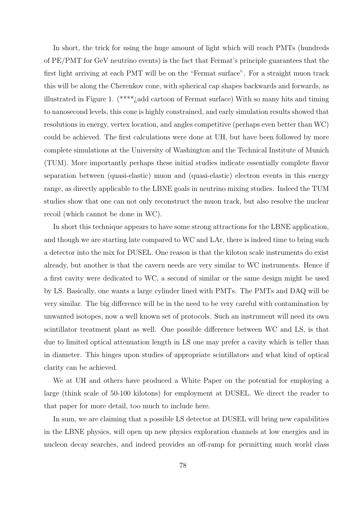In short, the trick for using the huge amount of light which will reach PMTs (hundreds of PE/PMT for GeV neutrino events) is the fact that Fermat's principle guarantees that the first light arriving at each PMT will be on the "Fermat surface". For a straight muon track this will be along the Cherenkov cone, with spherical cap shapes backwards and forwards, as illustrated in Figure 1. (\*\*\*\*¿add cartoon of Fermat surface) With so many hits and timing to nanosecond levels, this cone is highly constrained, and early simulation results showed that resolutions in energy, vertex location, and angles competitive (perhaps even better than WC) could be achieved. The first calculations were done at UH, but have been followed by more complete simulations at the University of Washington and the Technical Institute of Munich (TUM). More importantly perhaps these initial studies indicate essentially complete flavor separation between (quasi-elastic) muon and (quasi-elastic) electron events in this energy range, as directly applicable to the LBNE goals in neutrino mixing studies. Indeed the TUM studies show that one can not only reconstruct the muon track, but also resolve the nuclear recoil (which cannot be done in WC).

In short this technique appears to have some strong attractions for the LBNE application, and though we are starting late compared to WC and LAr, there is indeed time to bring such a detector into the mix for DUSEL. One reason is that the kiloton scale instruments do exist already, but another is that the cavern needs are very similar to WC instruments. Hence if a first cavity were dedicated to WC, a second of similar or the same design might be used by LS. Basically, one wants a large cylinder lined with PMTs. The PMTs and DAQ will be very similar. The big difference will be in the need to be very careful with contamination by unwanted isotopes, now a well known set of protocols. Such an instrument will need its own scintillator treatment plant as well. One possible difference between WC and LS, is that due to limited optical attenuation length in LS one may prefer a cavity which is teller than in diameter. This hinges upon studies of appropriate scintillators and what kind of optical clarity can be achieved.

We at UH and others have produced a White Paper on the potential for employing a large (think scale of 50-100 kilotons) for employment at DUSEL. We direct the reader to that paper for more detail, too much to include here.

In sum, we are claiming that a possible LS detector at DUSEL will bring new capabilities in the LBNE physics, will open up new physics exploration channels at low energies and in nucleon decay searches, and indeed provides an off-ramp for permitting much world class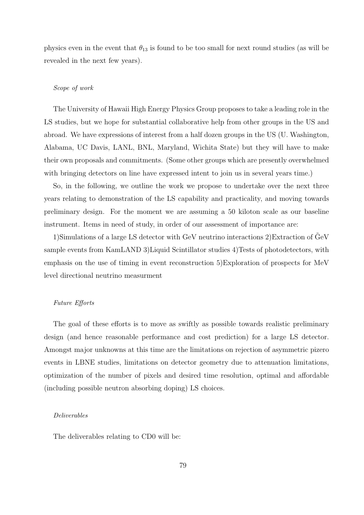physics even in the event that  $\theta_{13}$  is found to be too small for next round studies (as will be revealed in the next few years).

# Scope of work

The University of Hawaii High Energy Physics Group proposes to take a leading role in the LS studies, but we hope for substantial collaborative help from other groups in the US and abroad. We have expressions of interest from a half dozen groups in the US (U. Washington, Alabama, UC Davis, LANL, BNL, Maryland, Wichita State) but they will have to make their own proposals and commitments. (Some other groups which are presently overwhelmed with bringing detectors on line have expressed intent to join us in several years time.)

So, in the following, we outline the work we propose to undertake over the next three years relating to demonstration of the LS capability and practicality, and moving towards preliminary design. For the moment we are assuming a 50 kiloton scale as our baseline instrument. Items in need of study, in order of our assessment of importance are:

1)Simulations of a large LS detector with GeV neutrino interactions  $2)$ Extraction of  $GeV$ sample events from KamLAND 3)Liquid Scintillator studies 4)Tests of photodetectors, with emphasis on the use of timing in event reconstruction 5)Exploration of prospects for MeV level directional neutrino measurment

#### Future Efforts

The goal of these efforts is to move as swiftly as possible towards realistic preliminary design (and hence reasonable performance and cost prediction) for a large LS detector. Amongst major unknowns at this time are the limitations on rejection of asymmetric pizero events in LBNE studies, limitations on detector geometry due to attenuation limitations, optimization of the number of pixels and desired time resolution, optimal and affordable (including possible neutron absorbing doping) LS choices.

## Deliverables

The deliverables relating to CD0 will be: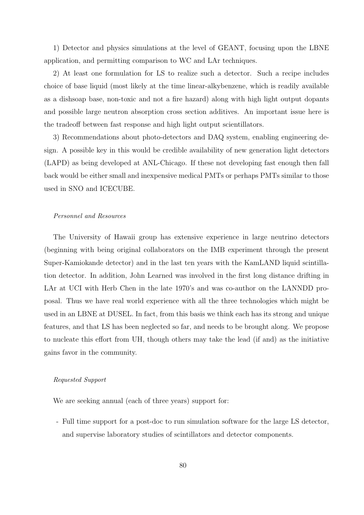1) Detector and physics simulations at the level of GEANT, focusing upon the LBNE application, and permitting comparison to WC and LAr techniques.

2) At least one formulation for LS to realize such a detector. Such a recipe includes choice of base liquid (most likely at the time linear-alkybenzene, which is readily available as a dishsoap base, non-toxic and not a fire hazard) along with high light output dopants and possible large neutron absorption cross section additives. An important issue here is the tradeoff between fast response and high light output scientillators.

3) Recommendations about photo-detectors and DAQ system, enabling engineering design. A possible key in this would be credible availability of new generation light detectors (LAPD) as being developed at ANL-Chicago. If these not developing fast enough then fall back would be either small and inexpensive medical PMTs or perhaps PMTs similar to those used in SNO and ICECUBE.

### Personnel and Resources

The University of Hawaii group has extensive experience in large neutrino detectors (beginning with being original collaborators on the IMB experiment through the present Super-Kamiokande detector) and in the last ten years with the KamLAND liquid scintillation detector. In addition, John Learned was involved in the first long distance drifting in LAr at UCI with Herb Chen in the late 1970's and was co-author on the LANNDD proposal. Thus we have real world experience with all the three technologies which might be used in an LBNE at DUSEL. In fact, from this basis we think each has its strong and unique features, and that LS has been neglected so far, and needs to be brought along. We propose to nucleate this effort from UH, though others may take the lead (if and) as the initiative gains favor in the community.

# Requested Support

We are seeking annual (each of three years) support for:

- Full time support for a post-doc to run simulation software for the large LS detector, and supervise laboratory studies of scintillators and detector components.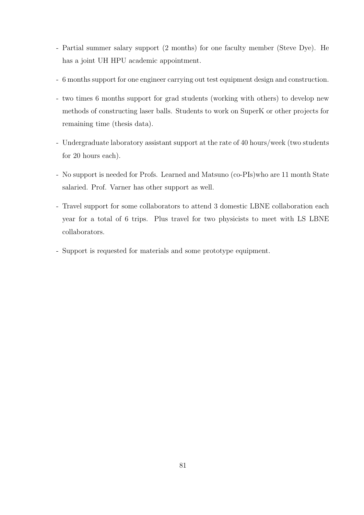- Partial summer salary support (2 months) for one faculty member (Steve Dye). He has a joint UH HPU academic appointment.
- 6 months support for one engineer carrying out test equipment design and construction.
- two times 6 months support for grad students (working with others) to develop new methods of constructing laser balls. Students to work on SuperK or other projects for remaining time (thesis data).
- Undergraduate laboratory assistant support at the rate of 40 hours/week (two students for 20 hours each).
- No support is needed for Profs. Learned and Matsuno (co-PIs)who are 11 month State salaried. Prof. Varner has other support as well.
- Travel support for some collaborators to attend 3 domestic LBNE collaboration each year for a total of 6 trips. Plus travel for two physicists to meet with LS LBNE collaborators.
- Support is requested for materials and some prototype equipment.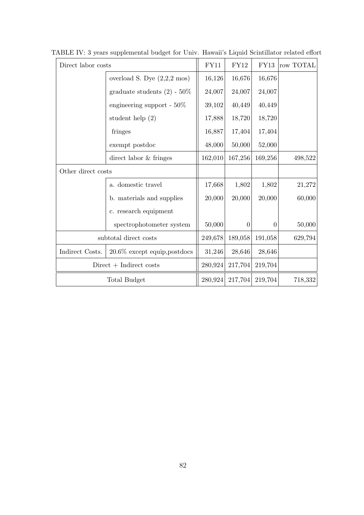| Direct labor costs        |                                       | FY11    | <b>FY12</b>    | FY13     | row TOTAL |
|---------------------------|---------------------------------------|---------|----------------|----------|-----------|
|                           | overload S. Dye $(2,2,2 \text{ mos})$ | 16,126  | 16,676         | 16,676   |           |
|                           | graduate students $(2)$ - 50%         | 24,007  | 24,007         | 24,007   |           |
|                           | engineering support - $50\%$          | 39,102  | 40,449         | 40,449   |           |
|                           | student help $(2)$                    | 17,888  | 18,720         | 18,720   |           |
|                           | fringes                               | 16,887  | 17,404         | 17,404   |           |
|                           | exempt postdoc                        | 48,000  | 50,000         | 52,000   |           |
|                           | direct labor & fringes                | 162,010 | 167,256        | 169,256  | 498,522   |
| Other direct costs        |                                       |         |                |          |           |
|                           | a. domestic travel                    | 17,668  | 1,802          | 1,802    | 21,272    |
|                           | b. materials and supplies             | 20,000  | 20,000         | 20,000   | 60,000    |
|                           | c. research equipment                 |         |                |          |           |
|                           | spectrophotometer system              | 50,000  | $\overline{0}$ | $\Omega$ | 50,000    |
| subtotal direct costs     |                                       | 249,678 | 189,058        | 191,058  | 629,794   |
| Indirect Costs.           | $20.6\%$ except equip, postdocs       | 31,246  | 28,646         | 28,646   |           |
| $Direct + Indirect costs$ |                                       | 280,924 | 217,704        | 219,704  |           |
| Total Budget              |                                       | 280,924 | 217,704        | 219,704  | 718,332   |

TABLE IV: 3 years supplemental budget for Univ. Hawaii's Liquid Scintillator related effort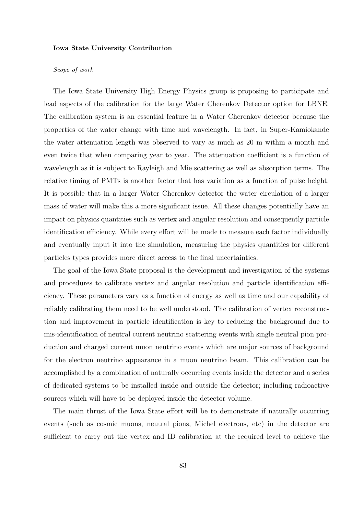#### Iowa State University Contribution

# Scope of work

The Iowa State University High Energy Physics group is proposing to participate and lead aspects of the calibration for the large Water Cherenkov Detector option for LBNE. The calibration system is an essential feature in a Water Cherenkov detector because the properties of the water change with time and wavelength. In fact, in Super-Kamiokande the water attenuation length was observed to vary as much as 20 m within a month and even twice that when comparing year to year. The attenuation coefficient is a function of wavelength as it is subject to Rayleigh and Mie scattering as well as absorption terms. The relative timing of PMTs is another factor that has variation as a function of pulse height. It is possible that in a larger Water Cherenkov detector the water circulation of a larger mass of water will make this a more significant issue. All these changes potentially have an impact on physics quantities such as vertex and angular resolution and consequently particle identification efficiency. While every effort will be made to measure each factor individually and eventually input it into the simulation, measuring the physics quantities for different particles types provides more direct access to the final uncertainties.

The goal of the Iowa State proposal is the development and investigation of the systems and procedures to calibrate vertex and angular resolution and particle identification efficiency. These parameters vary as a function of energy as well as time and our capability of reliably calibrating them need to be well understood. The calibration of vertex reconstruction and improvement in particle identification is key to reducing the background due to mis-identification of neutral current neutrino scattering events with single neutral pion production and charged current muon neutrino events which are major sources of background for the electron neutrino appearance in a muon neutrino beam. This calibration can be accomplished by a combination of naturally occurring events inside the detector and a series of dedicated systems to be installed inside and outside the detector; including radioactive sources which will have to be deployed inside the detector volume.

The main thrust of the Iowa State effort will be to demonstrate if naturally occurring events (such as cosmic muons, neutral pions, Michel electrons, etc) in the detector are sufficient to carry out the vertex and ID calibration at the required level to achieve the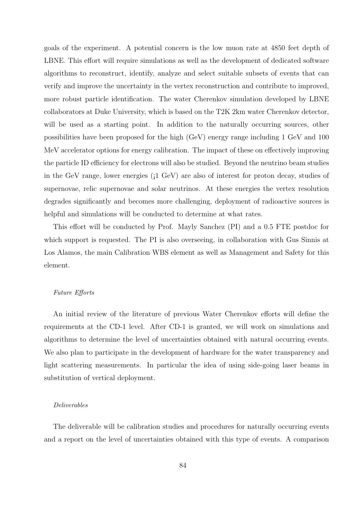goals of the experiment. A potential concern is the low muon rate at 4850 feet depth of LBNE. This effort will require simulations as well as the development of dedicated software algorithms to reconstruct, identify, analyze and select suitable subsets of events that can verify and improve the uncertainty in the vertex reconstruction and contribute to improved, more robust particle identification. The water Cherenkov simulation developed by LBNE collaborators at Duke University, which is based on the T2K 2km water Cherenkov detector, will be used as a starting point. In addition to the naturally occurring sources, other possibilities have been proposed for the high (GeV) energy range including 1 GeV and 100 MeV accelerator options for energy calibration. The impact of these on effectively improving the particle ID efficiency for electrons will also be studied. Beyond the neutrino beam studies in the GeV range, lower energies  $(i1 \text{ GeV})$  are also of interest for proton decay, studies of supernovae, relic supernovae and solar neutrinos. At these energies the vertex resolution degrades significantly and becomes more challenging, deployment of radioactive sources is helpful and simulations will be conducted to determine at what rates.

This effort will be conducted by Prof. Mayly Sanchez (PI) and a 0.5 FTE postdoc for which support is requested. The PI is also overseeing, in collaboration with Gus Sinnis at Los Alamos, the main Calibration WBS element as well as Management and Safety for this element.

# Future Efforts

An initial review of the literature of previous Water Cherenkov efforts will define the requirements at the CD-1 level. After CD-1 is granted, we will work on simulations and algorithms to determine the level of uncertainties obtained with natural occurring events. We also plan to participate in the development of hardware for the water transparency and light scattering measurements. In particular the idea of using side-going laser beams in substitution of vertical deployment.

#### Deliverables

The deliverable will be calibration studies and procedures for naturally occurring events and a report on the level of uncertainties obtained with this type of events. A comparison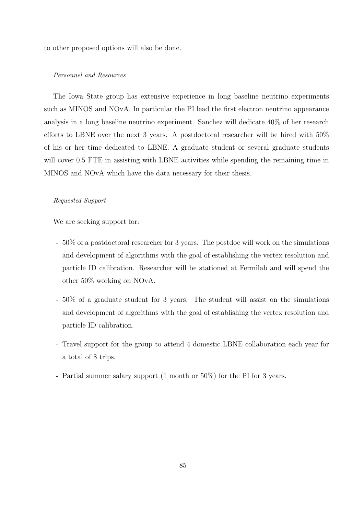to other proposed options will also be done.

#### Personnel and Resources

The Iowa State group has extensive experience in long baseline neutrino experiments such as MINOS and NOvA. In particular the PI lead the first electron neutrino appearance analysis in a long baseline neutrino experiment. Sanchez will dedicate 40% of her research efforts to LBNE over the next 3 years. A postdoctoral researcher will be hired with 50% of his or her time dedicated to LBNE. A graduate student or several graduate students will cover 0.5 FTE in assisting with LBNE activities while spending the remaining time in MINOS and NOvA which have the data necessary for their thesis.

# Requested Support

We are seeking support for:

- 50% of a postdoctoral researcher for 3 years. The postdoc will work on the simulations and development of algorithms with the goal of establishing the vertex resolution and particle ID calibration. Researcher will be stationed at Fermilab and will spend the other 50% working on NOvA.
- 50% of a graduate student for 3 years. The student will assist on the simulations and development of algorithms with the goal of establishing the vertex resolution and particle ID calibration.
- Travel support for the group to attend 4 domestic LBNE collaboration each year for a total of 8 trips.
- Partial summer salary support (1 month or 50%) for the PI for 3 years.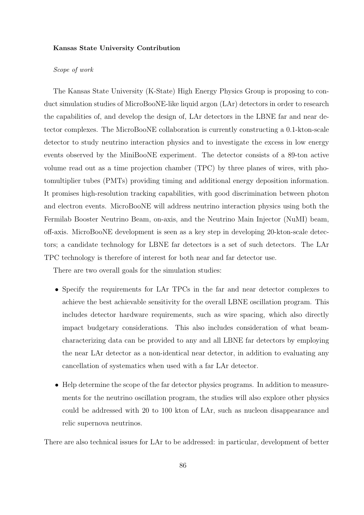#### Kansas State University Contribution

# Scope of work

The Kansas State University (K-State) High Energy Physics Group is proposing to conduct simulation studies of MicroBooNE-like liquid argon (LAr) detectors in order to research the capabilities of, and develop the design of, LAr detectors in the LBNE far and near detector complexes. The MicroBooNE collaboration is currently constructing a 0.1-kton-scale detector to study neutrino interaction physics and to investigate the excess in low energy events observed by the MiniBooNE experiment. The detector consists of a 89-ton active volume read out as a time projection chamber (TPC) by three planes of wires, with photomultiplier tubes (PMTs) providing timing and additional energy deposition information. It promises high-resolution tracking capabilities, with good discrimination between photon and electron events. MicroBooNE will address neutrino interaction physics using both the Fermilab Booster Neutrino Beam, on-axis, and the Neutrino Main Injector (NuMI) beam, off-axis. MicroBooNE development is seen as a key step in developing 20-kton-scale detectors; a candidate technology for LBNE far detectors is a set of such detectors. The LAr TPC technology is therefore of interest for both near and far detector use.

There are two overall goals for the simulation studies:

- Specify the requirements for LAr TPCs in the far and near detector complexes to achieve the best achievable sensitivity for the overall LBNE oscillation program. This includes detector hardware requirements, such as wire spacing, which also directly impact budgetary considerations. This also includes consideration of what beamcharacterizing data can be provided to any and all LBNE far detectors by employing the near LAr detector as a non-identical near detector, in addition to evaluating any cancellation of systematics when used with a far LAr detector.
- Help determine the scope of the far detector physics programs. In addition to measurements for the neutrino oscillation program, the studies will also explore other physics could be addressed with 20 to 100 kton of LAr, such as nucleon disappearance and relic supernova neutrinos.

There are also technical issues for LAr to be addressed: in particular, development of better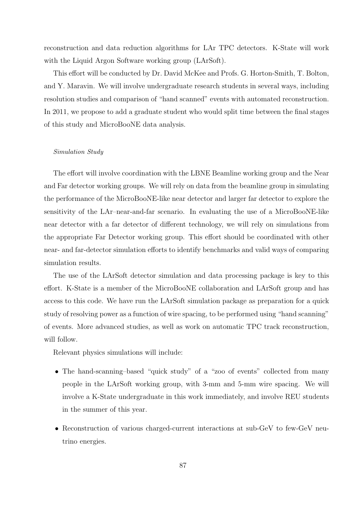reconstruction and data reduction algorithms for LAr TPC detectors. K-State will work with the Liquid Argon Software working group (LArSoft).

This effort will be conducted by Dr. David McKee and Profs. G. Horton-Smith, T. Bolton, and Y. Maravin. We will involve undergraduate research students in several ways, including resolution studies and comparison of "hand scanned" events with automated reconstruction. In 2011, we propose to add a graduate student who would split time between the final stages of this study and MicroBooNE data analysis.

#### Simulation Study

The effort will involve coordination with the LBNE Beamline working group and the Near and Far detector working groups. We will rely on data from the beamline group in simulating the performance of the MicroBooNE-like near detector and larger far detector to explore the sensitivity of the LAr–near-and-far scenario. In evaluating the use of a MicroBooNE-like near detector with a far detector of different technology, we will rely on simulations from the appropriate Far Detector working group. This effort should be coordinated with other near- and far-detector simulation efforts to identify benchmarks and valid ways of comparing simulation results.

The use of the LArSoft detector simulation and data processing package is key to this effort. K-State is a member of the MicroBooNE collaboration and LArSoft group and has access to this code. We have run the LArSoft simulation package as preparation for a quick study of resolving power as a function of wire spacing, to be performed using "hand scanning" of events. More advanced studies, as well as work on automatic TPC track reconstruction, will follow.

Relevant physics simulations will include:

- The hand-scanning–based "quick study" of a "zoo of events" collected from many people in the LArSoft working group, with 3-mm and 5-mm wire spacing. We will involve a K-State undergraduate in this work immediately, and involve REU students in the summer of this year.
- Reconstruction of various charged-current interactions at sub-GeV to few-GeV neutrino energies.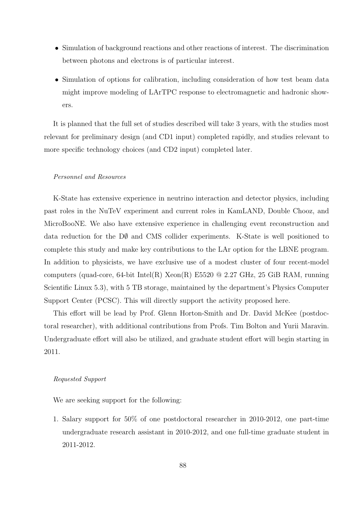- Simulation of background reactions and other reactions of interest. The discrimination between photons and electrons is of particular interest.
- Simulation of options for calibration, including consideration of how test beam data might improve modeling of LArTPC response to electromagnetic and hadronic showers.

It is planned that the full set of studies described will take 3 years, with the studies most relevant for preliminary design (and CD1 input) completed rapidly, and studies relevant to more specific technology choices (and CD2 input) completed later.

# Personnel and Resources

K-State has extensive experience in neutrino interaction and detector physics, including past roles in the NuTeV experiment and current roles in KamLAND, Double Chooz, and MicroBooNE. We also have extensive experience in challenging event reconstruction and data reduction for the  $\rm D\emptyset$  and CMS collider experiments. K-State is well positioned to complete this study and make key contributions to the LAr option for the LBNE program. In addition to physicists, we have exclusive use of a modest cluster of four recent-model computers (quad-core, 64-bit Intel(R)  $Xeon(R)$  E5520 @ 2.27 GHz, 25 GiB RAM, running Scientific Linux 5.3), with 5 TB storage, maintained by the department's Physics Computer Support Center (PCSC). This will directly support the activity proposed here.

This effort will be lead by Prof. Glenn Horton-Smith and Dr. David McKee (postdoctoral researcher), with additional contributions from Profs. Tim Bolton and Yurii Maravin. Undergraduate effort will also be utilized, and graduate student effort will begin starting in 2011.

# Requested Support

We are seeking support for the following:

1. Salary support for 50% of one postdoctoral researcher in 2010-2012, one part-time undergraduate research assistant in 2010-2012, and one full-time graduate student in 2011-2012.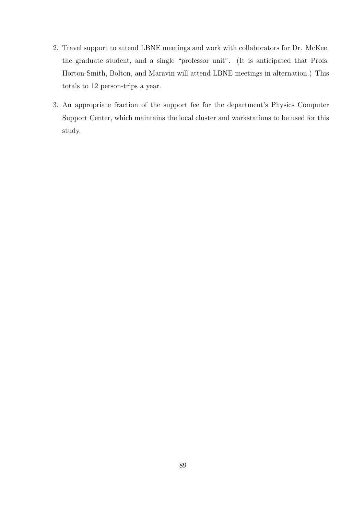- 2. Travel support to attend LBNE meetings and work with collaborators for Dr. McKee, the graduate student, and a single "professor unit". (It is anticipated that Profs. Horton-Smith, Bolton, and Maravin will attend LBNE meetings in alternation.) This totals to 12 person-trips a year.
- 3. An appropriate fraction of the support fee for the department's Physics Computer Support Center, which maintains the local cluster and workstations to be used for this study.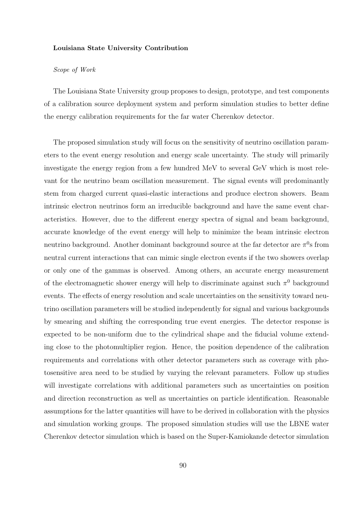#### Louisiana State University Contribution

### Scope of Work

The Louisiana State University group proposes to design, prototype, and test components of a calibration source deployment system and perform simulation studies to better define the energy calibration requirements for the far water Cherenkov detector.

The proposed simulation study will focus on the sensitivity of neutrino oscillation parameters to the event energy resolution and energy scale uncertainty. The study will primarily investigate the energy region from a few hundred MeV to several GeV which is most relevant for the neutrino beam oscillation measurement. The signal events will predominantly stem from charged current quasi-elastic interactions and produce electron showers. Beam intrinsic electron neutrinos form an irreducible background and have the same event characteristics. However, due to the different energy spectra of signal and beam background, accurate knowledge of the event energy will help to minimize the beam intrinsic electron neutrino background. Another dominant background source at the far detector are  $\pi^0$ s from neutral current interactions that can mimic single electron events if the two showers overlap or only one of the gammas is observed. Among others, an accurate energy measurement of the electromagnetic shower energy will help to discriminate against such  $\pi^0$  background events. The effects of energy resolution and scale uncertainties on the sensitivity toward neutrino oscillation parameters will be studied independently for signal and various backgrounds by smearing and shifting the corresponding true event energies. The detector response is expected to be non-uniform due to the cylindrical shape and the fiducial volume extending close to the photomultiplier region. Hence, the position dependence of the calibration requirements and correlations with other detector parameters such as coverage with photosensitive area need to be studied by varying the relevant parameters. Follow up studies will investigate correlations with additional parameters such as uncertainties on position and direction reconstruction as well as uncertainties on particle identification. Reasonable assumptions for the latter quantities will have to be derived in collaboration with the physics and simulation working groups. The proposed simulation studies will use the LBNE water Cherenkov detector simulation which is based on the Super-Kamiokande detector simulation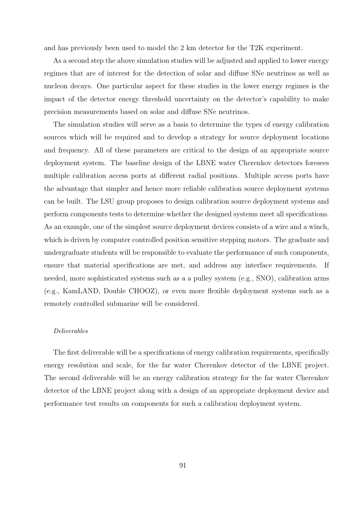and has previously been used to model the 2 km detector for the T2K experiment.

As a second step the above simulation studies will be adjusted and applied to lower energy regimes that are of interest for the detection of solar and diffuse SNe neutrinos as well as nucleon decays. One particular aspect for these studies in the lower energy regimes is the impact of the detector energy threshold uncertainty on the detector's capability to make precision measurements based on solar and diffuse SNe neutrinos.

The simulation studies will serve as a basis to determine the types of energy calibration sources which will be required and to develop a strategy for source deployment locations and frequency. All of these parameters are critical to the design of an appropriate source deployment system. The baseline design of the LBNE water Cherenkov detectors foresees multiple calibration access ports at different radial positions. Multiple access ports have the advantage that simpler and hence more reliable calibration source deployment systems can be built. The LSU group proposes to design calibration source deployment systems and perform components tests to determine whether the designed systems meet all specifications. As an example, one of the simplest source deployment devices consists of a wire and a winch, which is driven by computer controlled position sensitive stepping motors. The graduate and undergraduate students will be responsible to evaluate the performance of such components, ensure that material specifications are met, and address any interface requirements. If needed, more sophisticated systems such as a a pulley system (e.g., SNO), calibration arms (e.g., KamLAND, Double CHOOZ), or even more flexible deployment systems such as a remotely controlled submarine will be considered.

### Deliverables

The first deliverable will be a specifications of energy calibration requirements, specifically energy resolution and scale, for the far water Cherenkov detector of the LBNE project. The second deliverable will be an energy calibration strategy for the far water Cherenkov detector of the LBNE project along with a design of an appropriate deployment device and performance test results on components for such a calibration deployment system.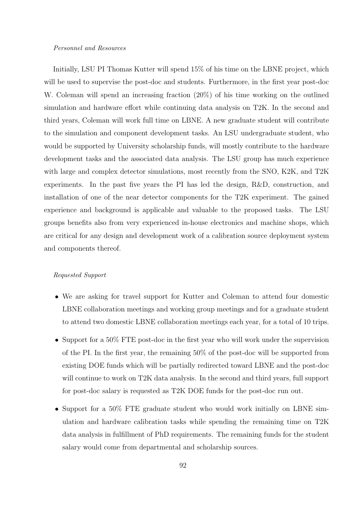#### Personnel and Resources

Initially, LSU PI Thomas Kutter will spend 15% of his time on the LBNE project, which will be used to supervise the post-doc and students. Furthermore, in the first year post-doc W. Coleman will spend an increasing fraction (20%) of his time working on the outlined simulation and hardware effort while continuing data analysis on T2K. In the second and third years, Coleman will work full time on LBNE. A new graduate student will contribute to the simulation and component development tasks. An LSU undergraduate student, who would be supported by University scholarship funds, will mostly contribute to the hardware development tasks and the associated data analysis. The LSU group has much experience with large and complex detector simulations, most recently from the SNO, K2K, and T2K experiments. In the past five years the PI has led the design, R&D, construction, and installation of one of the near detector components for the T2K experiment. The gained experience and background is applicable and valuable to the proposed tasks. The LSU groups benefits also from very experienced in-house electronics and machine shops, which are critical for any design and development work of a calibration source deployment system and components thereof.

#### Requested Support

- We are asking for travel support for Kutter and Coleman to attend four domestic LBNE collaboration meetings and working group meetings and for a graduate student to attend two domestic LBNE collaboration meetings each year, for a total of 10 trips.
- Support for a 50% FTE post-doc in the first year who will work under the supervision of the PI. In the first year, the remaining 50% of the post-doc will be supported from existing DOE funds which will be partially redirected toward LBNE and the post-doc will continue to work on T2K data analysis. In the second and third years, full support for post-doc salary is requested as T2K DOE funds for the post-doc run out.
- Support for a 50% FTE graduate student who would work initially on LBNE simulation and hardware calibration tasks while spending the remaining time on T2K data analysis in fulfillment of PhD requirements. The remaining funds for the student salary would come from departmental and scholarship sources.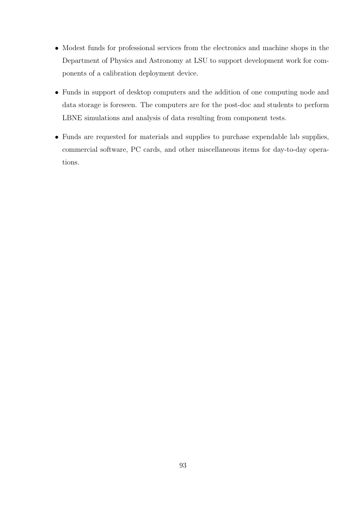- Modest funds for professional services from the electronics and machine shops in the Department of Physics and Astronomy at LSU to support development work for components of a calibration deployment device.
- Funds in support of desktop computers and the addition of one computing node and data storage is foreseen. The computers are for the post-doc and students to perform LBNE simulations and analysis of data resulting from component tests.
- Funds are requested for materials and supplies to purchase expendable lab supplies, commercial software, PC cards, and other miscellaneous items for day-to-day operations.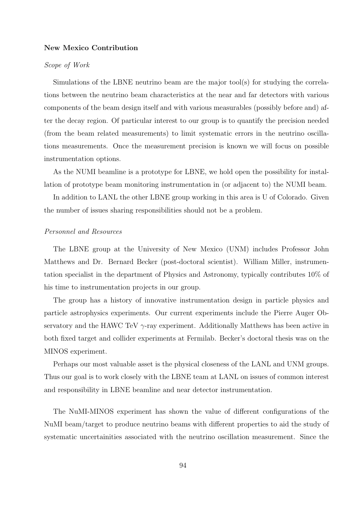# New Mexico Contribution

# Scope of Work

Simulations of the LBNE neutrino beam are the major tool(s) for studying the correlations between the neutrino beam characteristics at the near and far detectors with various components of the beam design itself and with various measurables (possibly before and) after the decay region. Of particular interest to our group is to quantify the precision needed (from the beam related measurements) to limit systematic errors in the neutrino oscillations measurements. Once the measurement precision is known we will focus on possible instrumentation options.

As the NUMI beamline is a prototype for LBNE, we hold open the possibility for installation of prototype beam monitoring instrumentation in (or adjacent to) the NUMI beam.

In addition to LANL the other LBNE group working in this area is U of Colorado. Given the number of issues sharing responsibilities should not be a problem.

# Personnel and Resources

The LBNE group at the University of New Mexico (UNM) includes Professor John Matthews and Dr. Bernard Becker (post-doctoral scientist). William Miller, instrumentation specialist in the department of Physics and Astronomy, typically contributes 10% of his time to instrumentation projects in our group.

The group has a history of innovative instrumentation design in particle physics and particle astrophysics experiments. Our current experiments include the Pierre Auger Observatory and the HAWC TeV  $\gamma$ -ray experiment. Additionally Matthews has been active in both fixed target and collider experiments at Fermilab. Becker's doctoral thesis was on the MINOS experiment.

Perhaps our most valuable asset is the physical closeness of the LANL and UNM groups. Thus our goal is to work closely with the LBNE team at LANL on issues of common interest and responsibility in LBNE beamline and near detector instrumentation.

The NuMI-MINOS experiment has shown the value of different configurations of the NuMI beam/target to produce neutrino beams with different properties to aid the study of systematic uncertainities associated with the neutrino oscillation measurement. Since the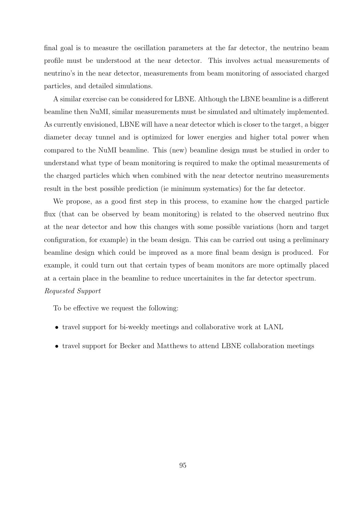final goal is to measure the oscillation parameters at the far detector, the neutrino beam profile must be understood at the near detector. This involves actual measurements of neutrino's in the near detector, measurements from beam monitoring of associated charged particles, and detailed simulations.

A similar exercise can be considered for LBNE. Although the LBNE beamline is a different beamline then NuMI, similar measurements must be simulated and ultimately implemented. As currently envisioned, LBNE will have a near detector which is closer to the target, a bigger diameter decay tunnel and is optimized for lower energies and higher total power when compared to the NuMI beamline. This (new) beamline design must be studied in order to understand what type of beam monitoring is required to make the optimal measurements of the charged particles which when combined with the near detector neutrino measurements result in the best possible prediction (ie minimum systematics) for the far detector.

We propose, as a good first step in this process, to examine how the charged particle flux (that can be observed by beam monitoring) is related to the observed neutrino flux at the near detector and how this changes with some possible variations (horn and target configuration, for example) in the beam design. This can be carried out using a preliminary beamline design which could be improved as a more final beam design is produced. For example, it could turn out that certain types of beam monitors are more optimally placed at a certain place in the beamline to reduce uncertainites in the far detector spectrum. Requested Support

To be effective we request the following:

- travel support for bi-weekly meetings and collaborative work at LANL
- travel support for Becker and Matthews to attend LBNE collaboration meetings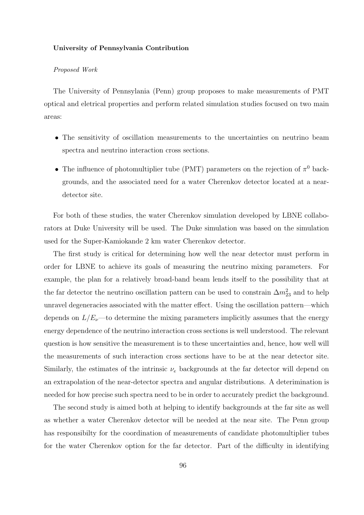#### University of Pennsylvania Contribution

### Proposed Work

The University of Pennsylania (Penn) group proposes to make measurements of PMT optical and eletrical properties and perform related simulation studies focused on two main areas:

- The sensitivity of oscillation measurements to the uncertainties on neutrino beam spectra and neutrino interaction cross sections.
- The influence of photomultiplier tube (PMT) parameters on the rejection of  $\pi^0$  backgrounds, and the associated need for a water Cherenkov detector located at a neardetector site.

For both of these studies, the water Cherenkov simulation developed by LBNE collaborators at Duke University will be used. The Duke simulation was based on the simulation used for the Super-Kamiokande 2 km water Cherenkov detector.

The first study is critical for determining how well the near detector must perform in order for LBNE to achieve its goals of measuring the neutrino mixing parameters. For example, the plan for a relatively broad-band beam lends itself to the possibility that at the far detector the neutrino oscillation pattern can be used to constrain  $\Delta m^2_{23}$  and to help unravel degeneracies associated with the matter effect. Using the oscillation pattern—which depends on  $L/E_\nu$ —to determine the mixing parameters implicitly assumes that the energy energy dependence of the neutrino interaction cross sections is well understood. The relevant question is how sensitive the measurement is to these uncertainties and, hence, how well will the measurements of such interaction cross sections have to be at the near detector site. Similarly, the estimates of the intrinsic  $\nu_e$  backgrounds at the far detector will depend on an extrapolation of the near-detector spectra and angular distributions. A deterimination is needed for how precise such spectra need to be in order to accurately predict the background.

The second study is aimed both at helping to identify backgrounds at the far site as well as whether a water Cherenkov detector will be needed at the near site. The Penn group has responsibilty for the coordination of measurements of candidate photomultiplier tubes for the water Cherenkov option for the far detector. Part of the difficulty in identifying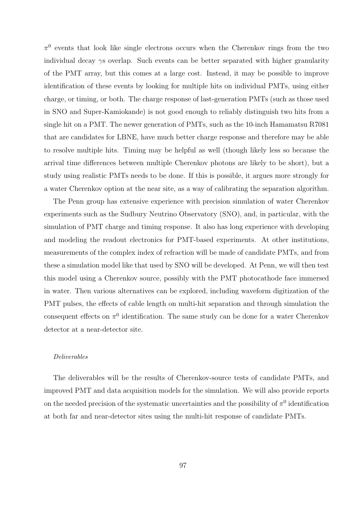$\pi^0$  events that look like single electrons occurs when the Cherenkov rings from the two individual decay γs overlap. Such events can be better separated with higher granularity of the PMT array, but this comes at a large cost. Instead, it may be possible to improve identification of these events by looking for multiple hits on individual PMTs, using either charge, or timing, or both. The charge response of last-generation PMTs (such as those used in SNO and Super-Kamiokande) is not good enough to reliably distinguish two hits from a single hit on a PMT. The newer generation of PMTs, such as the 10-inch Hamamatsu R7081 that are candidates for LBNE, have much better charge response and therefore may be able to resolve multiple hits. Timing may be helpful as well (though likely less so because the arrival time differences between multiple Cherenkov photons are likely to be short), but a study using realistic PMTs needs to be done. If this is possible, it argues more strongly for a water Cherenkov option at the near site, as a way of calibrating the separation algorithm.

The Penn group has extensive experience with precision simulation of water Cherenkov experiments such as the Sudbury Neutrino Observatory (SNO), and, in particular, with the simulation of PMT charge and timing response. It also has long experience with developing and modeling the readout electronics for PMT-based experiments. At other institutions, measurements of the complex index of refraction will be made of candidate PMTs, and from these a simulation model like that used by SNO will be developed. At Penn, we will then test this model using a Cherenkov source, possibly with the PMT photocathode face immersed in water. Then various alternatives can be explored, including waveform digitization of the PMT pulses, the effects of cable length on multi-hit separation and through simulation the consequent effects on  $\pi^0$  identification. The same study can be done for a water Cherenkov detector at a near-detector site.

#### Deliverables

The deliverables will be the results of Cherenkov-source tests of candidate PMTs, and improved PMT and data acquisition models for the simulation. We will also provide reports on the needed precision of the systematic uncertainties and the possibility of  $\pi^0$  identification at both far and near-detector sites using the multi-hit response of candidate PMTs.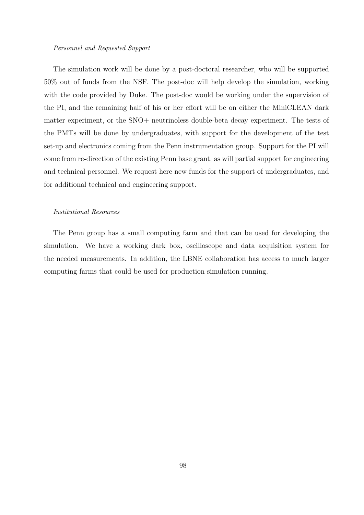#### Personnel and Requested Support

The simulation work will be done by a post-doctoral researcher, who will be supported 50% out of funds from the NSF. The post-doc will help develop the simulation, working with the code provided by Duke. The post-doc would be working under the supervision of the PI, and the remaining half of his or her effort will be on either the MiniCLEAN dark matter experiment, or the SNO+ neutrinoless double-beta decay experiment. The tests of the PMTs will be done by undergraduates, with support for the development of the test set-up and electronics coming from the Penn instrumentation group. Support for the PI will come from re-direction of the existing Penn base grant, as will partial support for engineering and technical personnel. We request here new funds for the support of undergraduates, and for additional technical and engineering support.

# Institutional Resources

The Penn group has a small computing farm and that can be used for developing the simulation. We have a working dark box, oscilloscope and data acquisition system for the needed measurements. In addition, the LBNE collaboration has access to much larger computing farms that could be used for production simulation running.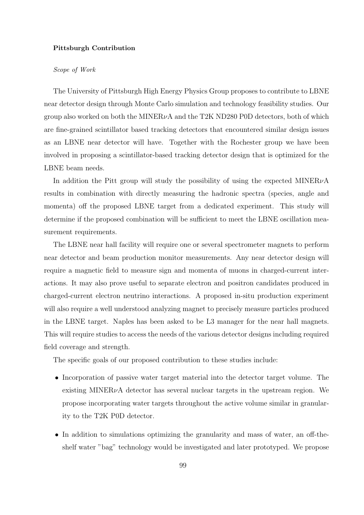### Pittsburgh Contribution

# Scope of Work

The University of Pittsburgh High Energy Physics Group proposes to contribute to LBNE near detector design through Monte Carlo simulation and technology feasibility studies. Our group also worked on both the MINER $\nu$ A and the T2K ND280 P0D detectors, both of which are fine-grained scintillator based tracking detectors that encountered similar design issues as an LBNE near detector will have. Together with the Rochester group we have been involved in proposing a scintillator-based tracking detector design that is optimized for the LBNE beam needs.

In addition the Pitt group will study the possibility of using the expected MINER $\nu$ A results in combination with directly measuring the hadronic spectra (species, angle and momenta) off the proposed LBNE target from a dedicated experiment. This study will determine if the proposed combination will be sufficient to meet the LBNE oscillation measurement requirements.

The LBNE near hall facility will require one or several spectrometer magnets to perform near detector and beam production monitor measurements. Any near detector design will require a magnetic field to measure sign and momenta of muons in charged-current interactions. It may also prove useful to separate electron and positron candidates produced in charged-current electron neutrino interactions. A proposed in-situ production experiment will also require a well understood analyzing magnet to precisely measure particles produced in the LBNE target. Naples has been asked to be L3 manager for the near hall magnets. This will require studies to access the needs of the various detector designs including required field coverage and strength.

The specific goals of our proposed contribution to these studies include:

- Incorporation of passive water target material into the detector target volume. The existing MINER $\nu$ A detector has several nuclear targets in the upstream region. We propose incorporating water targets throughout the active volume similar in granularity to the T2K P0D detector.
- In addition to simulations optimizing the granularity and mass of water, an off-theshelf water "bag" technology would be investigated and later prototyped. We propose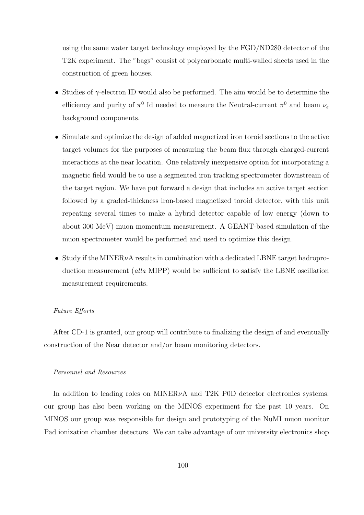using the same water target technology employed by the FGD/ND280 detector of the T2K experiment. The "bags" consist of polycarbonate multi-walled sheets used in the construction of green houses.

- Studies of  $\gamma$ -electron ID would also be performed. The aim would be to determine the efficiency and purity of  $\pi^0$  Id needed to measure the Neutral-current  $\pi^0$  and beam  $\nu_e$ background components.
- Simulate and optimize the design of added magnetized iron toroid sections to the active target volumes for the purposes of measuring the beam flux through charged-current interactions at the near location. One relatively inexpensive option for incorporating a magnetic field would be to use a segmented iron tracking spectrometer downstream of the target region. We have put forward a design that includes an active target section followed by a graded-thickness iron-based magnetized toroid detector, with this unit repeating several times to make a hybrid detector capable of low energy (down to about 300 MeV) muon momentum measurement. A GEANT-based simulation of the muon spectrometer would be performed and used to optimize this design.
- Study if the MINER $\nu$ A results in combination with a dedicated LBNE target hadroproduction measurement (alla MIPP) would be sufficient to satisfy the LBNE oscillation measurement requirements.

# Future Efforts

After CD-1 is granted, our group will contribute to finalizing the design of and eventually construction of the Near detector and/or beam monitoring detectors.

# Personnel and Resources

In addition to leading roles on MINER $\nu$ A and T2K P0D detector electronics systems, our group has also been working on the MINOS experiment for the past 10 years. On MINOS our group was responsible for design and prototyping of the NuMI muon monitor Pad ionization chamber detectors. We can take advantage of our university electronics shop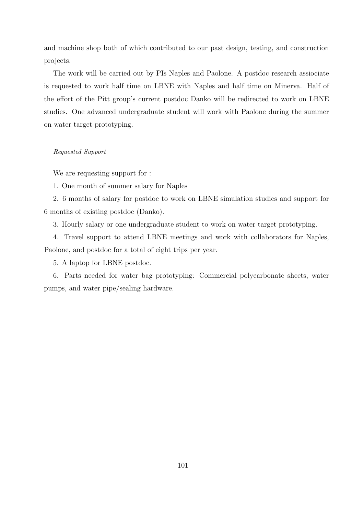and machine shop both of which contributed to our past design, testing, and construction projects.

The work will be carried out by PIs Naples and Paolone. A postdoc research assiociate is requested to work half time on LBNE with Naples and half time on Minerva. Half of the effort of the Pitt group's current postdoc Danko will be redirected to work on LBNE studies. One advanced undergraduate student will work with Paolone during the summer on water target prototyping.

# Requested Support

We are requesting support for :

1. One month of summer salary for Naples

2. 6 months of salary for postdoc to work on LBNE simulation studies and support for 6 months of existing postdoc (Danko).

3. Hourly salary or one undergraduate student to work on water target prototyping.

4. Travel support to attend LBNE meetings and work with collaborators for Naples, Paolone, and postdoc for a total of eight trips per year.

5. A laptop for LBNE postdoc.

6. Parts needed for water bag prototyping: Commercial polycarbonate sheets, water pumps, and water pipe/sealing hardware.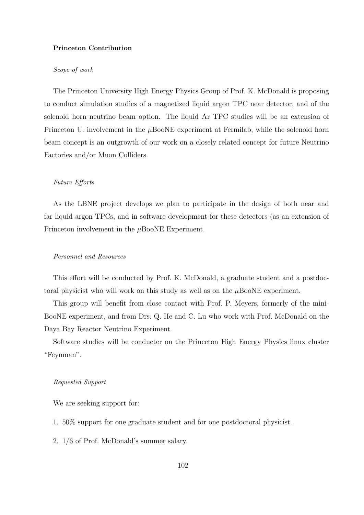### Princeton Contribution

# Scope of work

The Princeton University High Energy Physics Group of Prof. K. McDonald is proposing to conduct simulation studies of a magnetized liquid argon TPC near detector, and of the solenoid horn neutrino beam option. The liquid Ar TPC studies will be an extension of Princeton U. involvement in the  $\mu$ BooNE experiment at Fermilab, while the solenoid horn beam concept is an outgrowth of our work on a closely related concept for future Neutrino Factories and/or Muon Colliders.

# Future Efforts

As the LBNE project develops we plan to participate in the design of both near and far liquid argon TPCs, and in software development for these detectors (as an extension of Princeton involvement in the  $\mu$ BooNE Experiment.

### Personnel and Resources

This effort will be conducted by Prof. K. McDonald, a graduate student and a postdoctoral physicist who will work on this study as well as on the  $\mu$ BooNE experiment.

This group will benefit from close contact with Prof. P. Meyers, formerly of the mini-BooNE experiment, and from Drs. Q. He and C. Lu who work with Prof. McDonald on the Daya Bay Reactor Neutrino Experiment.

Software studies will be conducter on the Princeton High Energy Physics linux cluster "Feynman".

### Requested Support

We are seeking support for:

- 1. 50% support for one graduate student and for one postdoctoral physicist.
- 2. 1/6 of Prof. McDonald's summer salary.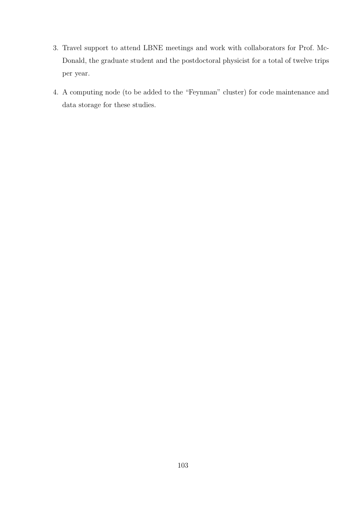- 3. Travel support to attend LBNE meetings and work with collaborators for Prof. Mc-Donald, the graduate student and the postdoctoral physicist for a total of twelve trips per year.
- 4. A computing node (to be added to the "Feynman" cluster) for code maintenance and data storage for these studies.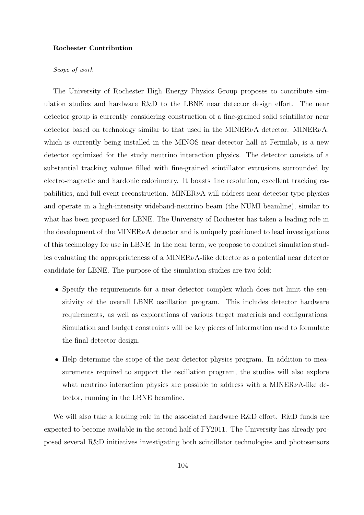### Rochester Contribution

# Scope of work

The University of Rochester High Energy Physics Group proposes to contribute simulation studies and hardware R&D to the LBNE near detector design effort. The near detector group is currently considering construction of a fine-grained solid scintillator near detector based on technology similar to that used in the MINER<sub> $\nu$ A</sub> detector. MINER $\nu$ A, which is currently being installed in the MINOS near-detector hall at Fermilab, is a new detector optimized for the study neutrino interaction physics. The detector consists of a substantial tracking volume filled with fine-grained scintillator extrusions surrounded by electro-magnetic and hardonic calorimetry. It boasts fine resolution, excellent tracking capabilities, and full event reconstruction. MINER $\nu$ A will address near-detector type physics and operate in a high-intensity wideband-neutrino beam (the NUMI beamline), similar to what has been proposed for LBNE. The University of Rochester has taken a leading role in the development of the MINER $\nu$ A detector and is uniquely positioned to lead investigations of this technology for use in LBNE. In the near term, we propose to conduct simulation studies evaluating the appropriateness of a MINER $\nu$ A-like detector as a potential near detector candidate for LBNE. The purpose of the simulation studies are two fold:

- Specify the requirements for a near detector complex which does not limit the sensitivity of the overall LBNE oscillation program. This includes detector hardware requirements, as well as explorations of various target materials and configurations. Simulation and budget constraints will be key pieces of information used to formulate the final detector design.
- Help determine the scope of the near detector physics program. In addition to measurements required to support the oscillation program, the studies will also explore what neutrino interaction physics are possible to address with a MINER $\nu$ A-like detector, running in the LBNE beamline.

We will also take a leading role in the associated hardware R&D effort. R&D funds are expected to become available in the second half of FY2011. The University has already proposed several R&D initiatives investigating both scintillator technologies and photosensors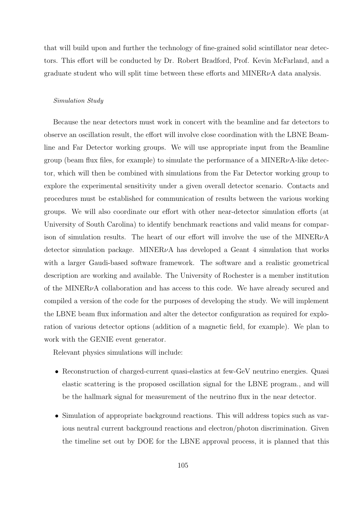that will build upon and further the technology of fine-grained solid scintillator near detectors. This effort will be conducted by Dr. Robert Bradford, Prof. Kevin McFarland, and a graduate student who will split time between these efforts and  $MINER\nu A$  data analysis.

#### Simulation Study

Because the near detectors must work in concert with the beamline and far detectors to observe an oscillation result, the effort will involve close coordination with the LBNE Beamline and Far Detector working groups. We will use appropriate input from the Beamline group (beam flux files, for example) to simulate the performance of a MINER $\nu$ A-like detector, which will then be combined with simulations from the Far Detector working group to explore the experimental sensitivity under a given overall detector scenario. Contacts and procedures must be established for communication of results between the various working groups. We will also coordinate our effort with other near-detector simulation efforts (at University of South Carolina) to identify benchmark reactions and valid means for comparison of simulation results. The heart of our effort will involve the use of the MINER $\nu$ A detector simulation package. MINER $\nu$ A has developed a Geant 4 simulation that works with a larger Gaudi-based software framework. The software and a realistic geometrical description are working and available. The University of Rochester is a member institution of the MINER $\nu$ A collaboration and has access to this code. We have already secured and compiled a version of the code for the purposes of developing the study. We will implement the LBNE beam flux information and alter the detector configuration as required for exploration of various detector options (addition of a magnetic field, for example). We plan to work with the GENIE event generator.

Relevant physics simulations will include:

- Reconstruction of charged-current quasi-elastics at few-GeV neutrino energies. Quasi elastic scattering is the proposed oscillation signal for the LBNE program., and will be the hallmark signal for measurement of the neutrino flux in the near detector.
- Simulation of appropriate background reactions. This will address topics such as various neutral current background reactions and electron/photon discrimination. Given the timeline set out by DOE for the LBNE approval process, it is planned that this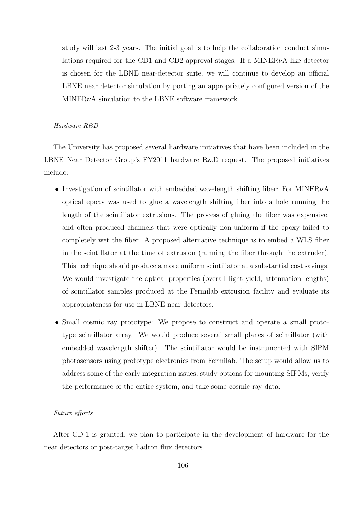study will last 2-3 years. The initial goal is to help the collaboration conduct simulations required for the CD1 and CD2 approval stages. If a MINER $\nu$ A-like detector is chosen for the LBNE near-detector suite, we will continue to develop an official LBNE near detector simulation by porting an appropriately configured version of the  $MINER\nu A$  simulation to the LBNE software framework.

# Hardware R&D

The University has proposed several hardware initiatives that have been included in the LBNE Near Detector Group's FY2011 hardware R&D request. The proposed initiatives include:

- Investigation of scintillator with embedded wavelength shifting fiber: For MINER<sub>V</sub>A optical epoxy was used to glue a wavelength shifting fiber into a hole running the length of the scintillator extrusions. The process of gluing the fiber was expensive, and often produced channels that were optically non-uniform if the epoxy failed to completely wet the fiber. A proposed alternative technique is to embed a WLS fiber in the scintillator at the time of extrusion (running the fiber through the extruder). This technique should produce a more uniform scintillator at a substantial cost savings. We would investigate the optical properties (overall light yield, attenuation lengths) of scintillator samples produced at the Fermilab extrusion facility and evaluate its appropriateness for use in LBNE near detectors.
- Small cosmic ray prototype: We propose to construct and operate a small prototype scintillator array. We would produce several small planes of scintillator (with embedded wavelength shifter). The scintillator would be instrumented with SIPM photosensors using prototype electronics from Fermilab. The setup would allow us to address some of the early integration issues, study options for mounting SIPMs, verify the performance of the entire system, and take some cosmic ray data.

### Future efforts

After CD-1 is granted, we plan to participate in the development of hardware for the near detectors or post-target hadron flux detectors.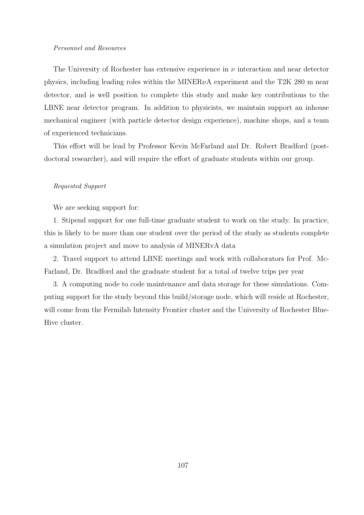#### Personnel and Resources

The University of Rochester has extensive experience in  $\nu$  interaction and near detector physics, including leading roles within the MINER $\nu$ A experiment and the T2K 280 m near detector, and is well position to complete this study and make key contributions to the LBNE near detector program. In addition to physicists, we maintain support an inhouse mechanical engineer (with particle detector design experience), machine shops, and a team of experienced technicians.

This effort will be lead by Professor Kevin McFarland and Dr. Robert Bradford (postdoctoral researcher), and will require the effort of graduate students within our group.

# Requested Support

We are seeking support for:

1. Stipend support for one full-time graduate student to work on the study. In practice, this is likely to be more than one student over the period of the study as students complete a simulation project and move to analysis of MINERvA data

2. Travel support to attend LBNE meetings and work with collaborators for Prof. Mc-Farland, Dr. Bradford and the graduate student for a total of twelve trips per year

3. A computing node to code maintenance and data storage for these simulations. Computing support for the study beyond this build/storage node, which will reside at Rochester, will come from the Fermilab Intensity Frontier cluster and the University of Rochester Blue-Hive cluster.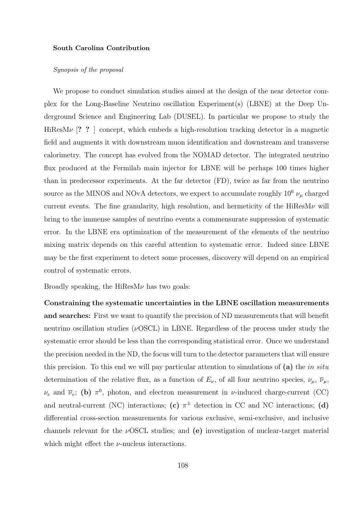#### South Carolina Contribution

# Synopsis of the proposal

We propose to conduct simulation studies aimed at the design of the near detector complex for the Long-Baseline Neutrino oscillation Experiment(s) (LBNE) at the Deep Underground Science and Engineering Lab (DUSEL). In particular we propose to study the HiResM $\nu$  [? ? ] concept, which embeds a high-resolution tracking detector in a magnetic field and augments it with downstream muon identification and downstream and transverse calorimetry. The concept has evolved from the NOMAD detector. The integrated neutrino flux produced at the Fermilab main injector for LBNE will be perhaps 100 times higher than in predecessor experiments. At the far detector (FD), twice as far from the neutrino source as the MINOS and NOvA detectors, we expect to accumulate roughly  $10^6 \nu_\mu$  charged current events. The fine granularity, high resolution, and hermeticity of the  $HiResM\nu$  will bring to the immense samples of neutrino events a commensurate suppression of systematic error. In the LBNE era optimization of the measurement of the elements of the neutrino mixing matrix depends on this careful attention to systematic error. Indeed since LBNE may be the first experiment to detect some processes, discovery will depend on an empirical control of systematic errors.

Broadly speaking, the  $Hi$ ResM $\nu$  has two goals:

Constraining the systematic uncertainties in the LBNE oscillation measurements and searches: First we want to quantify the precision of ND measurements that will benefit neutrino oscillation studies ( $\nu$ OSCL) in LBNE. Regardless of the process under study the systematic error should be less than the corresponding statistical error. Once we understand the precision needed in the ND, the focus will turn to the detector parameters that will ensure this precision. To this end we will pay particular attention to simulations of (a) the in situ determination of the relative flux, as a function of  $E_{\nu}$ , of all four neutrino species,  $\nu_{\mu}$ ,  $\overline{\nu}_{\mu}$ ,  $\nu_e$  and  $\bar{\nu}_e$ ; (b)  $\pi^0$ , photon, and electron measurement in *v*-induced charge-current (CC) and neutral-current (NC) interactions; (c)  $\pi^{\pm}$  detection in CC and NC interactions; (d) differential cross-section measurements for various exclusive, semi-exclusive, and inclusive channels relevant for the  $\nu$ OSCL studies; and (e) investigation of nuclear-target material which might effect the  $\nu$ -nucleus interactions.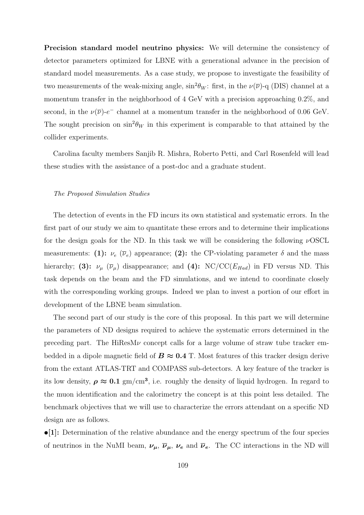Precision standard model neutrino physics: We will determine the consistency of detector parameters optimized for LBNE with a generational advance in the precision of standard model measurements. As a case study, we propose to investigate the feasibility of two measurements of the weak-mixing angle,  $\sin^2 \theta_W$ : first, in the  $\nu(\overline{\nu})$ -q (DIS) channel at a momentum transfer in the neighborhood of 4 GeV with a precision approaching 0.2%, and second, in the  $\nu(\overline{\nu})-e^-$  channel at a momentum transfer in the neighborhood of 0.06 GeV. The sought precision on  $\sin^2 \theta_W$  in this experiment is comparable to that attained by the collider experiments.

Carolina faculty members Sanjib R. Mishra, Roberto Petti, and Carl Rosenfeld will lead these studies with the assistance of a post-doc and a graduate student.

### The Proposed Simulation Studies

The detection of events in the FD incurs its own statistical and systematic errors. In the first part of our study we aim to quantitate these errors and to determine their implications for the design goals for the ND. In this task we will be considering the following  $\nu$ OSCL measurements: (1):  $\nu_e$  ( $\overline{\nu}_e$ ) appearance; (2): the CP-violating parameter  $\delta$  and the mass hierarchy; (3):  $\nu_{\mu}$  ( $\overline{\nu}_{\mu}$ ) disappearance; and (4): NC/CC( $E_{Had}$ ) in FD versus ND. This task depends on the beam and the FD simulations, and we intend to coordinate closely with the corresponding working groups. Indeed we plan to invest a portion of our effort in development of the LBNE beam simulation.

The second part of our study is the core of this proposal. In this part we will determine the parameters of ND designs required to achieve the systematic errors determined in the preceding part. The HiResM $\nu$  concept calls for a large volume of straw tube tracker embedded in a dipole magnetic field of  $B \approx 0.4$  T. Most features of this tracker design derive from the extant ATLAS-TRT and COMPASS sub-detectors. A key feature of the tracker is its low density,  $\rho \approx 0.1$  gm/cm<sup>3</sup>, i.e. roughly the density of liquid hydrogen. In regard to the muon identification and the calorimetry the concept is at this point less detailed. The benchmark objectives that we will use to characterize the errors attendant on a specific ND design are as follows.

•[1]: Determination of the relative abundance and the energy spectrum of the four species of neutrinos in the NuMI beam,  $\nu_{\mu}$ ,  $\overline{\nu}_{\mu}$ ,  $\nu_{e}$  and  $\overline{\nu}_{e}$ . The CC interactions in the ND will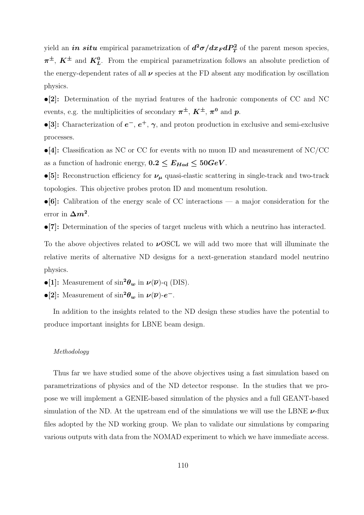yield an *in situ* empirical parametrization of  $d^2\sigma/dx_F dP_T^2$  of the parent meson species,  $\pi^{\pm}$ ,  $K^{\pm}$  and  $K^0_L$ . From the empirical parametrization follows an absolute prediction of the energy-dependent rates of all  $\nu$  species at the FD absent any modification by oscillation physics.

•[2]: Determination of the myriad features of the hadronic components of CC and NC events, e.g. the multiplicities of secondary  $\pi^{\pm}$ ,  $K^{\pm}$ ,  $\pi^0$  and p.

•[3]: Characterization of  $e^-$ ,  $e^+$ ,  $\gamma$ , and proton production in exclusive and semi-exclusive processes.

 $\bullet$ [4]: Classification as NC or CC for events with no muon ID and measurement of NC/CC as a function of hadronic energy,  $0.2 \le E_{Had} \le 50 GeV$ .

•[5]: Reconstruction efficiency for  $\nu_{\mu}$  quasi-elastic scattering in single-track and two-track topologies. This objective probes proton ID and momentum resolution.

 $\bullet$ [6]: Calibration of the energy scale of CC interactions — a major consideration for the error in  $\Delta m^2$ .

•[7]: Determination of the species of target nucleus with which a neutrino has interacted.

To the above objectives related to  $\nu$ OSCL we will add two more that will illuminate the relative merits of alternative ND designs for a next-generation standard model neutrino physics.

•[1]: Measurement of  $\sin^2\theta_w$  in  $\nu(\overline{\nu})$ -q (DIS).

•[2]: Measurement of  $\sin^2\theta_w$  in  $\nu(\overline{\nu})$ - $e^-$ .

In addition to the insights related to the ND design these studies have the potential to produce important insights for LBNE beam design.

## Methodology

Thus far we have studied some of the above objectives using a fast simulation based on parametrizations of physics and of the ND detector response. In the studies that we propose we will implement a GENIE-based simulation of the physics and a full GEANT-based simulation of the ND. At the upstream end of the simulations we will use the LBNE  $\nu$ -flux files adopted by the ND working group. We plan to validate our simulations by comparing various outputs with data from the NOMAD experiment to which we have immediate access.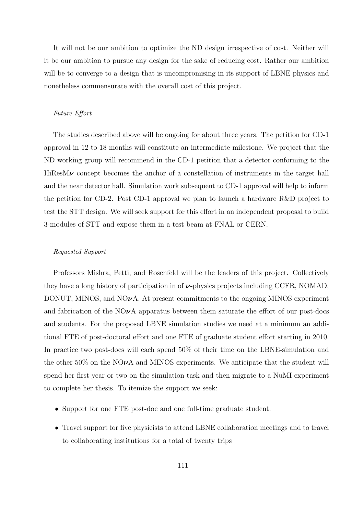It will not be our ambition to optimize the ND design irrespective of cost. Neither will it be our ambition to pursue any design for the sake of reducing cost. Rather our ambition will be to converge to a design that is uncompromising in its support of LBNE physics and nonetheless commensurate with the overall cost of this project.

# Future Effort

The studies described above will be ongoing for about three years. The petition for CD-1 approval in 12 to 18 months will constitute an intermediate milestone. We project that the ND working group will recommend in the CD-1 petition that a detector conforming to the  $HiResM\nu$  concept becomes the anchor of a constellation of instruments in the target hall and the near detector hall. Simulation work subsequent to CD-1 approval will help to inform the petition for CD-2. Post CD-1 approval we plan to launch a hardware R&D project to test the STT design. We will seek support for this effort in an independent proposal to build 3-modules of STT and expose them in a test beam at FNAL or CERN.

### Requested Support

Professors Mishra, Petti, and Rosenfeld will be the leaders of this project. Collectively they have a long history of participation in of  $\nu$ -physics projects including CCFR, NOMAD, DONUT, MINOS, and  $NQ\nu A$ . At present commitments to the ongoing MINOS experiment and fabrication of the  $NQ\nu A$  apparatus between them saturate the effort of our post-docs and students. For the proposed LBNE simulation studies we need at a minimum an additional FTE of post-doctoral effort and one FTE of graduate student effort starting in 2010. In practice two post-docs will each spend 50% of their time on the LBNE-simulation and the other 50% on the NO $\nu$ A and MINOS experiments. We anticipate that the student will spend her first year or two on the simulation task and then migrate to a NuMI experiment to complete her thesis. To itemize the support we seek:

- Support for one FTE post-doc and one full-time graduate student.
- Travel support for five physicists to attend LBNE collaboration meetings and to travel to collaborating institutions for a total of twenty trips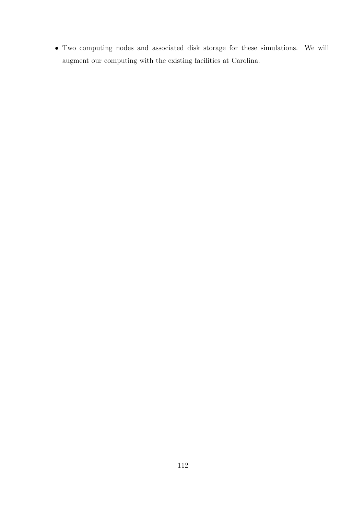• Two computing nodes and associated disk storage for these simulations. We will augment our computing with the existing facilities at Carolina.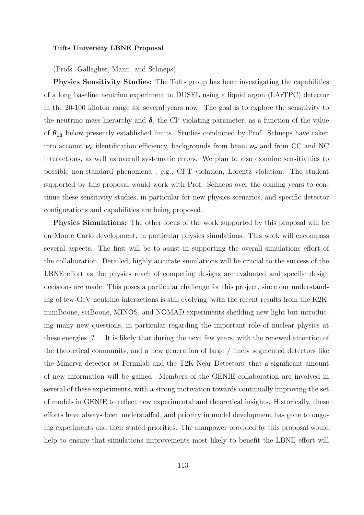### Tufts University LBNE Proposal

(Profs. Gallagher, Mann, and Schneps)

Physics Sensitivity Studies: The Tufts group has been investigating the capabilities of a long baseline neutrino experiment to DUSEL using a liquid argon (LArTPC) detector in the 20-100 kiloton range for several years now. The goal is to explore the sensitivity to the neutrino mass hierarchy and  $\delta$ , the CP violating parameter, as a function of the value of  $\theta_{13}$  below presently established limits. Studies conducted by Prof. Schneps have taken into account  $\nu_e$  identification efficiency, backgrounds from beam  $\nu_e$  and from CC and NC interactions, as well as overall systematic errors. We plan to also examine sensitivities to possible non-standard phenomena , e.g., CPT violation, Lorentz violation. The student supported by this proposal would work with Prof. Schneps over the coming years to continue these sensitivity studies, in particular for new physics scenarios, and specific detector configurations and capabilities are being proposed.

Physics Simulations: The other focus of the work supported by this proposal will be on Monte Carlo development, in particular physics simulations. This work will encompass several aspects. The first will be to assist in supporting the overall simulations effort of the collaboration. Detailed, highly accurate simulations will be crucial to the success of the LBNE effort as the physics reach of competing designs are evaluated and specific design decisions are made. This poses a particular challenge for this project, since our understanding of few-GeV neutrino interactions is still evolving, with the recent results from the K2K, miniBoone, sciBoone, MINOS, and NOMAD experiments shedding new light but introducing many new questions, in particular regarding the important role of nuclear physics at these energies [? ]. It is likely that during the next few years, with the renewed attention of the theoretical community, and a new generation of large / finely segmented detectors like the Minerva detector at Fermilab and the T2K Near Detectors, that a significant amount of new information will be gained. Members of the GENIE collaboration are involved in several of these experiments, with a strong motivation towards continually improving the set of models in GENIE to reflect new experimental and theoretical insights. Historically, these efforts have always been understaffed, and priority in model development has gone to ongoing experiments and their stated priorities. The manpower provided by this proposal would help to ensure that simulations improvements most likely to benefit the LBNE effort will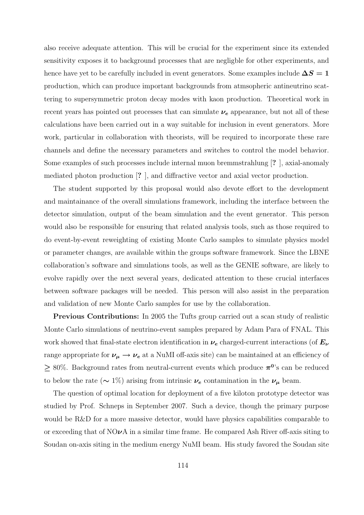also receive adequate attention. This will be crucial for the experiment since its extended sensitivity exposes it to background processes that are negligble for other experiments, and hence have yet to be carefully included in event generators. Some examples include  $\Delta S = 1$ production, which can produce important backgrounds from atmsopheric antineutrino scattering to supersymmetric proton decay modes with kaon production. Theoretical work in recent years has pointed out processes that can simulate  $\nu_e$  appearance, but not all of these calculations have been carried out in a way suitable for inclusion in event generators. More work, particular in collaboration with theorists, will be required to incorporate these rare channels and define the necessary parameters and switches to control the model behavior. Some examples of such processes include internal muon bremmstrahlung [? ], axial-anomaly mediated photon production [? ], and diffractive vector and axial vector production.

The student supported by this proposal would also devote effort to the development and maintainance of the overall simulations framework, including the interface between the detector simulation, output of the beam simulation and the event generator. This person would also be responsible for ensuring that related analysis tools, such as those required to do event-by-event reweighting of existing Monte Carlo samples to simulate physics model or parameter changes, are available within the groups software framework. Since the LBNE collaboration's software and simulations tools, as well as the GENIE software, are likely to evolve rapidly over the next several years, dedicated attention to these crucial interfaces between software packages will be needed. This person will also assist in the preparation and validation of new Monte Carlo samples for use by the collaboration.

Previous Contributions: In 2005 the Tufts group carried out a scan study of realistic Monte Carlo simulations of neutrino-event samples prepared by Adam Para of FNAL. This work showed that final-state electron identification in  $\nu_e$  charged-current interactions (of  $E_\nu$ range appropriate for  $\nu_{\mu} \rightarrow \nu_{e}$  at a NuMI off-axis site) can be maintained at an efficiency of  $\geq 80\%$ . Background rates from neutral-current events which produce  $\pi^0$ 's can be reduced to below the rate ( $\sim 1\%$ ) arising from intrinsic  $\nu_e$  contamination in the  $\nu_\mu$  beam.

The question of optimal location for deployment of a five kiloton prototype detector was studied by Prof. Schneps in September 2007. Such a device, though the primary purpose would be R&D for a more massive detector, would have physics capabilities comparable to or exceeding that of  $NO\nu A$  in a similar time frame. He compared Ash River off-axis siting to Soudan on-axis siting in the medium energy NuMI beam. His study favored the Soudan site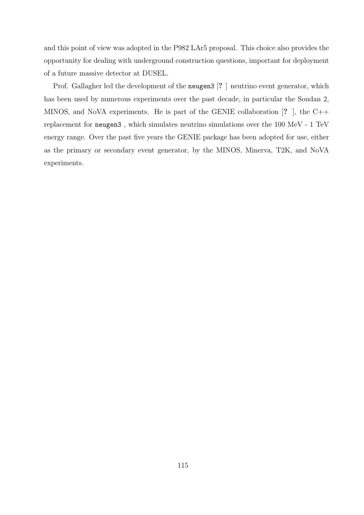and this point of view was adopted in the P982 LAr5 proposal. This choice also provides the opportunity for dealing with underground construction questions, important for deployment of a future massive detector at DUSEL.

Prof. Gallagher led the development of the neugen3 [? ] neutrino event generator, which has been used by numerous experiments over the past decade, in particular the Soudan 2, MINOS, and NoVA experiments. He is part of the GENIE collaboration [? ], the C++ replacement for neugen3 , which simulates neutrino simulations over the 100 MeV - 1 TeV energy range. Over the past five years the GENIE package has been adopted for use, either as the primary or secondary event generator, by the MINOS, Minerva, T2K, and NoVA experiments.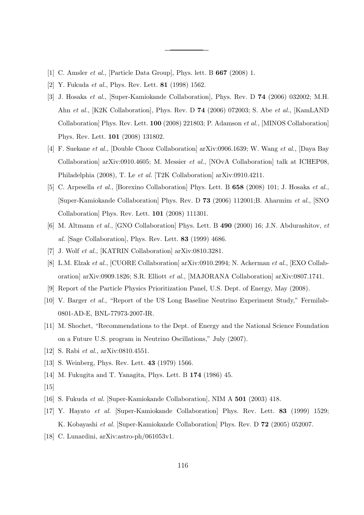- [1] C. Amsler et al., [Particle Data Group], Phys. lett. B 667 (2008) 1.
- [2] Y. Fukuda et al., Phys. Rev. Lett. 81 (1998) 1562.
- [3] J. Hosaka et al., [Super-Kamiokande Collaboration], Phys. Rev. D 74 (2006) 032002; M.H. Ahn et al., [K2K Collaboration], Phys. Rev. D 74 (2006) 072003; S. Abe et al., [KamLAND Collaboration] Phys. Rev. Lett. 100 (2008) 221803; P. Adamson et al., [MINOS Collaboration] Phys. Rev. Lett. 101 (2008) 131802.
- [4] F. Suekane et al., [Double Chooz Collaboration] arXiv:0906.1639; W. Wang et al., [Daya Bay Collaboration] arXiv:0910.4605; M. Messier et al., [NOvA Collaboration] talk at ICHEP08, Philadelphia (2008), T. Le et al. [T2K Collaboration] arXiv:0910.4211.
- [5] C. Arpesella et al., [Borexino Collaboration] Phys. Lett. B 658 (2008) 101; J. Hosaka et al., [Super-Kamiokande Collaboration] Phys. Rev. D 73 (2006) 112001;B. Aharmim et al., [SNO Collaboration] Phys. Rev. Lett. 101 (2008) 111301.
- [6] M. Altmann et al., [GNO Collaboration] Phys. Lett. B 490 (2000) 16; J.N. Abdurashitov, et al. [Sage Collaboration], Phys. Rev. Lett. 83 (1999) 4686.
- [7] J. Wolf et al., [KATRIN Collaboration] arXiv:0810.3281.
- [8] L.M. Elzak et al., [CUORE Collaboration] arXiv:0910.2994; N. Ackerman et al., [EXO Collaboration] arXiv:0909.1826; S.R. Elliott et al., [MAJORANA Collaboration] arXiv:0807.1741.
- [9] Report of the Particle Physics Prioritization Panel, U.S. Dept. of Energy, May (2008).
- [10] V. Barger et al., "Report of the US Long Baseline Neutrino Experiment Study," Fermilab-0801-AD-E, BNL-77973-2007-IR.
- [11] M. Shochet, "Recommendations to the Dept. of Energy and the National Science Foundation on a Future U.S. program in Neutrino Oscillations," July (2007).
- [12] S. Rabi et al., arXiv:0810.4551.
- [13] S. Weinberg, Phys. Rev. Lett. 43 (1979) 1566.
- [14] M. Fukugita and T. Yanagita, Phys. Lett. B 174 (1986) 45.
- $[15]$
- [16] S. Fukuda et al. [Super-Kamiokande Collaboration], NIM A 501 (2003) 418.
- [17] Y. Hayato et al. [Super-Kamiokande Collaboration] Phys. Rev. Lett. 83 (1999) 1529; K. Kobayashi et al. [Super-Kamiokande Collaboration] Phys. Rev. D 72 (2005) 052007.
- [18] C. Lunardini, arXiv:astro-ph/061053v1.